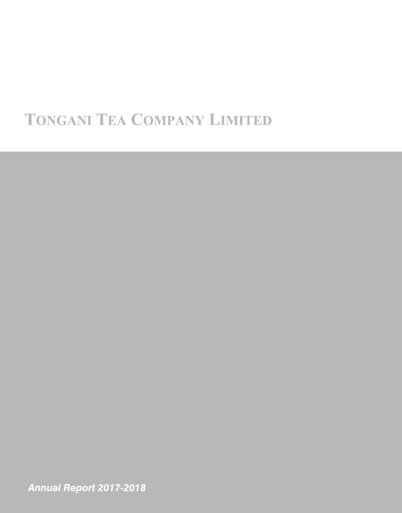# **TONGANI TEA COMPANY LIMITED**

Annual Report 2017-2018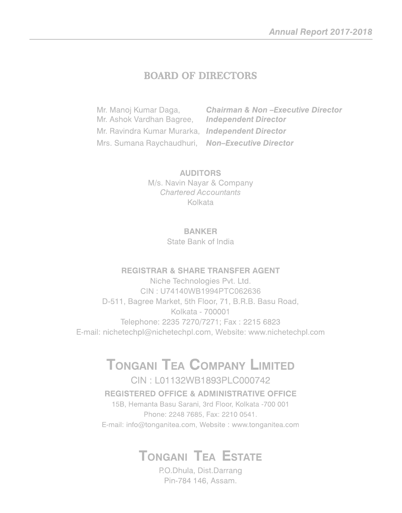# **BOARD OF DIRECTORS**

**Chairman & Non-Executive Director** Mr. Manoj Kumar Daga, Mr. Ashok Vardhan Bagree, **Independent Director** Mr. Ravindra Kumar Murarka, Independent Director Mrs. Sumana Raychaudhuri, Non-Executive Director

> **AUDITORS** M/s. Navin Nayar & Company **Chartered Accountants** Kolkata

#### **BANKER**

State Bank of India

### **REGISTRAR & SHARE TRANSFER AGENT**

Niche Technologies Pvt. Ltd. CIN: U74140WB1994PTC062636 D-511, Bagree Market, 5th Floor, 71, B.R.B. Basu Road, Kolkata - 700001 Telephone: 2235 7270/7271; Fax: 2215 6823 E-mail: nichetechpl@nichetechpl.com, Website: www.nichetechpl.com

# **TONGANI TEA COMPANY LIMITED**

## CIN: L01132WB1893PLC000742 **REGISTERED OFFICE & ADMINISTRATIVE OFFICE**

15B, Hemanta Basu Sarani, 3rd Floor, Kolkata -700 001 Phone: 2248 7685, Fax: 2210 0541. E-mail: info@tonganitea.com, Website: www.tonganitea.com

# **TONGANI TEA ESTATE**

P.O.Dhula, Dist.Darrang Pin-784 146, Assam.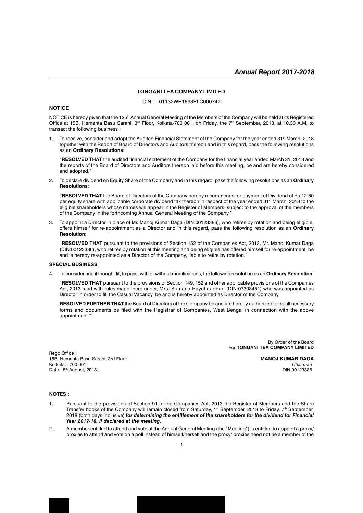#### **TONGANI TEA COMPANY LIMITED**

CIN : L01132WB1893PLC000742

#### **NOTICE**

NOTICE is hereby given that the 125<sup>th</sup> Annual General Meeting of the Members of the Company will be held at its Registered Office at 15B, Hemanta Basu Sarani, 3<sup>rd</sup> Floor, Kolkata-700 001, on Friday, the 7<sup>th</sup> September, 2018, at 10.30 A.M. to transact the following business :

To receive, consider and adopt the Audited Financial Statement of the Company for the year ended 31<sup>st</sup> March, 2018 together with the Report of Board of Directors and Auditors thereon and in this regard, pass the following resolutions as an **Ordinary Resolutions**:

"**RESOLVED THAT** the audited financial statement of the Company for the financial year ended March 31, 2018 and the reports of the Board of Directors and Auditors thereon laid before this meeting, be and are hereby considered and adopted."

2. To declare dividend on Equity Share of the Company and in this regard, pass the following resolutions as an **Ordinary Resolutions**:

**"RESOLVED THAT** the Board of Directors of the Company hereby recommends for payment of Dividend of Rs.12.50 per equity share with applicable corporate dividend tax thereon in respect of the year ended 31<sup>st</sup> March, 2018 to the eligible shareholders whose names will appear in the Register of Members, subject to the approval of the members of the Company in the forthcoming Annual General Meeting of the Company."

3. To appoint a Director in place of Mr. Manoj Kumar Daga (DIN:00123386), who retires by rotation and being eligible, offers himself for re-appointment as a Director and in this regard, pass the following resolution as an **Ordinary Resolution**:

"**RESOLVED THAT** pursuant to the provisions of Section 152 of the Companies Act, 2013, Mr. Manoj Kumar Daga (DIN:00123386), who retires by rotation at this meeting and being eligible has offered himself for re-appointment, be and is hereby re-appointed as a Director of the Company, liable to retire by rotation."

#### **SPECIAL BUSINESS**

4. To consider and if thought fit, to pass, with or without modifications, the following resolution as an **Ordinary Resolution**:

"**RESOLVED THAT** pursuant to the provisions of Section 149, 152 and other applicable provisions of the Companies Act, 2013 read with rules made there under, Mrs. Sumana Raychaudhuri (DIN:07308451) who was appointed as Director in order to fill the Casual Vacancy, be and is hereby appointed as Director of the Company.

**RESOLVED FURTHER THAT** the Board of Directors of the Company be and are hereby authorized to do all necessary forms and documents be filed with the Registrar of Companies, West Bengal in connection with the above appointment."

> By Order of the Board For **TONGANI TEA COMPANY LIMITED**

Regd.Office : 15B, Hemanta Basu Sarani, 3rd Floor **MANOJ KUMAR DAGA** Kolkata – 700 001 *Chairman* Date: 8<sup>th</sup> August, 2018.

#### **NOTES :**

- 1. Pursuant to the provisions of Section 91 of the Companies Act, 2013 the Register of Members and the Share Transfer books of the Company will remain closed from Saturday, 1st September, 2018 to Friday, 7<sup>th</sup> September, 2018 (both days inclusive) *for determining the entitlement of the shareholders for the dividend for Financial Year 2017-18, if declared at the meeting.*
- 2. A member entitled to attend and vote at the Annual General Meeting (the "Meeting") is entitled to appoint a proxy/ proxies to attend and vote on a poll instead of himself/herself and the proxy/ proxies need not be a member of the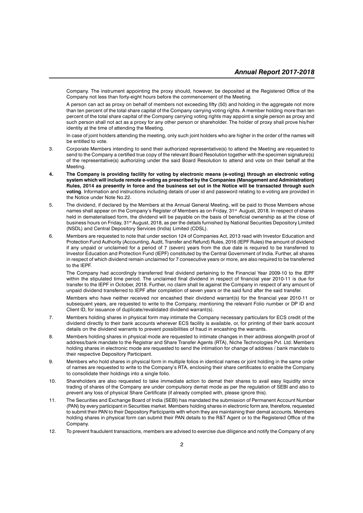Company. The instrument appointing the proxy should, however, be deposited at the Registered Office of the Company not less than forty-eight hours before the commencement of the Meeting.

A person can act as proxy on behalf of members not exceeding fifty (50) and holding in the aggregate not more than ten percent of the total share capital of the Company carrying voting rights. A member holding more than ten percent of the total share capital of the Company carrying voting rights may appoint a single person as proxy and such person shall not act as a proxy for any other person or shareholder. The holder of proxy shall prove his/her identity at the time of attending the Meeting.

In case of joint holders attending the meeting, only such joint holders who are higher in the order of the names will be entitled to vote.

- 3. Corporate Members intending to send their authorized representative(s) to attend the Meeting are requested to send to the Company a certified true copy of the relevant Board Resolution together with the specimen signature(s) of the representative(s) authorizing under the said Board Resolution to attend and vote on their behalf at the Meeting.
- **4. The Company is providing facility for voting by electronic means (e-voting) through an electronic voting system which will include remote e-voting as prescribed by the Companies (Management and Administration) Rules, 2014 as presently in force and the business set out in the Notice will be transacted through such voting**. Information and instructions including details of user id and password relating to e-voting are provided in the Notice under Note No.22.
- 5. The dividend, if declared by the Members at the Annual General Meeting, will be paid to those Members whose names shall appear on the Company's Register of Members as on Friday, 31<sup>st</sup> August, 2018. In respect of shares held in dematerialised form, the dividend will be payable on the basis of beneficial ownership as at the close of business hours on Friday, 31<sup>st</sup> August, 2018, as per the details furnished by National Securities Depository Limited (NSDL) and Central Depository Services (India) Limited (CDSL).
- 6. Members are requested to note that under section 124 of Companies Act, 2013 read with Investor Education and Protection Fund Authority (Accounting, Audit, Transfer and Refund) Rules, 2016 (IEPF Rules) the amount of dividend if any unpaid or unclaimed for a period of 7 (seven) years from the due date is required to be transferred to Investor Education and Protection Fund (IEPF) constituted by the Central Government of India. Further, all shares in respect of which dividend remain unclaimed for 7 consecutive years or more, are also required to be transferred to the IEPF.

The Company had accordingly transferred final dividend pertaining to the Financial Year 2009-10 to the IEPF within the stipulated time period. The unclaimed final dividend in respect of financial year 2010-11 is due for transfer to the IEPF in October, 2018. Further, no claim shall lie against the Company in respect of any amount of unpaid dividend transferred to IEPF after completion of seven years or the said fund after the said transfer.

Members who have neither received nor encashed their dividend warrant(s) for the financial year 2010-11 or subsequent years, are requested to write to the Company, mentioning the relevant Folio number or DP ID and Client ID, for issuance of duplicate/revalidated dividend warrant(s).

- 7. Members holding shares in physical form may intimate the Company necessary particulars for ECS credit of the dividend directly to their bank accounts wherever ECS facility is available, or, for printing of their bank account details on the dividend warrants to prevent possibilities of fraud in encashing the warrants.
- 8. Members holding shares in physical mode are requested to intimate changes in their address alongwith proof of address/bank mandate to the Registrar and Share Transfer Agents (RTA), Niche Technologies Pvt. Ltd. Members holding shares in electronic mode are requested to send the intimation for change of address / bank mandate to their respective Depository Participant.
- 9. Members who hold shares in physical form in multiple folios in identical names or joint holding in the same order of names are requested to write to the Company's RTA, enclosing their share certificates to enable the Company to consolidate their holdings into a single folio.
- 10. Shareholders are also requested to take immediate action to demat their shares to avail easy liquidity since trading of shares of the Company are under compulsory demat mode as per the regulation of SEBI and also to prevent any loss of physical Share Certificate (if already complied with, please ignore this).
- 11. The Securities and Exchange Board of India (SEBI) has mandated the submission of Permanent Account Number (PAN) by every participant in Securities market. Members holding shares in electronic form are, therefore, requested to submit their PAN to their Depository Participants with whom they are maintaining their demat accounts. Members holding shares in physical form can submit their PAN details to the R&T Agent or to the Registered Office of the Company.
- 12. To prevent fraudulent transactions, members are advised to exercise due diligence and notify the Company of any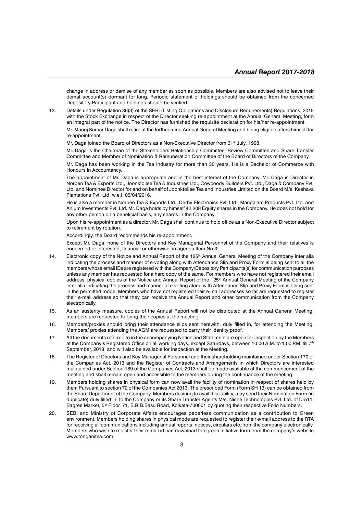change in address or demise of any member as soon as possible. Members are also advised not to leave their demat account(s) dormant for long. Periodic statement of holdings should be obtained from the concerned Depository Participant and holdings should be verified.

13. Details under Regulation 36(3) of the SEBI (Listing Obligations and Disclosure Requirements) Regulations, 2015 with the Stock Exchange in respect of the Director seeking re-appointment at the Annual General Meeting, form an integral part of the notice. The Director has furnished the requisite declaration for his/her re-appointment.

Mr. Manoj Kumar Daga shall retire at the forthcoming Annual General Meeting and being eligible offers himself for re-appointment.

Mr. Daga joined the Board of Directors as a Non-Executive Director from 31<sup>st</sup> July, 1998.

Mr. Daga is the Chairman of the Stakeholders Relationship Committee, Review Committee and Share Transfer Committee and Member of Nomination & Remuneration Committee of the Board of Directors of the Company.

Mr. Daga has been working in the Tea Industry for more than 30 years. He is a Bachelor of Commerce with Honours in Accountancy.

The appointment of Mr. Daga is appropriate and in the best interest of the Company. Mr. Daga is Director in Norben Tea & Exports Ltd., Joonktollee Tea & Industries Ltd., Cowcoody Builders Pvt. Ltd., Daga & Company Pvt. Ltd. and Nominee Director for and on behalf of Joonktollee Tea and Industries Limited on the Board M/s. Keshava Plantations Pvt. Ltd. w.e.f. 05/04/2016.

He is also a member in Norben Tea & Exports Ltd., Derby Electronics Pvt. Ltd., Mangalam Products Pvt. Ltd. and Anjum Investments Pvt. Ltd. Mr. Daga holds by himself 42,208 Equity shares in the Company. He does not hold for any other person on a beneficial basis, any shares in the Company.

Upon his re-appointment as a director, Mr. Daga shall continue to hold office as a Non-Executive Director subject to retirement by rotation.

Accordingly, the Board recommends his re-appointment.

Except Mr. Daga, none of the Directors and Key Managerial Personnel of the Company and their relatives is concerned or interested, financial or otherwise, in agenda Item No.3.

- 14. Electronic copy of the Notice and Annual Report of the 125<sup>th</sup> Annual General Meeting of the Company inter alia indicating the process and manner of e-voting along with Attendance Slip and Proxy Form is being sent to all the members whose email IDs are registered with the Company/Depository Participants(s) for communication purposes unless any member has requested for a hard copy of the same. For members who have not registered their email address, physical copies of the Notice and Annual Report of the 125<sup>th</sup> Annual General Meeting of the Company inter alia indicating the process and manner of e-voting along with Attendance Slip and Proxy Form is being sent in the permitted mode. Members who have not registered their e-mail addresses so far are requested to register their e-mail address so that they can receive the Annual Report and other communication from the Company electronically.
- 15. As an austerity measure, copies of the Annual Report will not be distributed at the Annual General Meeting; members are requested to bring their copies at the meeting
- 16. Members/proxies should bring their attendance slips sent herewith, duly filled in, for attending the Meeting. Members/ proxies attending the AGM are requested to carry their identity proof.
- 17. All the documents referred to in the accompanying Notice and Statement are open for inspection by the Members at the Company's Registered Office on all working days, except Saturdays, between 10.00 A.M. to 1.00 P.M. till 7<sup>th</sup> September, 2018, and will also be available for inspection at the Meeting.
- 18. The Register of Directors and Key Managerial Personnel and their shareholding maintained under Section 170 of the Companies Act, 2013 and the Register of Contracts and Arrangements in which Directors are interested maintained under Section 189 of the Companies Act, 2013 shall be made available at the commencement of the meeting and shall remain open and accessible to the members during the continuance of the meeting.
- 19. Members holding shares in physical form can now avail the facility of nomination in respect of shares held by them Pursuant to section 72 of the Companies Act 2013. The prescribed Form (Form SH 13) can be obtained from the Share Department of the Company. Members desiring to avail this facility, may send their Nomination Form (in duplicate) duly filled in, to the Company or its Share Transfer Agents M/s. Niche Technologies Pvt. Ltd. of D-511, Bagree Market, 5<sup>th</sup> Floor, 71, B.R.B.Basu Road, Kolkata-700001 by quoting their respective Folio Numbers.
- 20. SEBI and Ministry of Corporate Affairs encourages paperless communication as a contribution to Green environment. Members holding shares in physical mode are requested to register their e-mail address to the RTA for receiving all communications including annual reports, notices, circulars etc. from the company electronically. Members who wish to register their e-mail id can download the green initiative form from the company's website www.tonganitea.com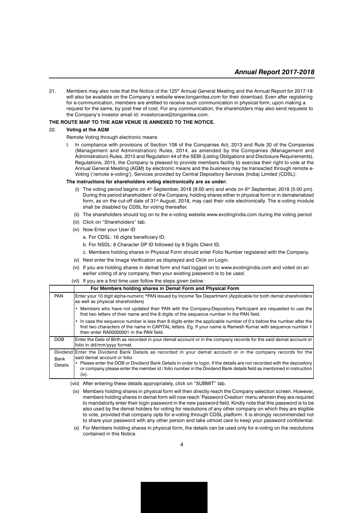21. Members may also note that the Notice of the 125<sup>th</sup> Annual General Meeting and the Annual Report for 2017-18 will also be available on the Company's website www.tonganitea.com for their download. Even after registering for e-communication, members are entitled to receive such communication in physical form, upon making a request for the same, by post free of cost. For any communication, the shareholders may also send requests to the Company's investor email id: investorcare@tonganitea.com.

#### **THE ROUTE MAP TO THE AGM VENUE IS ANNEXED TO THE NOTICE.**

#### 22. **Voting at the AGM**

#### Remote Voting through electronic means

I. In compliance with provisions of Section 108 of the Companies Act, 2013 and Rule 20 of the Companies (Management and Administration) Rules, 2014, as amended by the Companies (Management and Administration) Rules, 2015 and Regulation 44 of the SEBI (Listing Obligations and Disclosure Requirements), Regulations, 2015, the Company is pleased to provide members facility to exercise their right to vote at the Annual General Meeting (AGM) by electronic means and the business may be transacted through remote e-Voting ('remote e-voting'), Services provided by Central Depository Services (India) Limited (CDSL):

#### **The instructions for shareholders voting electronically are as under:**

- (i) The voting period begins on  $4<sup>th</sup>$  September, 2018 (9:00 am) and ends on  $6<sup>th</sup>$  September, 2018 (5:00 pm). During this period shareholders' of the Company, holding shares either in physical form or in dematerialized form, as on the cut-off date of 31<sup>st</sup> August, 2018, may cast their vote electronically. The e-voting module shall be disabled by CDSL for voting thereafter.
- (ii) The shareholders should log on to the e-voting website www.evotingindia.com during the voting period
- (iii) Click on "Shareholders" tab.
- (iv) Now Enter your User ID
	- a. For CDSL: 16 digits beneficiary ID,
	- b. For NSDL: 8 Character DP ID followed by 8 Digits Client ID,
	- c. Members holding shares in Physical Form should enter Folio Number registered with the Company.
- (v) Next enter the Image Verification as displayed and Click on Login.
- (vi) If you are holding shares in demat form and had logged on to www.evotingindia.com and voted on an earlier voting of any company, then your existing password is to be used.
- (vii) If you are a first time user follow the steps given below:

|                 | For Members holding shares in Demat Form and Physical Form                                                                                                                                                                                                                                                                                                                                             |
|-----------------|--------------------------------------------------------------------------------------------------------------------------------------------------------------------------------------------------------------------------------------------------------------------------------------------------------------------------------------------------------------------------------------------------------|
| <b>PAN</b>      | Enter your 10 digit alpha-numeric *PAN issued by Income Tax Department (Applicable for both demat shareholders<br>as well as physical shareholders)                                                                                                                                                                                                                                                    |
|                 | Members who have not updated their PAN with the Company/Depository Participant are requested to use the<br>first two letters of their name and the 8 digits of the sequence number in the PAN field.                                                                                                                                                                                                   |
|                 | In case the sequence number is less than 8 digits enter the applicable number of 0's before the number after the<br>first two characters of the name in CAPITAL letters. Eg. If your name is Ramesh Kumar with sequence number 1<br>then enter RA00000001 in the PAN field.                                                                                                                            |
| DOB             | Enter the Date of Birth as recorded in your demat account or in the company records for the said demat account or<br>folio in dd/mm/yyyy format.                                                                                                                                                                                                                                                       |
| Bank<br>Details | Dividend Enter the Dividend Bank Details as recorded in your demat account or in the company records for the<br>said demat account or folio.<br>• Please enter the DOB or Dividend Bank Details in order to login. If the details are not recorded with the depository<br>or company please enter the member id / folio number in the Dividend Bank details field as mentioned in instruction<br>(iv). |

(viii) After entering these details appropriately, click on "SUBMIT" tab.

- (ix) Members holding shares in physical form will then directly reach the Company selection screen. However, members holding shares in demat form will now reach 'Password Creation' menu wherein they are required to mandatorily enter their login password in the new password field. Kindly note that this password is to be also used by the demat holders for voting for resolutions of any other company on which they are eligible to vote, provided that company opts for e-voting through CDSL platform. It is strongly recommended not to share your password with any other person and take utmost care to keep your password confidential.
- (x) For Members holding shares in physical form, the details can be used only for e-voting on the resolutions contained in this Notice.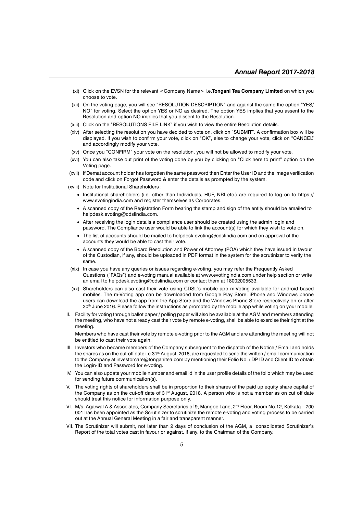- (xi) Click on the EVSN for the relevant <Company Name> i.e.**Tongani Tea Company Limited** on which you choose to vote.
- (xii) On the voting page, you will see "RESOLUTION DESCRIPTION" and against the same the option "YES/ NO" for voting. Select the option YES or NO as desired. The option YES implies that you assent to the Resolution and option NO implies that you dissent to the Resolution.
- (xiii) Click on the "RESOLUTIONS FILE LINK" if you wish to view the entire Resolution details.
- (xiv) After selecting the resolution you have decided to vote on, click on "SUBMIT". A confirmation box will be displayed. If you wish to confirm your vote, click on "OK", else to change your vote, click on "CANCEL" and accordingly modify your vote.
- (xv) Once you "CONFIRM" your vote on the resolution, you will not be allowed to modify your vote.
- (xvi) You can also take out print of the voting done by you by clicking on "Click here to print" option on the Voting page.
- (xvii) If Demat account holder has forgotten the same password then Enter the User ID and the image verification code and click on Forgot Password & enter the details as prompted by the system.
- (xviii) Note for Institutional Shareholders :
	- Institutional shareholders (i.e. other than Individuals, HUF, NRI etc.) are required to log on to https:// www.evotingindia.com and register themselves as Corporates.
	- A scanned copy of the Registration Form bearing the stamp and sign of the entity should be emailed to helpdesk.evoting@cdslindia.com.
	- After receiving the login details a compliance user should be created using the admin login and password. The Compliance user would be able to link the account(s) for which they wish to vote on.
	- The list of accounts should be mailed to helpdesk.evoting@cdslindia.com and on approval of the accounts they would be able to cast their vote.
	- A scanned copy of the Board Resolution and Power of Attorney (POA) which they have issued in favour of the Custodian, if any, should be uploaded in PDF format in the system for the scrutinizer to verify the same.
- (xix) In case you have any queries or issues regarding e-voting, you may refer the Frequently Asked Questions ("FAQs") and e-voting manual available at www.evotingindia.com under help section or write an email to helpdesk.evoting@cdslindia.com or contact them at 18002005533.
- (xx) Shareholders can also cast their vote using CDSL's mobile app m-Voting available for android based mobiles. The m-Voting app can be downloaded from Google Play Store. iPhone and Windows phone users can download the app from the App Store and the Windows Phone Store respectively on or after 30<sup>th</sup> June 2016. Please follow the instructions as prompted by the mobile app while voting on your mobile.
- II. Facility for voting through ballot paper / polling paper will also be available at the AGM and members attending the meeting, who have not already cast their vote by remote e-voting, shall be able to exercise their right at the meeting.

Members who have cast their vote by remote e-voting prior to the AGM and are attending the meeting will not be entitled to cast their vote again.

- III. Investors who became members of the Company subsequent to the dispatch of the Notice / Email and holds the shares as on the cut-off date i.e.31<sup>st</sup> August, 2018, are requested to send the written / email communication to the Company at investorcare@tonganitea.com by mentioning their Folio No. / DP ID and Client ID to obtain the Login-ID and Password for e-voting.
- IV. You can also update your mobile number and email id in the user profile details of the folio which may be used for sending future communication(s).
- V. The voting rights of shareholders shall be in proportion to their shares of the paid up equity share capital of the Company as on the cut-off date of 31<sup>st</sup> August, 2018. A person who is not a member as on cut off date should treat this notice for information purpose only.
- VI. M/s. Agarwal A & Associates, Company Secretaries of 9, Mangoe Lane, 2<sup>nd</sup> Floor, Room No.12, Kolkata 700 001 has been appointed as the Scrutinizer to scrutinize the remote e-voting and voting process to be carried out at the Annual General Meeting in a fair and transparent manner.
- VII. The Scrutinizer will submit, not later than 2 days of conclusion of the AGM, a consolidated Scrutinizer's Report of the total votes cast in favour or against, if any, to the Chairman of the Company.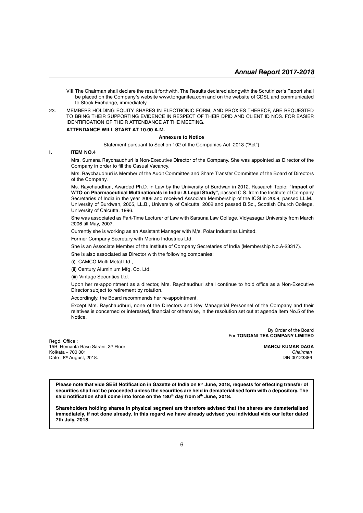- VIII.The Chairman shall declare the result forthwith. The Results declared alongwith the Scrutinizer's Report shall be placed on the Company's website www.tonganitea.com and on the website of CDSL and communicated to Stock Exchange, immediately.
- 23. MEMBERS HOLDING EQUITY SHARES IN ELECTRONIC FORM, AND PROXIES THEREOF, ARE REQUESTED TO BRING THEIR SUPPORTING EVIDENCE IN RESPECT OF THEIR DPID AND CLIENT ID NOS. FOR EASIER IDENTIFICATION OF THEIR ATTENDANCE AT THE MEETING.

#### **ATTENDANCE WILL START AT 10.00 A.M.**

#### **Annexure to Notice**

Statement pursuant to Section 102 of the Companies Act, 2013 ("Act")

#### **I. ITEM NO.4**

Mrs. Sumana Raychaudhuri is Non-Executive Director of the Company. She was appointed as Director of the Company in order to fill the Casual Vacancy.

Mrs. Raychaudhuri is Member of the Audit Committee and Share Transfer Committee of the Board of Directors of the Company.

Ms. Raychaudhuri, Awarded Ph.D. in Law by the University of Burdwan in 2012. Research Topic: *"***Impact of WTO on Pharmaceutical Multinationals in India: A Legal Study",** passed C.S. from the Institute of Company Secretaries of India in the year 2006 and received Associate Membership of the ICSI in 2009, passed LL.M., University of Burdwan, 2005, LL.B., University of Calcutta, 2002 and passed B.Sc., Scottish Church College, University of Calcutta, 1996.

She was associated as Part-Time Lecturer of Law with Sarsuna Law College, Vidyasagar University from March 2006 till May, 2007.

Currently she is working as an Assistant Manager with M/s. Polar Industries Limited.

Former Company Secretary with Merino Industries Ltd.

She is an Associate Member of the Institute of Company Secretaries of India (Membership No.A-23317).

She is also associated as Director with the following companies:

(i) CAMCO Multi Metal Ltd.,

(ii) Century Aluminium Mfg. Co. Ltd.

(iii) Vintage Securities Ltd.

Upon her re-appointment as a director, Mrs. Raychaudhuri shall continue to hold office as a Non-Executive Director subject to retirement by rotation.

Accordingly, the Board recommends her re-appointment.

Except Mrs. Raychaudhuri, none of the Directors and Key Managerial Personnel of the Company and their relatives is concerned or interested, financial or otherwise, in the resolution set out at agenda Item No.5 of the Notice.

> By Order of the Board For **TONGANI TEA COMPANY LIMITED**

Read. Office : 15B, Hemanta Basu Sarani, 3rd Floor **MANOJ KUMAR DAGA** Kolkata – 700 001 *Chairman* Date :  $8<sup>th</sup>$  August, 2018.

Please note that vide SEBI Notification in Gazette of India on 8<sup>th</sup> June, 2018, requests for effecting transfer of **securities shall not be proceeded unless the securities are held in dematerialised form with a depository. The** said notification shall come into force on the 180<sup>th</sup> day from 8<sup>th</sup> June, 2018.

**Shareholders holding shares in physical segment are therefore advised that the shares are dematerialised immediately, if not done already. In this regard we have already advised you individual vide our letter dated 7th July, 2018.**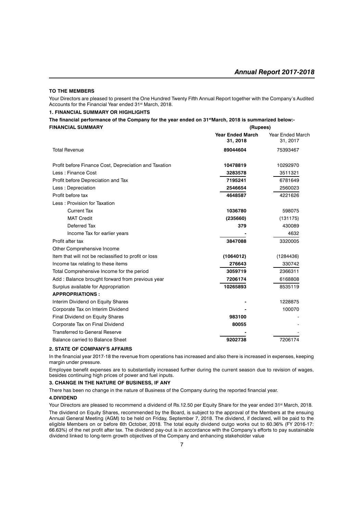#### **TO THE MEMBERS**

Your Directors are pleased to present the One Hundred Twenty Fifth Annual Report together with the Company's Audited Accounts for the Financial Year ended 31<sup>st</sup> March, 2018.

#### **1. FINANCIAL SUMMARY OR HIGHLIGHTS**

| The financial performance of the Company for the year ended on 31 <sup>st</sup> March, 2018 is summarized below:- |          |
|-------------------------------------------------------------------------------------------------------------------|----------|
| <b>FINANCIAL SUMMARY</b>                                                                                          | (Rupees) |

|                                                       | <b>Year Ended March</b><br>31, 2018 | <b>Year Ended March</b><br>31, 2017 |
|-------------------------------------------------------|-------------------------------------|-------------------------------------|
| <b>Total Revenue</b>                                  | 89044604                            | 75393467                            |
| Profit before Finance Cost, Depreciation and Taxation | 10478819                            | 10292970                            |
| Less: Finance Cost                                    | 3283578                             | 3511321                             |
| Profit before Depreciation and Tax                    | 7195241                             | 6781649                             |
| Less: Depreciation                                    | 2546654                             | 2560023                             |
| Profit before tax                                     | 4648587                             | 4221626                             |
| Less: Provision for Taxation                          |                                     |                                     |
| <b>Current Tax</b>                                    | 1036780                             | 598075                              |
| <b>MAT Credit</b>                                     | (235660)                            | (131175)                            |
| Deferred Tax                                          | 379                                 | 430089                              |
| Income Tax for earlier years                          |                                     | 4632                                |
| Profit after tax                                      | 3847088                             | 3320005                             |
| Other Comprehensive Income                            |                                     |                                     |
| Item that will not be reclassified to profit or loss  | (1064012)                           | (1284436)                           |
| Income tax relating to these items                    | 276643                              | 330742                              |
| Total Comprehensive Income for the period             | 3059719                             | 2366311                             |
| Add: Balance brought forward from previous year       | 7206174                             | 6168808                             |
| Surplus available for Appropriation                   | 10265893                            | 8535119                             |
| <b>APPROPRIATIONS:</b>                                |                                     |                                     |
| Interim Dividend on Equity Shares                     |                                     | 1228875                             |
| Corporate Tax on Interim Dividend                     |                                     | 100070                              |
| Final Dividend on Equity Shares                       | 983100                              |                                     |
| Corporate Tax on Final Dividend                       | 80055                               |                                     |
| <b>Transferred to General Reserve</b>                 |                                     |                                     |
| Balance carried to Balance Sheet                      | 9202738                             | 7206174                             |

#### **2. STATE OF COMPANY'S AFFAIRS**

In the financial year 2017-18 the revenue from operations has increased and also there is increased in expenses, keeping margin under pressure.

Employee benefit expenses are to substantially increased further during the current season due to revision of wages, besides continuing high prices of power and fuel inputs.

#### **3. CHANGE IN THE NATURE OF BUSINESS, IF ANY**

There has been no change in the nature of Business of the Company during the reported financial year.

#### **4.DIVIDEND**

Your Directors are pleased to recommend a dividend of Rs.12.50 per Equity Share for the year ended 31<sup>st</sup> March, 2018. The dividend on Equity Shares, recommended by the Board, is subject to the approval of the Members at the ensuing Annual General Meeting (AGM) to be held on Friday, September 7, 2018. The dividend, if declared, will be paid to the eligible Members on or before 6th October, 2018. The total equity dividend outgo works out to 60.36% (FY 2016-17: 66.63%) of the net profit after tax. The dividend pay-out is in accordance with the Company's efforts to pay sustainable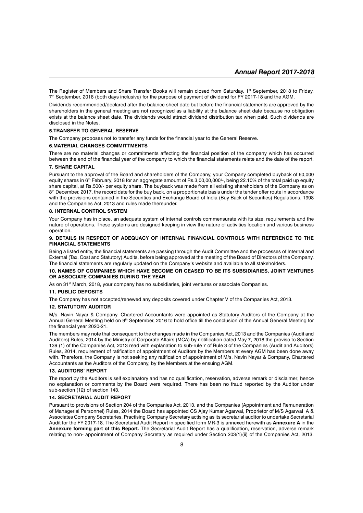The Register of Members and Share Transfer Books will remain closed from Saturday, 1<sup>st</sup> September, 2018 to Friday, 7<sup>th</sup> September, 2018 (both days inclusive) for the purpose of payment of dividend for FY 2017-18 and the AGM.

Dividends recommended/declared after the balance sheet date but before the financial statements are approved by the shareholders in the general meeting are not recognized as a liability at the balance sheet date because no obligation exists at the balance sheet date. The dividends would attract dividend distribution tax when paid. Such dividends are disclosed in the Notes.

#### **5.TRANSFER TO GENERAL RESERVE**

The Company proposes not to transfer any funds for the financial year to the General Reserve.

#### **6.MATERIAL CHANGES COMMITTMENTS**

There are no material changes or commitments affecting the financial position of the company which has occurred between the end of the financial year of the company to which the financial statements relate and the date of the report.

#### **7. SHARE CAPITAL**

Pursuant to the approval of the Board and shareholders of the Company, your Company completed buyback of 60,000 equity shares in 6<sup>th</sup> February, 2018 for an aggregate amount of Rs.3,00,00,000/-, being 22.10% of the total paid up equity share capital, at Rs.500/- per equity share. The buyback was made from all existing shareholders of the Company as on 8<sup>th</sup> December, 2017, the record date for the buy back, on a proportionate basis under the tender offer route in accordance with the provisions contained in the Securities and Exchange Board of India (Buy Back of Securities) Regulations, 1998 and the Companies Act, 2013 and rules made thereunder.

#### **8. INTERNAL CONTROL SYSTEM**

Your Company has in place, an adequate system of internal controls commensurate with its size, requirements and the nature of operations. These systems are designed keeping in view the nature of activities location and various business operation.

#### **9. DETAILS IN RESPECT OF ADEQUACY OF INTERNAL FINANCIAL CONTROLS WITH REFERENCE TO THE FINANCIAL STATEMENTS**

Being a listed entity, the financial statements are passing through the Audit Committee and the processes of Internal and External (Tax, Cost and Statutory) Audits, before being approved at the meeting of the Board of Directors of the Company. The financial statements are regularly updated on the Company's website and available to all stakeholders.

#### **10. NAMES OF COMPANIES WHICH HAVE BECOME OR CEASED TO BE ITS SUBSIDIARIES, JOINT VENTURES OR ASSOCIATE COMPANIES DURING THE YEAR**

As on 31<sup>st</sup> March, 2018, your company has no subsidiaries, joint ventures or associate Companies.

#### **11. PUBLIC DEPOSITS**

The Company has not accepted/renewed any deposits covered under Chapter V of the Companies Act, 2013.

#### **12. STATUTORY AUDITOR**

M/s. Navin Nayar & Company, Chartered Accountants were appointed as Statutory Auditors of the Company at the Annual General Meeting held on 9<sup>th</sup> September, 2016 to hold office till the conclusion of the Annual General Meeting for the financial year 2020-21.

The members may note that consequent to the changes made in the Companies Act, 2013 and the Companies (Audit and Auditors) Rules, 2014 by the Ministry of Corporate Affairs (MCA) by notification dated May 7, 2018 the proviso to Section 139 (1) of the Companies Act, 2013 read with explanation to sub-rule 7 of Rule 3 of the Companies (Audit and Auditors) Rules, 2014, requirement of ratification of appointment of Auditors by the Members at every AGM has been done away with. Therefore, the Company is not seeking any ratification of appointment of M/s. Navin Nayar & Company, Chartered Accountants as the Auditors of the Company, by the Members at the ensuing AGM.

#### **13. AUDITORS' REPORT**

The report by the Auditors is self explanatory and has no qualification, reservation, adverse remark or disclaimer; hence no explanation or comments by the Board were required. There has been no fraud reported by the Auditor under sub-section (12) of section 143.

#### **14. SECRETARIAL AUDIT REPORT**

Pursuant to provisions of Section 204 of the Companies Act, 2013, and the Companies (Appointment and Remuneration of Managerial Personnel) Rules, 2014 the Board has appointed CS Ajay Kumar Agarwal, Proprietor of M/S Agarwal A & Associates Company Secretaries, Practising Company Secretary actising as its secretarial auditor to undertake Secretarial Audit for the FY 2017-18. The Secretarial Audit Report in specified form MR-3 is annexed herewith as **Annexure A** in the **Annexure forming part of this Report.** The Secretarial Audit Report has a qualification, reservation, adverse remark relating to non- appointment of Company Secretary as required under Section 203(1)(ii) of the Companies Act, 2013.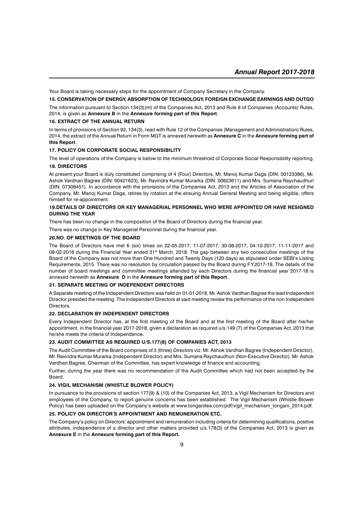Your Board is taking necessary steps for the appointment of Company Secretary in the Company.

#### **15. CONSERVATION OF ENERGY, ABSORPTION OF TECHNOLOGY, FOREIGN EXCHANGE EARNINGS AND OUTGO**

The information pursuant to Section 134(3)(m) of the Companies Act, 2013 and Rule 8 of Companies (Accounts) Rules, 2014, is given as **Annexure B** in the **Annexure forming part of this Report**.

#### **16. EXTRACT OF THE ANNUAL RETURN**

In terms of provisions of Section 92, 134(3), read with Rule 12 of the Companies (Management and Administration) Rules, 2014, the extract of the Annual Return in Form MGT is annexed herewith as **Annexure C** in the **Annexure forming part of this Report**.

#### **17. POLICY ON CORPORATE SOCIAL RESPONSIBILITY**

The level of operations of the Company is below to the minimum threshold of Corporate Social Responsibility reporting. **18. DIRECTORS**

At present your Board is duly constituted comprising of 4 (Four) Directors, Mr. Manoj Kumar Daga (DIN: 00123386), Mr. Ashok Vardhan Bagree (DIN: 00421623), Mr. Ravindra Kumar Murarka (DIN: 00823611) and Mrs. Sumana Raychaudhuri (DIN: 07308451). In accordance with the provisions of the Companies Act, 2013 and the Articles of Association of the Company, Mr. Manoj Kumar Daga, retires by rotation at the ensuing Annual General Meeting and being eligible, offers himself for re-appointment.

#### **19.DETAILS OF DIRECTORS OR KEY MANAGERIAL PERSONNEL WHO WERE APPOINTED OR HAVE RESIGNED DURING THE YEAR**

There has been no change in the composition of the Board of Directors during the financial year.

There was no change in Key Managerial Personnel during the financial year.

#### **20.NO. OF MEETINGS OF THE BOARD**

The Board of Directors have met 6 (six) times on 22-05-2017, 11-07-2017, 30-08-2017, 04-10-2017, 11-11-2017 and 09-02-2018 during the Financial Year ended 31<sup>st</sup> March, 2018. The gap between any two consecutive meetings of the Board of the Company was not more than One Hundred and Twenty Days (120 days) as stipulated under SEBI's Listing Requirements, 2015. There was no resolution by circulation passed by the Board during F.Y.2017-18. The details of the number of board meetings and committee meetings attended by each Directors during the financial year 2017-18 is annexed herewith as **Annexure D** in the **Annexure forming part of this Report**.

#### **21. SEPARATE MEETING OF INDEPENDENT DIRECTORS**

A Separate meeting of the Independent Directors was held on 01-01-2018, Mr. Ashok Vardhan Bagree the lead Independent Director presided the meeting. The Independent Directors at said meeting review the performance of the non Independent Directors.

#### **22. DECLARATION BY INDEPENDENT DIRECTORS**

Every Independent Director has, at the first meeting of the Board and at the first meeting of the Board after his/her appointment, in the financial year 2017-2018, given a declaration as required u/s.149 (7) of the Companies Act, 2013 that he/she meets the criteria of Independence.

#### **23. AUDIT COMMITTEE AS REQUIRED U/S.177(8) OF COMPANIES ACT, 2013**

The Audit Committee of the Board comprises of 3 (three) Directors viz: Mr. Ashok Vardhan Bagree (Independent Director), Mr. Ravindra Kumar Murarka (Independent Director) and Mrs. Sumana Raychaudhuri (Non-Executive Director). Mr. Ashok Vardhan Bagree, Chairman of the Committee, has expert knowledge of finance and accounting.

Further, during the year there was no recommendation of the Audit Committee which had not been accepted by the Board.

#### **24. VIGIL MECHANISM (WHISTLE BLOWER POLICY)**

In pursuance to the provisions of section 177(9) & (10) of the Companies Act, 2013, a Vigil Mechanism for Directors and employees of the Company, to report genuine concerns has been established. The Vigil Mechanism (Whistle Blower Policy) has been uploaded on the Company's website at www.tonganitea.com/pdf/vigil\_mechanism\_tongani\_2014.pdf.

#### **25. POLICY ON DIRECTOR'S APPOINTMENT AND REMUNERATION ETC.**

The Company's policy on Directors' appointment and remuneration including criteria for determining qualifications, positive attributes, independence of a director and other matters provided u/s.178(3) of the Companies Act, 2013 is given as **Annexure E** in the **Annexure forming part of this Report.**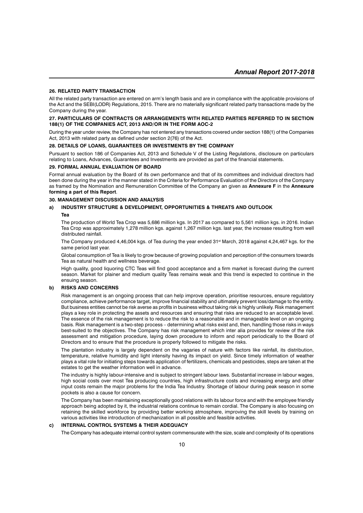#### **26. RELATED PARTY TRANSACTION**

All the related party transaction are entered on arm's length basis and are in compliance with the applicable provisions of the Act and the SEBI(LODR) Regulations, 2015. There are no materially significant related party transactions made by the Company during the year.

#### **27. PARTICULARS OF CONTRACTS OR ARRANGEMENTS WITH RELATED PARTIES REFERRED TO IN SECTION 188(1) OF THE COMPANIES ACT, 2013 AND/OR IN THE FORM AOC-2**

During the year under review, the Company has not entered any transactions covered under section 188(1) of the Companies Act, 2013 with related party as defined under section 2(76) of the Act.

#### **28. DETAILS OF LOANS, GUARANTEES OR INVESTMENTS BY THE COMPANY**

Pursuant to section 186 of Companies Act, 2013 and Schedule V of the Listing Regulations, disclosure on particulars relating to Loans, Advances, Guarantees and Investments are provided as part of the financial statements.

#### **29. FORMAL ANNUAL EVALUATION OF BOARD**

Formal annual evaluation by the Board of its own performance and that of its committees and individual directors had been done during the year in the manner stated in the Criteria for Performance Evaluation of the Directors of the Company as framed by the Nomination and Remuneration Committee of the Company an given as **Annexure F** in the **Annexure forming a part of this Report**.

#### **30. MANAGEMENT DISCUSSION AND ANALYSIS**

#### **a) INDUSTRY STRUCTURE & DEVELOPMENT, OPPORTUNITIES & THREATS AND OUTLOOK**

#### **Tea**

The production of World Tea Crop was 5,686 million kgs. In 2017 as compared to 5,561 million kgs. in 2016. Indian Tea Crop was approximately 1,278 million kgs. against 1,267 million kgs. last year, the increase resulting from well distributed rainfall.

The Company produced 4,46,004 kgs. of Tea during the year ended 31<sup>st</sup> March, 2018 against 4,24,467 kgs. for the same period last year.

Global consumption of Tea is likely to grow because of growing population and perception of the consumers towards Tea as natural health and wellness beverage.

High quality, good liquoring CTC Teas will find good acceptance and a firm market is forecast during the current season. Market for plainer and medium quality Teas remains weak and this trend is expected to continue in the ensuing season.

#### **b) RISKS AND CONCERNS**

Risk management is an ongoing process that can help improve operation, prioritise resources, ensure regulatory compliance, achieve performance target, improve financial stability and ultimately prevent loss/damage to the entity. But business entities cannot be risk averse as profits in business without taking risk is highly unlikely. Risk management plays a key role in protecting the assets and resources and ensuring that risks are reduced to an acceptable level. The essence of the risk management is to reduce the risk to a reasonable and in manageable level on an ongoing basis. Risk management is a two-step process – determining what risks exist and, then, handling those risks in ways best-suited to the objectives. The Company has risk management which inter alia provides for review of the risk assessment and mitigation procedure, laying down procedure to inform and report periodically to the Board of Directors and to ensure that the procedure is properly followed to mitigate the risks.

The plantation industry is largely dependent on the vagaries of nature with factors like rainfall, its distribution, temperature, relative humidity and light intensity having its impact on yield. Since timely information of weather plays a vital role for initiating steps towards application of fertilizers, chemicals and pesticides, steps are taken at the estates to get the weather information well in advance.

The industry is highly labour-intensive and is subject to stringent labour laws. Substantial increase in labour wages, high social costs over most Tea producing countries, high infrastructure costs and increasing energy and other input costs remain the major problems for the India Tea Industry. Shortage of labour during peak season in some pockets is also a cause for concern.

The Company has been maintaining exceptionally good relations with its labour force and with the employee friendly approach being adopted by it, the industrial relations continue to remain cordial. The Company is also focusing on retaining the skilled workforce by providing better working atmosphere, improving the skill levels by training on various activities like introduction of mechanization in all possible and feasible activities.

#### **c) INTERNAL CONTROL SYSTEMS & THEIR ADEQUACY**

The Company has adequate internal control system commensurate with the size, scale and complexity of its operations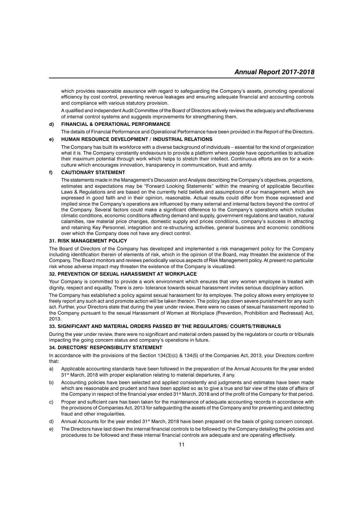which provides reasonable assurance with regard to safeguarding the Company's assets, promoting operational efficiency by cost control, preventing revenue leakages and ensuring adequate financial and accounting controls and compliance with various statutory provision.

A qualified and independent Audit Committee of the Board of Directors actively reviews the adequacy and effectiveness of internal control systems and suggests improvements for strengthening them.

#### **d) FINANCIAL & OPERATIONAL PERFORMANCE**

The details of Financial Performance and Operational Performance have been provided in the Report of the Directors.

#### **e) HUMAN RESOURCE DEVELOPMENT / INDUSTRIAL RELATIONS**

The Company has built its workforce with a diverse background of individuals – essential for the kind of organization what it is. The Company constantly endeavours to provide a platform where people have opportunities to actualize their maximum potential through work which helps to stretch their intellect. Continuous efforts are on for a workculture which encourages innovation, transparency in communication, trust and amity.

#### **f) CAUTIONARY STATEMENT**

The statements made in the Management's Discussion and Analysis describing the Company's objectives, projections, estimates and expectations may be "Forward Looking Statements" within the meaning of applicable Securities Laws & Regulations and are based on the currently held beliefs and assumptions of our management, which are expressed in good faith and in their opinion, reasonable. Actual results could differ from those expressed and implied since the Company's operations are influenced by many external and internal factors beyond the control of the Company. Several factors could make a significant difference to the Company's operations which includes climatic conditions, economic conditions affecting demand and supply, government regulations and taxation, natural calamities, raw material price changes, domestic supply and prices conditions, company's success in attracting and retaining Key Personnel, integration and re-structuring activities, general business and economic conditions over which the Company does not have any direct control.

#### **31. RISK MANAGEMENT POLICY**

The Board of Directors of the Company has developed and implemented a risk management policy for the Company including identification therein of elements of risk, which in the opinion of the Board, may threaten the existence of the Company. The Board monitors and reviews periodically various aspects of Risk Management policy. At present no particular risk whose adverse impact may threaten the existence of the Company is visualized.

#### **32. PREVENTION OF SEXUAL HARASSMENT AT WORKPLACE**

Your Company is committed to provide a work environment which ensures that very women employee is treated with dignity, respect and equality. There is zero- tolerance towards sexual harassment invites serious disciplinary action.

The Company has established a policy against sexual harassment for its employee. The policy allows every employee to freely report any such act and promote action will be taken thereon. The policy lays down severe punishment for any such act. Further, your Directors state that during the year under review, there were no cases of sexual harassment reported to the Company pursuant to the sexual Harassment of Women at Workplace (Prevention, Prohibition and Redressal) Act, 2013.

#### **33. SIGNIFICANT AND MATERIAL ORDERS PASSED BY THE REGULATORS/ COURTS/TRIBUNALS**

During the year under review, there were no significant and material orders passed by the regulators or courts or tribunals impacting the going concern status and company's operations in future.

#### **34. DIRECTORS' RESPONSIBILITY STATEMENT**

In accordance with the provisions of the Section 134(3)(c) & 134(5) of the Companies Act, 2013, your Directors confirm that:

- a) Applicable accounting standards have been followed in the preparation of the Annual Accounts for the year ended 31<sup>st</sup> March, 2018 with proper explanation relating to material departures, if any.
- b) Accounting policies have been selected and applied consistently and judgments and estimates have been made which are reasonable and prudent and have been applied so as to give a true and fair view of the state of affairs of the Company in respect of the financial year ended 31<sup>st</sup> March, 2018 and of the profit of the Company for that period.
- c) Proper and sufficient care has been taken for the maintenance of adequate accounting records in accordance with the provisions of Companies Act, 2013 for safeguarding the assets of the Company and for preventing and detecting fraud and other irregularities.
- d) Annual Accounts for the year ended 31<sup>st</sup> March, 2018 have been prepared on the basis of going concern concept.
- e) The Directors have laid down the internal financial controls to be followed by the Company detailing the policies and procedures to be followed and these internal financial controls are adequate and are operating effectively.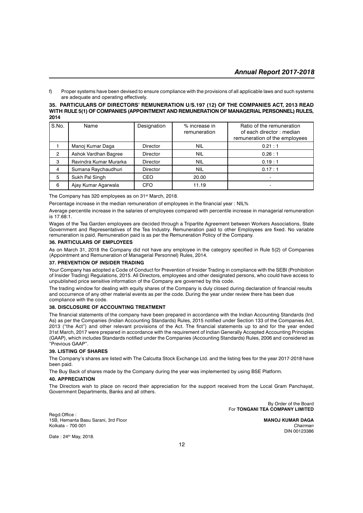f) Proper systems have been devised to ensure compliance with the provisions of all applicable laws and such systems are adequate and operating effectively.

#### **35. PARTICULARS OF DIRECTORS' REMUNERATION U/S.197 (12) OF THE COMPANIES ACT, 2013 READ WITH RULE 5(1) OF COMPANIES (APPOINTMENT AND REMUNERATION OF MANAGERIAL PERSONNEL) RULES, 2014**

| S.No.          | Name                   | Designation     | % increase in<br>remuneration | Ratio of the remuneration<br>of each director : median<br>remuneration of the employees |
|----------------|------------------------|-----------------|-------------------------------|-----------------------------------------------------------------------------------------|
|                | Manoj Kumar Daga       | <b>Director</b> | <b>NIL</b>                    | 0.21:1                                                                                  |
| $\mathfrak{p}$ | Ashok Vardhan Bagree   | <b>Director</b> | <b>NIL</b>                    | 0.26:1                                                                                  |
| 3              | Ravindra Kumar Murarka | <b>Director</b> | <b>NIL</b>                    | 0.19:1                                                                                  |
| 4              | Sumana Raychaudhuri    | <b>Director</b> | <b>NIL</b>                    | 0.17:1                                                                                  |
| 5              | Sukh Pal Singh         | <b>CEO</b>      | 20.00                         |                                                                                         |
| 6              | Ajay Kumar Agarwala    | <b>CFO</b>      | 11.19                         |                                                                                         |

The Company has 320 employees as on 31<sup>st</sup> March, 2018.

Percentage increase in the median remuneration of employees in the financial year : NIL%

Average percentile increase in the salaries of employees compared with percentile increase in managerial remuneration is 17.68:1.

Wages of the Tea Garden employees are decided through a Tripartite Agreement between Workers Associations, State Government and Representatives of the Tea Industry. Remuneration paid to other Employees are fixed. No variable remuneration is paid. Remuneration paid is as per the Remuneration Policy of the Company.

#### **36. PARTICULARS OF EMPLOYEES**

As on March 31, 2018 the Company did not have any employee in the category specified in Rule 5(2) of Companies (Appointment and Remuneration of Managerial Personnel) Rules, 2014.

#### **37. PREVENTION OF INSIDER TRADING**

Your Company has adopted a Code of Conduct for Prevention of Insider Trading in compliance with the SEBI (Prohibition of Insider Trading) Regulations, 2015. All Directors, employees and other designated persons, who could have access to unpublished price sensitive information of the Company are governed by this code.

The trading window for dealing with equity shares of the Company is duly closed during declaration of financial results and occurrence of any other material events as per the code. During the year under review there has been due compliance with the code.

#### **38. DISCLOSURE OF ACCOUNTING TREATMENT**

The financial statements of the company have been prepared in accordance with the Indian Accounting Standards (Ind As) as per the Companies (Indian Accounting Standards) Rules, 2015 notified under Section 133 of the Companies Act, 2013 ("the Act") and other relevant provisions of the Act. The financial statements up to and for the year ended 31st March, 2017 were prepared in accordance with the requirement of Indian Generally Accepted Accounting Principles (GAAP), which includes Standards notified under the Companies (Accounting Standards) Rules, 2006 and considered as "Previous GAAP".

#### **39. LISTING OF SHARES**

The Company's shares are listed with The Calcutta Stock Exchange Ltd. and the listing fees for the year 2017-2018 have been paid.

The Buy Back of shares made by the Company during the year was implemented by using BSE Platform.

#### **40. APPRECIATION**

The Directors wish to place on record their appreciation for the support received from the Local Gram Panchayat, Government Departments, Banks and all others.

> By Order of the Board For **TONGANI TEA COMPANY LIMITED**

Regd.Office : 15B, Hemanta Basu Sarani, 3rd Floor **MANOJ KUMAR DAGA** Kolkata – 700 001 *Chairman*

DIN 00123386

Date: 24<sup>th</sup> May, 2018.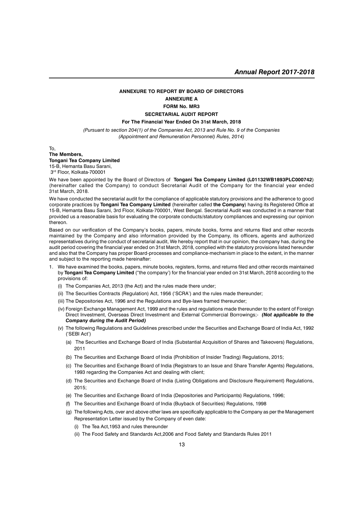#### **ANNEXURE TO REPORT BY BOARD OF DIRECTORS ANNEXURE A FORM No. MR3 SECRETARIAL AUDIT REPORT**

### **For The Financial Year Ended On 31st March, 2018**

*(Pursuant to section 204(1) of the Companies Act, 2013 and Rule No. 9 of the Companies (Appointment and Remuneration Personnel) Rules, 2014)*

To,

#### **The Members, Tongani Tea Company Limited** 15-B, Hemanta Basu Sarani, 3rd Floor, Kolkata-700001

We have been appointed by the Board of Directors of **Tongani Tea Company Limited (L01132WB1893PLC000742**) (hereinafter called the Company) to conduct Secretarial Audit of the Company for the financial year ended 31st March, 2018.

We have conducted the secretarial audit for the compliance of applicable statutory provisions and the adherence to good corporate practices by **Tongani Tea Company Limited** (hereinafter called **the Company**) having its Registered Office at 15-B, Hemanta Basu Sarani, 3rd Floor, Kolkata-700001, West Bengal. Secretarial Audit was conducted in a manner that provided us a reasonable basis for evaluating the corporate conducts/statutory compliances and expressing our opinion thereon.

Based on our verification of the Company's books, papers, minute books, forms and returns filed and other records maintained by the Company and also information provided by the Company, its officers, agents and authorized representatives during the conduct of secretarial audit, We hereby report that in our opinion, the company has, during the audit period covering the financial year ended on 31st March, 2018, complied with the statutory provisions listed hereunder and also that the Company has proper Board-processes and compliance-mechanism in place to the extent, in the manner and subject to the reporting made hereinafter:

- 1. We have examined the books, papers, minute books, registers, forms, and returns filed and other records maintained by **Tongani Tea Company Limited** ("the company') for the financial year ended on 31st March, 2018 according to the provisions of:
	- (i) The Companies Act, 2013 (the Act) and the rules made there under;
	- (ii) The Securities Contracts (Regulation) Act, 1956 ('SCRA') and the rules made thereunder;
	- (iii) The Depositories Act, 1996 and the Regulations and Bye-laws framed thereunder;
	- (iv) Foreign Exchange Management Act, 1999 and the rules and regulations made thereunder to the extent of Foreign Direct Investment, Overseas Direct Investment and External Commercial Borrowings;- *(Not applicable to the Company during the Audit Period)*
	- (v) The following Regulations and Guidelines prescribed under the Securities and Exchange Board of India Act, 1992 ('SEBI Act')
		- (a) The Securities and Exchange Board of India (Substantial Acquisition of Shares and Takeovers) Regulations, 2011
		- (b) The Securities and Exchange Board of India (Prohibition of Insider Trading) Regulations, 2015;
		- (c) The Securities and Exchange Board of India (Registrars to an Issue and Share Transfer Agents) Regulations, 1993 regarding the Companies Act and dealing with client;
		- (d) The Securities and Exchange Board of India (Listing Obligations and Disclosure Requirement) Regulations, 2015;
		- (e) The Securities and Exchange Board of India (Depositories and Participants) Regulations, 1996;
		- (f) The Securities and Exchange Board of India (Buyback of Securities) Regulations, 1998
		- (g) The following Acts, over and above other laws are specifically applicable to the Company as per the Management Representation Letter issued by the Company of even date:
			- (i) The Tea Act,1953 and rules thereunder
			- (ii) The Food Safety and Standards Act,2006 and Food Safety and Standards Rules 2011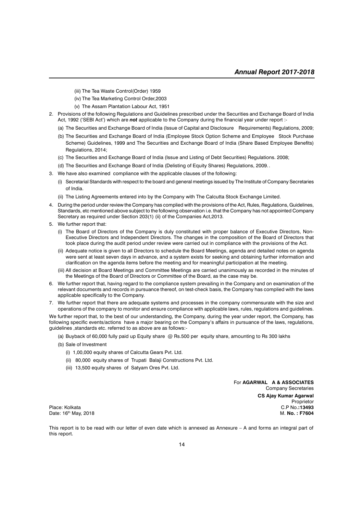- (iii) The Tea Waste Control(Order) 1959
- (iv) The Tea Marketing Control Order,2003
- (v) The Assam Plantation Labour Act, 1951
- 2. Provisions of the following Regulations and Guidelines prescribed under the Securities and Exchange Board of India Act, 1992 ('SEBI Act') which are *not* applicable to the Company during the financial year under report :-
	- (a) The Securities and Exchange Board of India (Issue of Capital and Disclosure Requirements) Regulations, 2009;
	- (b) The Securities and Exchange Board of India (Employee Stock Option Scheme and Employee Stock Purchase Scheme) Guidelines, 1999 and The Securities and Exchange Board of India (Share Based Employee Benefits) Regulations, 2014;
	- (c) The Securities and Exchange Board of India (Issue and Listing of Debt Securities) Regulations. 2008;
	- (d) The Securities and Exchange Board of India (Delisting of Equity Shares) Regulations, 2009..
- 3. We have also examined compliance with the applicable clauses of the following:
	- (i) Secretarial Standards with respect to the board and general meetings issued by The Institute of Company Secretaries of India.
	- (ii) The Listing Agreements entered into by the Company with The Calcutta Stock Exchange Limited.
- 4. During the period under review the Company has complied with the provisions of the Act, Rules, Regulations, Guidelines, Standards, etc mentioned above subject to the following observation i.e. that the Company has not appointed Company Secretary as required under Section 203(1) (ii) of the Companies Act,2013.
- 5. We further report that:
	- (i) The Board of Directors of the Company is duly constituted with proper balance of Executive Directors, Non-Executive Directors and Independent Directors. The changes in the composition of the Board of Directors that took place during the audit period under review were carried out in compliance with the provisions of the Act.
	- (ii) Adequate notice is given to all Directors to schedule the Board Meetings, agenda and detailed notes on agenda were sent at least seven days in advance, and a system exists for seeking and obtaining further information and clarification on the agenda items before the meeting and for meaningful participation at the meeting.
	- (iii) All decision at Board Meetings and Committee Meetings are carried unanimously as recorded in the minutes of the Meetings of the Board of Directors or Committee of the Board, as the case may be.
- 6. We further report that, having regard to the compliance system prevailing in the Company and on examination of the relevant documents and records in pursuance thereof, on test-check basis, the Company has complied with the laws applicable specifically to the Company.
- 7. We further report that there are adequate systems and processes in the company commensurate with the size and operations of the company to monitor and ensure compliance with applicable laws, rules, regulations and guidelines.

We further report that, to the best of our understanding, the Company, during the year under report, the Company, has following specific events/actions have a major bearing on the Company's affairs in pursuance of the laws, regulations, guidelines ,standards etc. referred to as above are as follows:-

- (a) Buyback of 60,000 fully paid up Equity share @ Rs.500 per equity share, amounting to Rs 300 lakhs
- (b) Sale of Investment
	- (i) 1,00,000 equity shares of Calcutta Gears Pvt. Ltd.
	- (ii) 80,000 equity shares of Trupati Balaji Constructions Pvt. Ltd.
	- (iii) 13,500 equity shares of Satyam Ores Pvt. Ltd.

For **AGARWAL A & ASSOCIATES** Company Secretaries **CS Ajay Kumar Agarwal** Proprietor Place: Kolkata C.P No.**:13493** Date: 16<sup>th</sup> May, 2018 M. No. : F7604

This report is to be read with our letter of even date which is annexed as Annexure – A and forms an integral part of this report.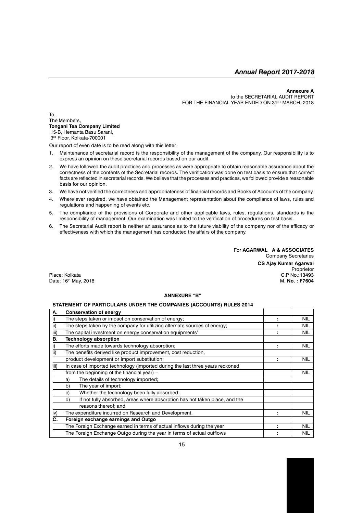#### **Annexure A**

to the SECRETARIAL AUDIT REPORT FOR THE FINANCIAL YEAR ENDED ON 31ST MARCH, 2018

To, The Members, **Tongani Tea Company Limited** 15-B, Hemanta Basu Sarani,

3rd Floor, Kolkata-700001

Our report of even date is to be read along with this letter.

- 1. Maintenance of secretarial record is the responsibility of the management of the company. Our responsibility is to express an opinion on these secretarial records based on our audit.
- 2. We have followed the audit practices and processes as were appropriate to obtain reasonable assurance about the correctness of the contents of the Secretarial records. The verification was done on test basis to ensure that correct facts are reflected in secretarial records. We believe that the processes and practices, we followed provide a reasonable basis for our opinion.
- 3. We have not verified the correctness and appropriateness of financial records and Books of Accounts of the company.
- 4. Where ever required, we have obtained the Management representation about the compliance of laws, rules and regulations and happening of events etc.
- 5. The compliance of the provisions of Corporate and other applicable laws, rules, regulations, standards is the responsibility of management. Our examination was limited to the verification of procedures on test basis.
- 6. The Secretarial Audit report is neither an assurance as to the future viability of the company nor of the efficacy or effectiveness with which the management has conducted the affairs of the company.

For **AGARWAL A & ASSOCIATES** Company Secretaries **CS Ajay Kumar Agarwal**

Proprietor

Place: Kolkata C.P No.**:13493**<br>Date: 16<sup>th</sup> May. 2018 Date: 16<sup>th</sup> May, 2018

# **ANNEXURE "B"**

#### **STATEMENT OF PARTICULARS UNDER THE COMPANIES (ACCOUNTS) RULES 2014**

| А.   | <b>Conservation of energy</b>                                                    |   |            |
|------|----------------------------------------------------------------------------------|---|------------|
|      | The steps taken or impact on conservation of energy;                             |   | NIL        |
| ii)  | The steps taken by the company for utilizing alternate sources of energy;        |   | NIL        |
| iii) | The capital investment on energy conservation equipments'                        |   | <b>NIL</b> |
| В.   | <b>Technology absorption</b>                                                     |   |            |
|      | The efforts made towards technology absorption;                                  |   | <b>NIL</b> |
| ii)  | The benefits derived like product improvement, cost reduction,                   |   |            |
|      | product development or import substitution;                                      |   | <b>NIL</b> |
| iii) | In case of imported technology (imported during the last three years reckoned    |   |            |
|      | from the beginning of the financial year) $-$                                    |   | <b>NIL</b> |
|      | The details of technology imported;<br>a)                                        |   |            |
|      | The year of import;<br>b)                                                        |   |            |
|      | Whether the technology been fully absorbed;<br>C)                                |   |            |
|      | If not fully absorbed, areas where absorption has not taken place, and the<br>d) |   |            |
|      | reasons thereof; and                                                             |   |            |
| iv)  | The expenditure incurred on Research and Development.                            | ٠ | <b>NIL</b> |
| C.   | Foreign exchange earnings and Outgo                                              |   |            |
|      | The Foreign Exchange earned in terms of actual inflows during the year           |   | <b>NIL</b> |
|      | The Foreign Exchange Outgo during the year in terms of actual outflows           |   | <b>NIL</b> |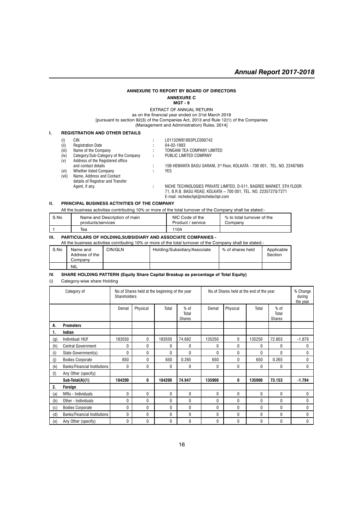#### **ANNEXURE TO REPORT BY BOARD OF DIRECTORS ANNEXURE C**

**MGT - 9**

EXTRACT OF ANNUAL RETURN as on the financial year ended on 31st March 2018 [pursuant to section 92(3) of the Companies Act, 2013 and Rule 12(1) of the Companies (Management and Administration) Rules, 2014]

#### **I. REGISTRATION AND OTHER DETAILS**

| $\left( 1\right)$ | CIN                                  |   | L01132WB1893PLC000742                                                    |
|-------------------|--------------------------------------|---|--------------------------------------------------------------------------|
| (ii)              | <b>Registration Date</b>             |   | 04-02-1893                                                               |
| (iii)             | Name of the Company                  |   | TONGANI TEA COMPANY LIMITED                                              |
| (iv)              | Category/Sub-Category of the Company | ÷ | PUBLIC LIMITED COMPANY                                                   |
| (v)               | Address of the Registered office     |   |                                                                          |
|                   | and contact details                  |   | 15B HEMANTA BASU SARANI, 3rd Floor, KOLKATA - 700 001, TEL. NO. 22487685 |
| (vi)              | Whether listed Company               |   | YES.                                                                     |
| (vii)             | Name, Address and Contact            |   |                                                                          |
|                   | details of Registrar and Transfer    |   |                                                                          |
|                   | Agent, if any.                       |   | NICHE TECHNOLOGIES PRIVATE LIMITED, D-511, BAGREE MARKET, 5TH FLOOR      |
|                   |                                      |   | 71, B.R.B. BASU ROAD, KOLKATA - 700 001, TEL. NO. 22357270/7271          |

E-mail: nichetechpl@nichetechpl.com

#### **II. PRINCIPAL BUSINESS ACTIVITIES OF THE COMPANY**

All the business activities contributing 10% or more of the total turnover of the Company shall be stated:-

| S.No | Name and Description of main | NIC Code of the   | % to total turnover of the |
|------|------------------------------|-------------------|----------------------------|
|      | products/services            | Product / service | Company                    |
|      | Tea                          | 1104              |                            |

#### **III. PARTICULARS OF HOLDING,SUBSIDIARY AND ASSOCIATE COMPANIES -**

All the business activities conributing 10% or more of the total turnover of the Company shall be stated:-

| S.No | Name and<br>Address of the<br>Company | CIN/GLN | Holding/Subsidiary/Associate | % of shares held | Applicable<br>Section |
|------|---------------------------------------|---------|------------------------------|------------------|-----------------------|
|      | <b>NIL</b>                            |         |                              |                  |                       |

#### **IV. SHARE HOLDING PATTERN (Equity Share Capital Breakup as percentage of Total Equity)**

(i) Category-wise share Holding

|                    | Category of                         | <b>Shareholders</b> | No. of Shares held at the beginning of the year |          |                                  | No.of Shares held at the end of the year |          |          |                                  | % Change<br>during<br>the year |
|--------------------|-------------------------------------|---------------------|-------------------------------------------------|----------|----------------------------------|------------------------------------------|----------|----------|----------------------------------|--------------------------------|
|                    |                                     | Demat               | Physical                                        | Total    | $%$ of<br>Total<br><b>Shares</b> | Demat                                    | Physical | Total    | $%$ of<br>Total<br><b>Shares</b> |                                |
| А.                 | <b>Promoters</b>                    |                     |                                                 |          |                                  |                                          |          |          |                                  |                                |
| 1.                 | Indian                              |                     |                                                 |          |                                  |                                          |          |          |                                  |                                |
| $\left( 9 \right)$ | Individual/ HUF                     | 183550              | $\mathbf{0}$                                    | 183550   | 74.682                           | 135250                                   | 0        | 135250   | 72.803                           | $-1.879$                       |
| (h)                | <b>Central Government</b>           | 0                   | 0                                               | 0        | 0                                | $\mathbf{0}$                             | 0        | 0        | 0                                | 0                              |
| (i)                | State Government(s)                 | 0                   | $\Omega$                                        | $\Omega$ | 0                                | 0                                        | $\Omega$ | $\Omega$ | 0                                | 0                              |
| (i)                | <b>Bodies Corporate</b>             | 650                 | $\Omega$                                        | 650      | 0.265                            | 650                                      | 0        | 650      | 0.265                            | 0                              |
| (k)                | <b>Banks/Financial Institutions</b> | 0                   | 0                                               | 0        | $\mathbf{0}$                     | 0                                        | 0        | 0        | 0                                | 0                              |
| (1)                | Any Other (specify)                 |                     |                                                 |          |                                  |                                          |          |          |                                  |                                |
|                    | Sub-Total(A)(1)                     | 184200              | 0                                               | 184200   | 74.947                           | 135900                                   | 0        | 135900   | 73.153                           | $-1.794$                       |
| 2.                 | Foreign                             |                     |                                                 |          |                                  |                                          |          |          |                                  |                                |
| (a)                | NRIs - Individuals                  | 0                   | 0                                               | 0        | 0                                | 0                                        | 0        | 0        | 0                                | 0                              |
| (b)                | Other - Individuals                 | 0                   | 0                                               | 0        | 0                                | 0                                        | 0        | 0        | 0                                | 0                              |
| (c)                | <b>Bodies Corporate</b>             | 0                   | 0                                               | 0        | 0                                | 0                                        | 0        | 0        | 0                                | 0                              |
| (d)                | <b>Banks/Financial Institutions</b> | 0                   | $\Omega$                                        | 0        | 0                                | 0                                        | 0        | 0        | 0                                | 0                              |
| (e)                | Any Other (specify)                 | 0                   | 0                                               | 0        | 0                                | 0                                        | 0        | 0        | 0                                | 0                              |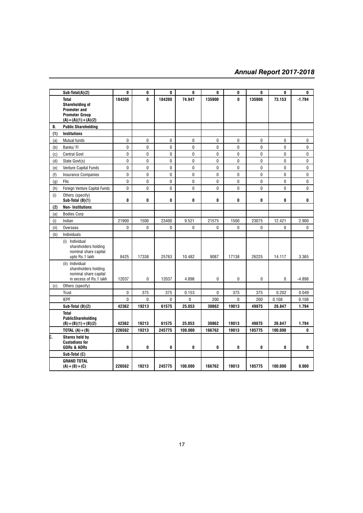|      | Sub-Total(A)(2)                                                                            | 0            | 0            | 0            | 0           | 0      | 0            | 0      | 0       | 0        |
|------|--------------------------------------------------------------------------------------------|--------------|--------------|--------------|-------------|--------|--------------|--------|---------|----------|
|      | Total                                                                                      | 184200       | 0            | 184200       | 74.947      | 135900 | 0            | 135900 | 73.153  | $-1.794$ |
|      | <b>Shareholding of</b>                                                                     |              |              |              |             |        |              |        |         |          |
|      | <b>Promoter and</b>                                                                        |              |              |              |             |        |              |        |         |          |
|      | <b>Promoter Group</b><br>$(A) = (A)(1) + (A)(2)$                                           |              |              |              |             |        |              |        |         |          |
| B.   | <b>Public Shareholding</b>                                                                 |              |              |              |             |        |              |        |         |          |
| (1)  | <b>Institutions</b>                                                                        |              |              |              |             |        |              |        |         |          |
| (a)  | <b>Mutual funds</b>                                                                        | 0            | 0            | $\mathbf{0}$ | 0           | 0      | 0            | 0      | 0       | 0        |
| (b)  | Banks/FI                                                                                   | 0            | 0            | 0            | 0           | 0      | 0            | 0      | 0       | 0        |
| (c)  | <b>Central Govt</b>                                                                        | 0            | 0            | 0            | 0           | 0      | $\mathbf{0}$ | 0      | 0       | 0        |
| (d)  | State Govt(s)                                                                              | 0            | 0            | 0            | 0           | 0      | 0            | 0      | 0       | 0        |
| (e)  | Venture Capital Funds                                                                      | 0            | 0            | 0            | $\mathbf 0$ | 0      | 0            | 0      | 0       | 0        |
| (f)  | <b>Insurance Companies</b>                                                                 | 0            | 0            | $\mathbf 0$  | 0           | 0      | $\mathbf{0}$ | 0      | 0       | 0        |
| (q)  | Flls                                                                                       | $\mathbf{0}$ | 0            | $\pmb{0}$    | $\mathbf 0$ | 0      | $\mathbf 0$  | 0      | 0       | 0        |
| (h)  | Foreign Venture Capital Funds                                                              | $\mathbf 0$  | 0            | $\mathbf 0$  | 0           | 0      | $\mathbf 0$  | 0      | 0       | 0        |
| (i)  | Others (specify)<br>Sub-Total (B)(1)                                                       | 0            | 0            | 0            | 0           | 0      | 0            | 0      | 0       | 0        |
| (2)  | <b>Non-Institutions</b>                                                                    |              |              |              |             |        |              |        |         |          |
| (a)  | <b>Bodies Corp</b>                                                                         |              |              |              |             |        |              |        |         |          |
| (i)  | Indian                                                                                     | 21900        | 1500         | 23400        | 9.521       | 21575  | 1500         | 23075  | 12.421  | 2.900    |
| (ii) | Overseas                                                                                   | $\mathbf{0}$ | $\mathbf{0}$ | 0            | 0           | 0      | 0            | 0      | 0       | 0        |
| (b)  | Individuals                                                                                |              |              |              |             |        |              |        |         |          |
|      | (i) Individual<br>shareholders holding<br>nominal share capital<br>upto Rs.1 lakh          | 8425         | 17338        | 25763        | 10.482      | 9087   | 17138        | 26225  | 14.117  | 3.365    |
|      | (ii) Individual<br>shareholders holding<br>nominal share capital<br>in excess of Rs.1 lakh | 12037        | 0            | 12037        | 4.898       | 0      | 0            | 0      | 0       | $-4.898$ |
| (c)  | Others (specify)                                                                           |              |              |              |             |        |              |        |         |          |
|      | Trust                                                                                      | 0            | 375          | 375          | 0.153       | 0      | 375          | 375    | 0.202   | 0.049    |
|      | <b>IEPF</b>                                                                                | $\mathbf{0}$ | $\mathbf{0}$ | $\mathbf{0}$ | 0           | 200    | 0            | 200    | 0.108   | 0.108    |
|      | Sub-Total (B)(2)                                                                           | 42362        | 19213        | 61575        | 25.053      | 30862  | 19013        | 49875  | 26.847  | 1.794    |
|      | <b>Total</b><br>PublicShareholding<br>$(B) = (B)(1) + (B)(2)$                              | 42362        | 19213        | 61575        | 25.053      | 30862  | 19013        | 49875  | 26.847  | 1.794    |
|      | TOTAL $(A)+(B)$                                                                            | 226562       | 19213        | 245775       | 100.000     | 166762 | 19013        | 185775 | 100.000 | 0        |
| þ.   | Shares held by<br><b>Custodians for</b><br><b>GDRs &amp; ADRs</b>                          | 0            | 0            | 0            | 0           | 0      | 0            | 0      | 0       | 0        |
|      | Sub-Total (C)                                                                              |              |              |              |             |        |              |        |         |          |
|      | <b>GRAND TOTAL</b><br>$(A) + (B) + (C)$                                                    | 226562       | 19213        | 245775       | 100.000     | 166762 | 19013        | 185775 | 100.000 | 0.000    |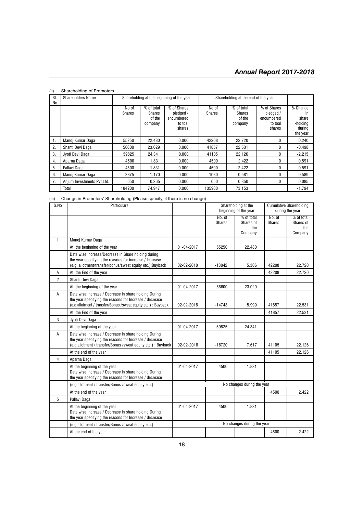| SI.<br>No.   | <b>Shareholders Name</b>   | Shareholding at the beginning of the year |                                           |                                                             | Shareholding at the end of the year |                                           |                                                             |                                                           |
|--------------|----------------------------|-------------------------------------------|-------------------------------------------|-------------------------------------------------------------|-------------------------------------|-------------------------------------------|-------------------------------------------------------------|-----------------------------------------------------------|
|              |                            | No of<br><b>Shares</b>                    | % of total<br>Shares<br>of the<br>company | % of Shares<br>pledged /<br>encumbered<br>to toal<br>shares | No of<br><b>Shares</b>              | % of total<br>Shares<br>of the<br>company | % of Shares<br>pledged /<br>encumbered<br>to toal<br>shares | % Change<br>ın<br>share<br>-holding<br>during<br>the year |
| $\mathbf{1}$ | Manoj Kumar Daga           | 55250                                     | 22.480                                    | 0.000                                                       | 42208                               | 22.720                                    | 0                                                           | 0.240                                                     |
| 2.           | Shanti Devi Daga           | 56600                                     | 23.029                                    | 0.000                                                       | 41857                               | 22.531                                    | $\Omega$                                                    | $-0.498$                                                  |
| 3.           | Jvoti Devi Daga            | 59825                                     | 24.341                                    | 0.000                                                       | 41105                               | 22.126                                    | 0                                                           | $-2.215$                                                  |
| 4.           | Aparna Daga                | 4500                                      | 1.831                                     | 0.000                                                       | 4500                                | 2.422                                     | 0                                                           | 0.591                                                     |
| 5.           | Pallavi Daga               | 4500                                      | 1.831                                     | 0.000                                                       | 4500                                | 2.422                                     | $\Omega$                                                    | 0.591                                                     |
| 6.           | Manoj Kumar Daga           | 2875                                      | 1.170                                     | 0.000                                                       | 1080                                | 0.581                                     | 0                                                           | $-0.589$                                                  |
| 7.           | Anjum Investments Pvt.Ltd. | 650                                       | 0.265                                     | 0.000                                                       | 650                                 | 0.350                                     | $\Omega$                                                    | 0.085                                                     |
|              | Total                      | 184200                                    | 74.947                                    | 0.000                                                       | 135900                              | 73.153                                    |                                                             | $-1.794$                                                  |

### (ii) Shareholding of Promoters

(iii) Change in Promoters' Shareholding (Please specify, if there is no change)

| S.No           | Particulars                                                                                                                                                                        |            |                         | Shareholding at the<br>beginning of the year |                  | Cumulative Shareholding<br>during the year |
|----------------|------------------------------------------------------------------------------------------------------------------------------------------------------------------------------------|------------|-------------------------|----------------------------------------------|------------------|--------------------------------------------|
|                |                                                                                                                                                                                    |            | No. of<br><b>Shares</b> | % of total<br>Shares of<br>the<br>Company    | No. of<br>Shares | % of total<br>Shares of<br>the<br>Company  |
| $\mathbf{1}$   | Manoj Kumar Daga                                                                                                                                                                   |            |                         |                                              |                  |                                            |
|                | At the beginning of the year                                                                                                                                                       | 01-04-2017 | 55250                   | 22.480                                       |                  |                                            |
|                | Date wise Increase/Decrease in Share holding during<br>the year specifying the reasons for increase /decrease<br>(e.g. allotment/transfer/bonus/sweat equity etc.):Buyback         | 02-02-2018 | $-13042$                | 5.306                                        | 42208            | 22.720                                     |
| Α              | At the End of the year                                                                                                                                                             |            |                         |                                              | 42208            | 22.720                                     |
| $\overline{2}$ | Shanti Devi Daga                                                                                                                                                                   |            |                         |                                              |                  |                                            |
|                | At the beginning of the year                                                                                                                                                       | 01-04-2017 | 56600                   | 23.029                                       |                  |                                            |
| A              | Date wise Increase / Decrease in share holding During<br>the year specifying the reasons for Increase / decrease<br>(e.g.allotment / transfer/Bonus / sweat equity etc.) : Buyback | 02-02-2018 | $-14743$                | 5.999                                        | 41857            | 22.531                                     |
|                | At the End of the year                                                                                                                                                             |            |                         |                                              | 41857            | 22.531                                     |
| 3              | Jyoti Devi Daga                                                                                                                                                                    |            |                         |                                              |                  |                                            |
|                | At the beginning of the year                                                                                                                                                       | 01-04-2017 | 59825                   | 24.341                                       |                  |                                            |
| A              | Date wise Increase / Decrease in share holding During<br>the year specifying the reasons for Increase / decrease<br>(e.g.allotment / transfer/Bonus / sweat equity etc.) : Buyback | 02-02-2018 | $-18720$                | 7.617                                        | 41105            | 22.126                                     |
|                | At the end of the year                                                                                                                                                             |            |                         |                                              | 41105            | 22.126                                     |
| $\overline{4}$ | Aparna Daga                                                                                                                                                                        |            |                         |                                              |                  |                                            |
|                | At the beginning of the year<br>Date wise Increase / Decrease in share holding During<br>the year specifying the reasons for Increase / decrease                                   | 01-04-2017 | 4500                    | 1.831                                        |                  |                                            |
|                | (e.g.allotment / transfer/Bonus / sweat equity etc.) :                                                                                                                             |            |                         | No changes during the year                   |                  |                                            |
|                | At the end of the year                                                                                                                                                             |            |                         |                                              | 4500             | 2.422                                      |
| 5              | Pallavi Daga                                                                                                                                                                       |            |                         |                                              |                  |                                            |
|                | At the beginning of the year<br>Date wise Increase / Decrease in share holding During<br>the year specifying the reasons for Increase / decrease                                   | 01-04-2017 | 4500                    | 1.831                                        |                  |                                            |
|                | (e.g.allotment / transfer/Bonus /sweat equity etc.) :                                                                                                                              |            |                         | No changes during the year                   |                  |                                            |
|                | At the end of the year                                                                                                                                                             |            |                         |                                              | 4500             | 2.422                                      |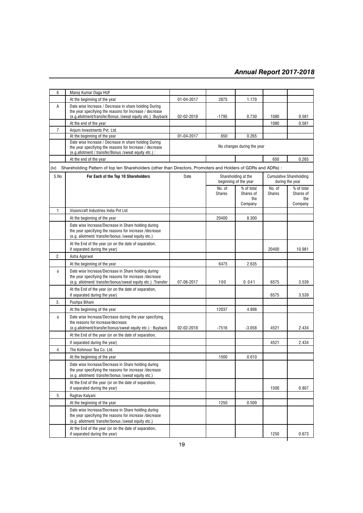| 6              | Manoj Kumar Daga HUF                                                                                                                                                             |                            |                         |                                                                                                   |                         |                                           |  |
|----------------|----------------------------------------------------------------------------------------------------------------------------------------------------------------------------------|----------------------------|-------------------------|---------------------------------------------------------------------------------------------------|-------------------------|-------------------------------------------|--|
|                | At the beginning of the year                                                                                                                                                     | 01-04-2017                 | 2875                    | 1.170                                                                                             |                         |                                           |  |
| Α              | Date wise Increase / Decrease in share holding During<br>the year specifying the reasons for Increase / decrease<br>(e.g.allotment/transfer/Bonus / sweat equity etc.) : Buyback | 02-02-2018                 | -1795                   | 0.730                                                                                             | 1080                    | 0.581                                     |  |
|                | At the end of the year                                                                                                                                                           |                            |                         |                                                                                                   | 1080                    | 0.581                                     |  |
| $\overline{7}$ | Anjum Investments Pvt. Ltd.                                                                                                                                                      |                            |                         |                                                                                                   |                         |                                           |  |
|                | At the beginning of the year                                                                                                                                                     | 01-04-2017                 | 650                     | 0.265                                                                                             |                         |                                           |  |
|                | Date wise Increase / Decrease in share holding During<br>the year specifying the reasons for Increase / decrease<br>(e.g. allotment / transfer/Bonus / sweat equity etc.) :      | No changes during the year |                         |                                                                                                   |                         |                                           |  |
|                | At the end of the year                                                                                                                                                           |                            |                         |                                                                                                   | 650                     | 0.265                                     |  |
| (iv)           | Shareholding Pattern of top ten Shareholders (other than Directors, Promoters and Holders of GDRs and ADRs) :                                                                    |                            |                         |                                                                                                   |                         |                                           |  |
| S.No           | For Each of the Top 10 Shareholders                                                                                                                                              | Date                       |                         | <b>Cumulative Shareholding</b><br>Shareholding at the<br>beginning of the year<br>during the year |                         |                                           |  |
|                |                                                                                                                                                                                  |                            | No. of<br><b>Shares</b> | % of total<br>Shares of<br>the<br>Company                                                         | No. of<br><b>Shares</b> | % of total<br>Shares of<br>the<br>Company |  |
| $\mathbf{1}$   | Visioncraft Industries India Pvt Ltd                                                                                                                                             |                            |                         |                                                                                                   |                         |                                           |  |
|                | At the beginning of the year                                                                                                                                                     |                            | 20400                   | 8.300                                                                                             |                         |                                           |  |
|                | Date wise Increase/Decrease in Share holding during<br>the year specifying the reasons for increase /decrease<br>(e.g. allotment/ transfer/bonus / sweat equity etc.)            |                            |                         |                                                                                                   |                         |                                           |  |
|                | At the End of the year (or on the date of separation,<br>if separated during the year)                                                                                           |                            |                         |                                                                                                   | 20400                   | 10.981                                    |  |
| 2.             | Asha Agarwal                                                                                                                                                                     |                            |                         |                                                                                                   |                         |                                           |  |
|                | At the beginning of the year                                                                                                                                                     |                            | 6475                    | 2.635                                                                                             |                         |                                           |  |
| a              | Date wise Increase/Decrease in Share holding during<br>the year specifying the reasons for increase /decrease<br>(e.g. allotment/ transfer/bonus/sweat equity etc.) :Transfer    | 07-08-2017                 | 100                     | 0.041                                                                                             | 6575                    | 3.539                                     |  |
|                | At the End of the year (or on the date of separation,<br>if separated during the year)                                                                                           |                            |                         |                                                                                                   | 6575                    | 3.539                                     |  |
| 3.             | Pushpa Bihani                                                                                                                                                                    |                            |                         |                                                                                                   |                         |                                           |  |
|                | At the beginning of the year                                                                                                                                                     |                            | 12037                   | 4.898                                                                                             |                         |                                           |  |
| $\mathsf a$    | Date wise Increase/Decrease during the year specifying<br>the reasons for increase/decrease<br>(e.g.allotment/transfer/bonus/sweat equity etc.) : Buyback                        | 02-02-2018                 | $-7516$                 | $-3.058$                                                                                          | 4521                    | 2.434                                     |  |
|                | At the End of the year (or on the date of separation,                                                                                                                            |                            |                         |                                                                                                   |                         |                                           |  |
|                | if separated during the year)                                                                                                                                                    |                            |                         |                                                                                                   | 4521                    | 2.434                                     |  |
| 4              | The Kohinoor Tea Co. Ltd.                                                                                                                                                        |                            |                         |                                                                                                   |                         |                                           |  |
|                | At the beginning of the year                                                                                                                                                     |                            | 1500                    | 0.610                                                                                             |                         |                                           |  |
|                | Date wise Increase/Decrease in Share holding during<br>the year specifying the reasons for increase /decrease<br>(e.g. allotment/ transfer/bonus / sweat equity etc.)            |                            |                         |                                                                                                   |                         |                                           |  |
|                | At the End of the year (or on the date of separation,<br>if separated during the year)                                                                                           |                            |                         |                                                                                                   | 1500                    | 0.807                                     |  |
| 5              | Raghav Kalyani                                                                                                                                                                   |                            |                         |                                                                                                   |                         |                                           |  |
|                | At the beginning of the year                                                                                                                                                     |                            | 1250                    | 0.509                                                                                             |                         |                                           |  |
|                | Date wise Increase/Decrease in Share holding during<br>the year specifying the reasons for increase /decrease<br>(e.g. allotment/ transfer/bonus /sweat equity etc.)             |                            |                         |                                                                                                   |                         |                                           |  |
|                | At the End of the year (or on the date of separation,<br>if separated during the year)                                                                                           |                            |                         |                                                                                                   | 1250                    | 0.673                                     |  |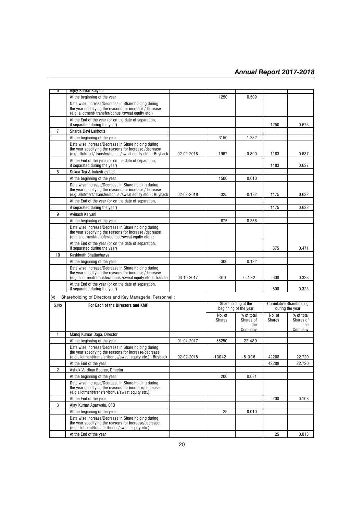| წ              | Bijoy Kumar Kalyani                                                                                                                                                             |            |                         |                         |                         |                                |
|----------------|---------------------------------------------------------------------------------------------------------------------------------------------------------------------------------|------------|-------------------------|-------------------------|-------------------------|--------------------------------|
|                | At the beginning of the year                                                                                                                                                    |            | 1250                    | 0.509                   |                         |                                |
|                | Date wise Increase/Decrease in Share holding during<br>the year specifying the reasons for increase/decrease<br>(e.g. allotment/ transfer/bonus / sweat equity etc.)            |            |                         |                         |                         |                                |
|                | At the End of the year (or on the date of separation,<br>if separated during the year)                                                                                          |            |                         |                         | 1250                    | 0.673                          |
| 7              | Sharda Devi Lakhotia                                                                                                                                                            |            |                         |                         |                         |                                |
|                | At the beginning of the year                                                                                                                                                    |            | 3150                    | 1.282                   |                         |                                |
|                | Date wise Increase/Decrease in Share holding during<br>the year specifying the reasons for increase /decrease<br>(e.g. allotment/ transfer/bonus /sweat equity etc.) : Buyback  | 02-02-2018 | $-1967$                 | $-0.800$                | 1183                    | 0.637                          |
|                | At the End of the year (or on the date of separation,<br>if separated during the year)                                                                                          |            |                         |                         | 1183                    | 0.637                          |
| 8              | Sukna Tea & Industries Ltd.                                                                                                                                                     |            |                         |                         |                         |                                |
|                | At the beginning of the year                                                                                                                                                    |            | 1500                    | 0.610                   |                         |                                |
|                | Date wise Increase/Decrease in Share holding during<br>the year specifying the reasons for increase /decrease<br>(e.g. allotment/ transfer/bonus / sweat equity etc.) : Buyback | 02-02-2018 | $-325$                  | $-0.132$                | 1175                    | 0.632                          |
|                | At the End of the year (or on the date of separation,                                                                                                                           |            |                         |                         |                         |                                |
|                | if separated during the year)                                                                                                                                                   |            |                         |                         | 1175                    | 0.632                          |
| 9              | Avinash Kalyani                                                                                                                                                                 |            |                         |                         |                         |                                |
|                | At the beginning of the year                                                                                                                                                    |            | 875                     | 0.356                   |                         |                                |
|                | Date wise Increase/Decrease in Share holding during<br>the year specifying the reasons for increase/decrease<br>(e.g. allotment/transfer/bonus /sweat equity etc.) :            |            |                         |                         |                         |                                |
|                | At the End of the year (or on the date of separation,<br>if separated during the year)                                                                                          |            |                         |                         | 875                     | 0.471                          |
| 10             | Kashinath Bhattacharya                                                                                                                                                          |            |                         |                         |                         |                                |
|                | At the beginning of the year                                                                                                                                                    |            | 300                     | 0.122                   |                         |                                |
|                | Date wise Increase/Decrease in Share holding during<br>the year specifying the reasons for increase /decrease<br>(e.g. allotment/ transfer/bonus / sweat equity etc.): Transfer | 03-10-2017 | 300                     | 0.122                   | 600                     | 0.323                          |
|                | At the End of the year (or on the date of separation,<br>if separated during the year)                                                                                          |            |                         |                         | 600                     | 0.323                          |
| (v)            | Shareholding of Directors and Key Managerial Personnel:                                                                                                                         |            |                         |                         |                         |                                |
| S.No           | For Each of the Directors and KMP                                                                                                                                               |            |                         | Shareholding at the     |                         | <b>Cumulative Shareholding</b> |
|                |                                                                                                                                                                                 |            |                         | beginning of the year   |                         | during the year                |
|                |                                                                                                                                                                                 |            | No. of<br><b>Shares</b> | % of total<br>Shares of | No. of<br><b>Shares</b> | % of total<br>Shares of        |
|                |                                                                                                                                                                                 |            |                         | the                     |                         | the                            |
|                |                                                                                                                                                                                 |            |                         | Company                 |                         | Company                        |
| $\mathbf{1}$   | Manoj Kumar Daga, Director<br>At the beginning of the year                                                                                                                      | 01-04-2017 | 55250                   | 22.480                  |                         |                                |
|                | Date wise Increase/Decrease in Share holding during                                                                                                                             |            |                         |                         |                         |                                |
|                | the year specifying the reasons for increase/decrease<br>(e.g.allotment/transfer/bonus/sweat equity etc.) : Buyback                                                             | 02-02-2018 | $-13042$                | $-5.306$                | 42208                   | 22.720                         |
|                | At the End of the year                                                                                                                                                          |            |                         |                         | 42208                   | 22.720                         |
| $\overline{c}$ | Ashok Vardhan Bagree, Director                                                                                                                                                  |            |                         |                         |                         |                                |
|                | At the beginning of the year                                                                                                                                                    |            | 200                     | 0.081                   |                         |                                |
|                | Date wise Increase/Decrease in Share holding during<br>the year specifying the reasons for increase/decrease<br>(e.g.allotment/transfer/bonus/sweat equity etc.):               |            |                         |                         |                         |                                |
|                | At the End of the year                                                                                                                                                          |            |                         |                         | 200                     | 0.108                          |
| 3              | Ajay Kumar Agarwala, CFO                                                                                                                                                        |            |                         |                         |                         |                                |
|                | At the beginning of the year                                                                                                                                                    |            | 25                      | 0.010                   |                         |                                |
|                | Date wise Increase/Decrease in Share holding during<br>the year specifying the reasons for increase/decrease<br>(e.g.allotment/transfer/bonus/sweat equity etc.):               |            |                         |                         |                         |                                |
|                | At the End of the year                                                                                                                                                          |            |                         |                         | 25                      | 0.013                          |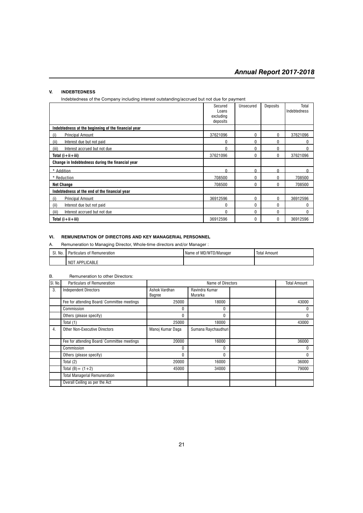#### **V. INDEBTEDNESS**

Indebtedness of the Company including interest outstanding/accrued but not due for payment

|                                                     | Secured<br>Loans | Unsecured | Deposits | Total<br>Indebtedness |
|-----------------------------------------------------|------------------|-----------|----------|-----------------------|
|                                                     | excluding        |           |          |                       |
|                                                     | deposits         |           |          |                       |
| Indebtedness at the beginning of the financial year |                  |           |          |                       |
| <b>Principal Amount</b><br>(i)                      | 37621096         | 0         | 0        | 37621096              |
| Interest due but not paid<br>(ii)                   | 0                | 0         | 0        | 0                     |
| Interest accrued but not due<br>(iii)               | 0                | 0         | 0        | N                     |
| Total $(i+ii+iii)$                                  | 37621096         | $\Omega$  | 0        | 37621096              |
| Change in Indebtedness during the financial year    |                  |           |          |                       |
| * Addition                                          | U                | n         | n        |                       |
| * Reduction                                         | 708500           | 0         | 0        | 708500                |
| <b>Net Change</b>                                   | 708500           | 0         | 0        | 708500                |
| Indebtedness at the end of the financial year       |                  |           |          |                       |
| <b>Principal Amount</b><br>(i)                      | 36912596         | 0         | 0        | 36912596              |
| (ii)<br>Interest due but not paid                   | 0                | 0         | $\Omega$ | O                     |
| Interest accrued but not due<br>(iii)               | 0                | 0         | 0        | 0                     |
| Total $(i+ii+iii)$                                  | 36912596         | 0         | 0        | 36912596              |

#### **VI. REMUNERATION OF DIRECTORS AND KEY MANAGERIAL PERSONNEL**

A. Remuneration to Managing Director, Whole-time directors and/or Manager :

| No<br>$\sim$<br>υı. | ticulars of <b>!</b><br>f Remuneration<br>'đΙ | Name of MD/WTD/Manager | <b>Total Amount</b> |
|---------------------|-----------------------------------------------|------------------------|---------------------|
|                     | LICABLE<br>. NOT<br>APP'                      |                        |                     |

### B. Remuneration to other Directors:

| SI. No. | Particulars of Remuneration                 |                                | Name of Directors         | <b>Total Amount</b> |
|---------|---------------------------------------------|--------------------------------|---------------------------|---------------------|
| 3.      | <b>Independent Directors</b>                | Ashok Vardhan<br><b>Bagree</b> | Ravindra Kumar<br>Murarka |                     |
|         | Fee for attending Board/ Committee meetings | 25000                          | 18000                     | 43000               |
|         | Commission                                  | 0                              | 0                         |                     |
|         | Others (please specify)                     | 0                              | 0                         |                     |
|         | Total (1)                                   | 25000                          | 18000                     | 43000               |
| 4.      | <b>Other Non-Executive Directors</b>        | Manoj Kumar Daga               | Sumana Raychaudhuri       |                     |
|         | Fee for attending Board/ Committee meetings | 20000                          | 16000                     | 36000               |
|         | Commission                                  | 0                              | 0                         |                     |
|         | Others (please specify)                     | 0                              | 0                         |                     |
|         | Total (2)                                   | 20000                          | 16000                     | 36000               |
|         | Total $(B) = (1 + 2)$                       | 45000                          | 34000                     | 79000               |
|         | <b>Total Managerial Remuneration</b>        |                                |                           |                     |
|         | Overall Ceiling as per the Act              |                                |                           |                     |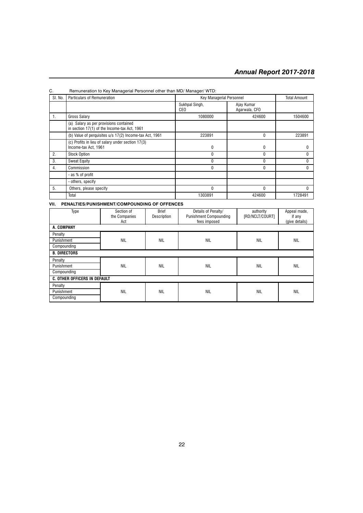| SI. No. | Particulars of Remuneration                                                            | <b>Key Managerial Personnel</b> |                             | <b>Total Amount</b> |
|---------|----------------------------------------------------------------------------------------|---------------------------------|-----------------------------|---------------------|
|         |                                                                                        | Sukhpal Singh,<br><b>CEO</b>    | Ajay Kumar<br>Agarwala, CFO |                     |
| 1.      | <b>Gross Salary</b>                                                                    | 1080000                         | 424600                      | 1504600             |
|         | (a) Salary as per provisions contained<br>in section 17(1) of the Income-tax Act, 1961 |                                 |                             |                     |
|         | (b) Value of perquisites u/s 17(2) Income-tax Act, 1961                                | 223891                          | $\Omega$                    | 223891              |
|         | (c) Profits in lieu of salary under section 17(3)<br>Income-tax Act, 1961              | 0                               | $\Omega$                    |                     |
| 2.      | <b>Stock Option</b>                                                                    | 0                               | $\Omega$                    |                     |
| 3.      | <b>Sweat Equity</b>                                                                    | 0                               | $\Omega$                    |                     |
| 4.      | Commission                                                                             | 0                               | $\Omega$                    |                     |
|         | - as % of profit                                                                       |                                 |                             |                     |
|         | - others, specify                                                                      |                                 |                             |                     |
| 5.      | Others, please specify                                                                 | 0                               | $\Omega$                    |                     |
|         | Total                                                                                  | 1303891                         | 424600                      | 1728491             |

#### C. Remuneration to Key Managerial Personnel other than MD/ Manager/ WTD:

**VII. PENALTIES/PUNISHMENT/COMPOUNDING OF OFFENCES**

| Type                                | Section of<br>the Companies<br>Act | <b>Brief</b><br>Description | Details of Penalty/<br>authority<br><b>Punishment Compounding</b><br>[RD/NCLT/COURT]<br>fees imposed |            | Appeal made,<br>if any<br>(give details) |  |
|-------------------------------------|------------------------------------|-----------------------------|------------------------------------------------------------------------------------------------------|------------|------------------------------------------|--|
| A. COMPANY                          |                                    |                             |                                                                                                      |            |                                          |  |
| Penalty                             |                                    |                             |                                                                                                      |            |                                          |  |
| Punishment                          | <b>NIL</b>                         | <b>NIL</b>                  | <b>NIL</b>                                                                                           | <b>NIL</b> | <b>NIL</b>                               |  |
| Compounding                         |                                    |                             |                                                                                                      |            |                                          |  |
| <b>B. DIRECTORS</b>                 |                                    |                             |                                                                                                      |            |                                          |  |
| Penalty                             |                                    |                             |                                                                                                      |            |                                          |  |
| Punishment                          | <b>NIL</b>                         | <b>NIL</b>                  | <b>NIL</b>                                                                                           | <b>NIL</b> | <b>NIL</b>                               |  |
| Compounding                         |                                    |                             |                                                                                                      |            |                                          |  |
| <b>C. OTHER OFFICERS IN DEFAULT</b> |                                    |                             |                                                                                                      |            |                                          |  |
| Penalty                             |                                    |                             |                                                                                                      |            |                                          |  |
| Punishment                          | <b>NIL</b>                         | <b>NIL</b>                  | <b>NIL</b>                                                                                           | <b>NIL</b> | <b>NIL</b>                               |  |
| Compounding                         |                                    |                             |                                                                                                      |            |                                          |  |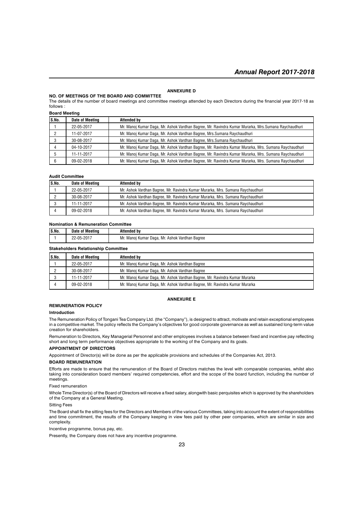#### **ANNEXURE D**

#### **NO. OF MEETINGS OF THE BOARD AND COMMITTEE**

The details of the number of board meetings and committee meetings attended by each Directors during the financial year 2017-18 as follows :

**Board Meeting**

| S.No. | Date of Meeting | <b>Attended by</b>                                                                                   |
|-------|-----------------|------------------------------------------------------------------------------------------------------|
|       | 22-05-2017      | Mr. Manoj Kumar Daga, Mr. Ashok Vardhan Bagree, Mr. Ravindra Kumar Murarka, Mrs. Sumana Raychaudhuri |
|       | 11-07-2017      | Mr. Manoj Kumar Daga, Mr. Ashok Vardhan Bagree, Mrs. Sumana Raychaudhuri                             |
|       | 30-08-2017      | Mr. Manoj Kumar Daga, Mr. Ashok Vardhan Bagree, Mrs. Sumana Raychaudhuri                             |
|       | 04-10-2017      | Mr. Manoj Kumar Daga, Mr. Ashok Vardhan Bagree, Mr. Ravindra Kumar Murarka, Mrs. Sumana Raychaudhuri |
|       | 11-11-2017      | Mr. Manoj Kumar Daga, Mr. Ashok Vardhan Bagree, Mr. Ravindra Kumar Murarka, Mrs. Sumana Raychaudhuri |
|       | 09-02-2018      | Mr. Manoj Kumar Daga, Mr. Ashok Vardhan Bagree, Mr. Ravindra Kumar Murarka, Mrs. Sumana Raychaudhuri |

#### **Audit Committee**

| IS.No. | Date of Meeting | Attended by                                                                    |
|--------|-----------------|--------------------------------------------------------------------------------|
|        | 22-05-2017      | Mr. Ashok Vardhan Bagree, Mr. Ravindra Kumar Murarka, Mrs. Sumana Raychaudhuri |
|        | 30-08-2017      | Mr. Ashok Vardhan Bagree, Mr. Ravindra Kumar Murarka, Mrs. Sumana Raychaudhuri |
|        | 11-11-2017      | Mr. Ashok Vardhan Bagree, Mr. Ravindra Kumar Murarka, Mrs. Sumana Raychaudhuri |
|        | 09-02-2018      | Mr. Ashok Vardhan Bagree, Mr. Ravindra Kumar Murarka, Mrs. Sumana Raychaudhuri |

#### **Nomination & Remuneration Committee**

| IS.No.                                     | Date of Meeting | Attended by                                    |  |  |
|--------------------------------------------|-----------------|------------------------------------------------|--|--|
|                                            | 22-05-2017      | Mr. Manoj Kumar Daga, Mr. Ashok Vardhan Bagree |  |  |
| <b>Stakeholders Relationship Committee</b> |                 |                                                |  |  |

| IS.No. | Date of Meeting | Attended by                                                                |
|--------|-----------------|----------------------------------------------------------------------------|
|        | 22-05-2017      | Mr. Manoj Kumar Daga, Mr. Ashok Vardhan Bagree                             |
|        | 30-08-2017      | Mr. Manoj Kumar Daga, Mr. Ashok Vardhan Bagree                             |
|        | 11-11-2017      | Mr. Manoj Kumar Daga, Mr. Ashok Vardhan Bagree, Mr. Ravindra Kumar Murarka |
|        | 09-02-2018      | Mr. Manoj Kumar Daga, Mr. Ashok Vardhan Bagree, Mr. Ravindra Kumar Murarka |

#### **ANNEXURE E**

#### **REMUNERATION POLICY**

#### **Introduction**

The Remuneration Policy of Tongani Tea Company Ltd. (the "Company"), is designed to attract, motivate and retain exceptional employees in a competitive market. The policy reflects the Company's objectives for good corporate governance as well as sustained long-term value creation for shareholders.

Remuneration to Directors, Key Managerial Personnel and other employees involves a balance between fixed and incentive pay reflecting short and long term performance objectives appropriate to the working of the Company and its goals.

#### **APPOINTMENT OF DIRECTORS**

Appointment of Director(s) will be done as per the applicable provisions and schedules of the Companies Act, 2013.

#### **BOARD REMUNERATION**

Efforts are made to ensure that the remuneration of the Board of Directors matches the level with comparable companies, whilst also taking into consideration board members' required competencies, effort and the scope of the board function, including the number of meetings.

Fixed remuneration

Whole Time Director(s) of the Board of Directors will receive a fixed salary, alongwith basic perquisites which is approved by the shareholders of the Company at a General Meeting.

#### Sitting Fees

The Board shall fix the sitting fees for the Directors and Members of the various Committees, taking into account the extent of responsibilities and time commitment, the results of the Company keeping in view fees paid by other peer companies, which are similar in size and complexity.

Incentive programme, bonus pay, etc.

Presently, the Company does not have any incentive programme.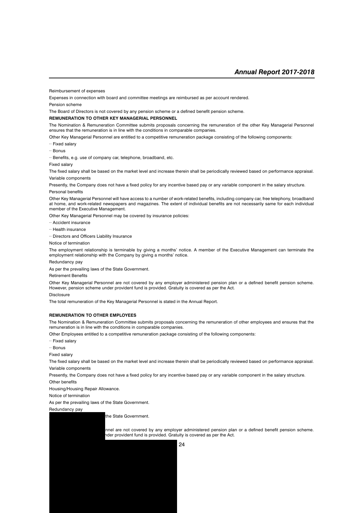Reimbursement of expenses

Expenses in connection with board and committee meetings are reimbursed as per account rendered.

Pension scheme

The Board of Directors is not covered by any pension scheme or a defined benefit pension scheme.

#### **REMUNERATION TO OTHER KEY MANAGERIAL PERSONNEL**

The Nomination & Remuneration Committee submits proposals concerning the remuneration of the other Key Managerial Personnel ensures that the remuneration is in line with the conditions in comparable companies.

Other Key Managerial Personnel are entitled to a competitive remuneration package consisting of the following components:

·· Fixed salary

·· Bonus

·· Benefits, e.g. use of company car, telephone, broadband, etc.

Fixed salary

The fixed salary shall be based on the market level and increase therein shall be periodically reviewed based on performance appraisal. Variable components

Presently, the Company does not have a fixed policy for any incentive based pay or any variable component in the salary structure. Personal benefits

Other Key Managerial Personnel will have access to a number of work-related benefits, including company car, free telephony, broadband at home, and work-related newspapers and magazines. The extent of individual benefits are not necessarily same for each individual member of the Executive Management.

Other Key Managerial Personnel may be covered by insurance policies:

·· Accident insurance

·· Health insurance

·· Directors and Officers Liability Insurance

Notice of termination

The employment relationship is terminable by giving a months' notice. A member of the Executive Management can terminate the employment relationship with the Company by giving a months' notice.

Redundancy pay

As per the prevailing laws of the State Government.

#### Retirement Benefits

Other Key Managerial Personnel are not covered by any employer administered pension plan or a defined benefit pension scheme. However, pension scheme under provident fund is provided. Gratuity is covered as per the Act.

Disclosure

The total remuneration of the Key Managerial Personnel is stated in the Annual Report.

#### **REMUNERATION TO OTHER EMPLOYEES**

The Nomination & Remuneration Committee submits proposals concerning the remuneration of other employees and ensures that the remuneration is in line with the conditions in comparable companies.

Other Employees entitled to a competitive remuneration package consisting of the following components:

·· Fixed salary

·· Bonus

Fixed salary

The fixed salary shall be based on the market level and increase therein shall be periodically reviewed based on performance appraisal. Variable components

Presently, the Company does not have a fixed policy for any incentive based pay or any variable component in the salary structure.

Other benefits

Housing/Housing Repair Allowance.

Notice of termination

As per the prevailing laws of the State Government.

Redundancy pay

the State Government.

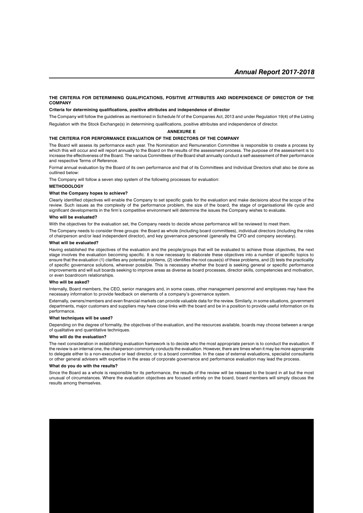#### **THE CRITERIA FOR DETERMINING QUALIFICATIONS, POSITIVE ATTRIBUTES AND INDEPENDENCE OF DIRECTOR OF THE COMPANY**

#### **Criteria for determining qualifications, positive attributes and independence of director**

The Company will follow the guidelines as mentioned in Schedule IV of the Companies Act, 2013 and under Regulation 19(4) of the Listing

Regulation with the Stock Exchange(s) in determining qualifications, positive attributes and independence of director.

#### **ANNEXURE E**

#### **THE CRITERIA FOR PERFORMANCE EVALUATION OF THE DIRECTORS OF THE COMPANY**

The Board will assess its performance each year. The Nomination and Remuneration Committee is responsible to create a process by which this will occur and will report annually to the Board on the results of the assessment process. The purpose of the assessment is to increase the effectiveness of the Board. The various Committees of the Board shall annually conduct a self-assessment of their performance and respective Terms of Reference.

Formal annual evaluation by the Board of its own performance and that of its Committees and Individual Directors shall also be done as outlined below:

The Company will follow a seven step system of the following processes for evaluation:

#### **METHODOLOGY**

#### **What the Company hopes to achieve?**

Clearly identified objectives will enable the Company to set specific goals for the evaluation and make decisions about the scope of the review. Such issues as the complexity of the performance problem, the size of the board, the stage of organisational life cycle and significant developments in the firm's competitive environment will determine the issues the Company wishes to evaluate.

#### **Who will be evaluated?**

With the objectives for the evaluation set, the Company needs to decide whose performance will be reviewed to meet them.

The Company needs to consider three groups: the Board as whole (including board committees), individual directors (including the roles of chairperson and/or lead independent director), and key governance personnel (generally the CFO and company secretary).

#### **What will be evaluated?**

Having established the objectives of the evaluation and the people/groups that will be evaluated to achieve those objectives, the next stage involves the evaluation becoming specific. It is now necessary to elaborate these objectives into a number of specific topics to ensure that the evaluation (1) clarifies any potential problems, (2) identifies the root cause(s) of these problems, and (3) tests the practicality of specific governance solutions, wherever possible. This is necessary whether the board is seeking general or specific performance improvements and will suit boards seeking to improve areas as diverse as board processes, director skills, competencies and motivation, or even boardroom relationships.

#### **Who will be asked?**

Internally, Board members, the CEO, senior managers and, in some cases, other management personnel and employees may have the necessary information to provide feedback on elements of a company's governance system.

Externally, owners/members and even financial markets can provide valuable data for the review. Similarly, in some situations, government departments, major customers and suppliers may have close links with the board and be in a position to provide useful information on its performance.

#### **What techniques will be used?**

Depending on the degree of formality, the objectives of the evaluation, and the resources available, boards may choose between a range of qualitative and quantitative techniques.

#### **Who will do the evaluation?**

The next consideration in establishing evaluation framework is to decide who the most appropriate person is to conduct the evaluation. If the review is an internal one, the chairperson commonly conducts the evaluation. However, there are times when it may be more appropriate to delegate either to a non-executive or lead director, or to a board committee. In the case of external evaluations, specialist consultants or other general advisers with expertise in the areas of corporate governance and performance evaluation may lead the process.

#### **What do you do with the results?**

Since the Board as a whole is responsible for its performance, the results of the review will be released to the board in all but the most unusual of circumstances. Where the evaluation objectives are focused entirely on the board, board members will simply discuss the results among themselves.

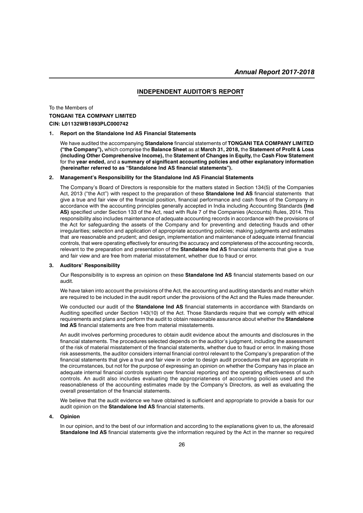#### **INDEPENDENT AUDITOR'S REPORT**

### To the Members of **TONGANI TEA COMPANY LIMITED CIN: L01132WB1893PLC000742**

#### **1. Report on the Standalone Ind AS Financial Statements**

We have audited the accompanying **Standalone** financial statements of **TONGANI TEA COMPANY LIMITED ("the Company"),** which comprise the **Balance Sheet** as at **March 31, 2018,** the **Statement of Profit & Loss (including Other Comprehensive Income),** the **Statement of Changes in Equity,** the **Cash Flow Statement** for the **year ended,** and a **summary of significant accounting policies and other explanatory information (hereinafter referred to as "Standalone Ind AS financial statements").**

#### **2. Management's Responsibility for the Standalone Ind AS Financial Statements**

The Company's Board of Directors is responsible for the matters stated in Section 134(5) of the Companies Act, 2013 ("the Act") with respect to the preparation of these **Standalone Ind AS** financial statements that give a true and fair view of the financial position, financial performance and cash flows of the Company in accordance with the accounting principles generally accepted in India including Accounting Standards **(Ind AS)** specified under Section 133 of the Act, read with Rule 7 of the Companies (Accounts) Rules, 2014. This responsibility also includes maintenance of adequate accounting records in accordance with the provisions of the Act for safeguarding the assets of the Company and for preventing and detecting frauds and other irregularities; selection and application of appropriate accounting policies; making judgments and estimates that are reasonable and prudent; and design, implementation and maintenance of adequate internal financial controls, that were operating effectively for ensuring the accuracy and completeness of the accounting records, relevant to the preparation and presentation of the **Standalone Ind AS** financial statements that give a true and fair view and are free from material misstatement, whether due to fraud or error.

#### **3. Auditors' Responsibility**

Our Responsibility is to express an opinion on these **Standalone Ind AS** financial statements based on our audit.

We have taken into account the provisions of the Act, the accounting and auditing standards and matter which are required to be included in the audit report under the provisions of the Act and the Rules made thereunder.

We conducted our audit of the **Standalone Ind AS** financial statements in accordance with Standards on Auditing specified under Section 143(10) of the Act. Those Standards require that we comply with ethical requirements and plans and perform the audit to obtain reasonable assurance about whether the **Standalone Ind AS** financial statements are free from material misstatements.

An audit involves performing procedures to obtain audit evidence about the amounts and disclosures in the financial statements. The procedures selected depends on the auditor's judgment, including the assessment of the risk of material misstatement of the financial statements, whether due to fraud or error. In making those risk assessments, the auditor considers internal financial control relevant to the Company's preparation of the financial statements that give a true and fair view in order to design audit procedures that are appropriate in the circumstances, but not for the purpose of expressing an opinion on whether the Company has in place an adequate internal financial controls system over financial reporting and the operating effectiveness of such controls. An audit also includes evaluating the appropriateness of accounting policies used and the reasonableness of the accounting estimates made by the Company's Directors, as well as evaluating the overall presentation of the financial statements.

We believe that the audit evidence we have obtained is sufficient and appropriate to provide a basis for our audit opinion on the **Standalone Ind AS** financial statements.

#### **4. Opinion**

In our opinion, and to the best of our information and according to the explanations given to us, the aforesaid **Standalone Ind AS** financial statements give the information required by the Act in the manner so required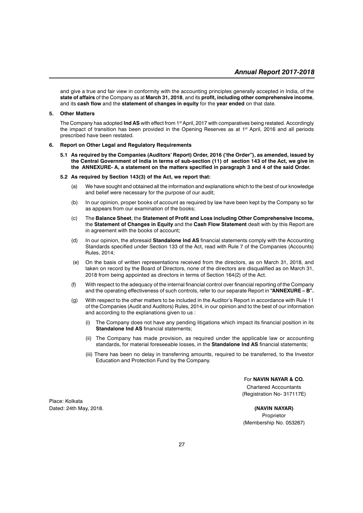and give a true and fair view in conformity with the accounting principles generally accepted in India, of the **state of affairs** of the Company as at **March 31, 2018**, and its **profit, including other comprehensive income**, and its **cash flow** and the **statement of changes in equity** for the **year ended** on that date.

#### **5. Other Matters**

The Company has adopted **Ind AS** with effect from 1st April, 2017 with comparatives being restated. Accordingly the impact of transition has been provided in the Opening Reserves as at 1<sup>st</sup> April, 2016 and all periods prescribed have been restated.

#### **6. Report on Other Legal and Regulatory Requirements**

**5.1 As required by the Companies (Auditors' Report) Order, 2016 ('the Order"), as amended, issued by the Central Government of India in terms of sub-section (11) of section 143 of the Act, we give in the ANNEXURE- A, a statement on the matters specified in paragraph 3 and 4 of the said Order.**

#### **5.2 As required by Section 143(3) of the Act, we report that:**

- (a) We have sought and obtained all the information and explanations which to the best of our knowledge and belief were necessary for the purpose of our audit;
- (b) In our opinion, proper books of account as required by law have been kept by the Company so far as appears from our examination of the books;
- (c) The **Balance Sheet**, the **Statement of Profit and Loss including Other Comprehensive Income,** the **Statement of Changes in Equity** and the **Cash Flow Statement** dealt with by this Report are in agreement with the books of account;
- (d) In our opinion, the aforesaid **Standalone Ind AS** financial statements comply with the Accounting Standards specified under Section 133 of the Act, read with Rule 7 of the Companies (Accounts) Rules, 2014;
- (e) On the basis of written representations received from the directors, as on March 31, 2018, and taken on record by the Board of Directors, none of the directors are disqualified as on March 31, 2018 from being appointed as directors in terms of Section 164(2) of the Act.
- (f) With respect to the adequacy of the internal financial control over financial reporting of the Company and the operating effectiveness of such controls, refer to our separate Report in **"ANNEXURE – B".**
- (g) With respect to the other matters to be included in the Auditor's Report in accordance with Rule 11 of the Companies (Audit and Auditors) Rules, 2014, in our opinion and to the best of our information and according to the explanations given to us :
	- The Company does not have any pending litigations which impact its financial position in its **Standalone Ind AS** financial statements;
	- (ii) The Company has made provision, as required under the applicable law or accounting standards, for material foreseeable losses, in the **Standalone Ind AS** financial statements;
	- (iii) There has been no delay in transferring amounts, required to be transferred, to the Investor Education and Protection Fund by the Company.

For **NAVIN NAYAR & CO.** Chartered Accountants (Registration No- 317117E)

Place: Kolkata Dated: 24th May, 2018. **(NAVIN NAYAR)**

Proprietor (Membership No. 053267)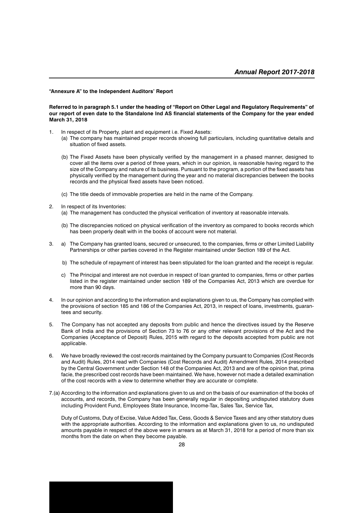#### **"Annexure A" to the Independent Auditors' Report**

#### **Referred to in paragraph 5.1 under the heading of "Report on Other Legal and Regulatory Requirements" of our report of even date to the Standalone Ind AS financial statements of the Company for the year ended March 31, 2018**

- 1. In respect of its Property, plant and equipment i.e. Fixed Assets:
	- (a) The company has maintained proper records showing full particulars, including quantitative details and situation of fixed assets.
	- (b) The Fixed Assets have been physically verified by the management in a phased manner, designed to cover all the items over a period of three years, which in our opinion, is reasonable having regard to the size of the Company and nature of its business. Pursuant to the program, a portion of the fixed assets has physically verified by the management during the year and no material discrepancies between the books records and the physical fixed assets have been noticed.
	- (c) The title deeds of immovable properties are held in the name of the Company.
- 2. In respect of its Inventories:
	- (a) The management has conducted the physical verification of inventory at reasonable intervals.
	- (b) The discrepancies noticed on physical verification of the inventory as compared to books records which has been properly dealt with in the books of account were not material.
- 3. a) The Company has granted loans, secured or unsecured, to the companies, firms or other Limited Liability Partnerships or other parties covered in the Register maintained under Section 189 of the Act.
	- b) The schedule of repayment of interest has been stipulated for the loan granted and the receipt is regular.
	- c) The Principal and interest are not overdue in respect of loan granted to companies, firms or other parties listed in the register maintained under section 189 of the Companies Act, 2013 which are overdue for more than 90 days.
- 4. In our opinion and according to the information and explanations given to us, the Company has complied with the provisions of section 185 and 186 of the Companies Act, 2013, in respect of loans, investments, guarantees and security.
- 5. The Company has not accepted any deposits from public and hence the directives issued by the Reserve Bank of India and the provisions of Section 73 to 76 or any other relevant provisions of the Act and the Companies (Acceptance of Deposit) Rules, 2015 with regard to the deposits accepted from public are not applicable.
- 6. We have broadly reviewed the cost records maintained by the Company pursuant to Companies (Cost Records and Audit) Rules, 2014 read with Companies (Cost Records and Audit) Amendment Rules, 2014 prescribed by the Central Government under Section 148 of the Companies Act, 2013 and are of the opinion that, prima facie, the prescribed cost records have been maintained. We have, however not made a detailed examination of the cost records with a view to determine whether they are accurate or complete.
- 7.(a) According to the information and explanations given to us and on the basis of our examination of the books of accounts, and records, the Company has been generally regular in depositing undisputed statutory dues including Provident Fund, Employees State Insurance, Income-Tax, Sales Tax, Service Tax,

Duty of Customs, Duty of Excise, Value Added Tax, Cess, Goods & Service Taxes and any other statutory dues with the appropriate authorities. According to the information and explanations given to us, no undisputed amounts payable in respect of the above were in arrears as at March 31, 2018 for a period of more than six months from the date on when they become payable.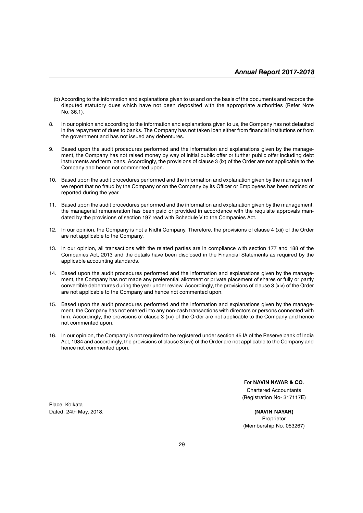- (b) According to the information and explanations given to us and on the basis of the documents and records the disputed statutory dues which have not been deposited with the appropriate authorities (Refer Note No. 36.1).
- 8. In our opinion and according to the information and explanations given to us, the Company has not defaulted in the repayment of dues to banks. The Company has not taken loan either from financial institutions or from the government and has not issued any debentures.
- 9. Based upon the audit procedures performed and the information and explanations given by the management, the Company has not raised money by way of initial public offer or further public offer including debt instruments and term loans. Accordingly, the provisions of clause 3 (ix) of the Order are not applicable to the Company and hence not commented upon.
- 10. Based upon the audit procedures performed and the information and explanation given by the management, we report that no fraud by the Company or on the Company by its Officer or Employees has been noticed or reported during the year.
- 11. Based upon the audit procedures performed and the information and explanation given by the management, the managerial remuneration has been paid or provided in accordance with the requisite approvals mandated by the provisions of section 197 read with Schedule V to the Companies Act.
- 12. In our opinion, the Company is not a Nidhi Company. Therefore, the provisions of clause 4 (xii) of the Order are not applicable to the Company.
- 13. In our opinion, all transactions with the related parties are in compliance with section 177 and 188 of the Companies Act, 2013 and the details have been disclosed in the Financial Statements as required by the applicable accounting standards.
- 14. Based upon the audit procedures performed and the information and explanations given by the management, the Company has not made any preferential allotment or private placement of shares or fully or partly convertible debentures during the year under review. Accordingly, the provisions of clause 3 (xiv) of the Order are not applicable to the Company and hence not commented upon.
- 15. Based upon the audit procedures performed and the information and explanations given by the management, the Company has not entered into any non-cash transactions with directors or persons connected with him. Accordingly, the provisions of clause 3 (xv) of the Order are not applicable to the Company and hence not commented upon.
- 16. In our opinion, the Company is not required to be registered under section 45 IA of the Reserve bank of India Act, 1934 and accordingly, the provisions of clause 3 (xvi) of the Order are not applicable to the Company and hence not commented upon.

For **NAVIN NAYAR & CO.** Chartered Accountants (Registration No- 317117E)

Proprietor (Membership No. 053267)

Place: Kolkata Dated: 24th May, 2018. **(NAVIN NAYAR)**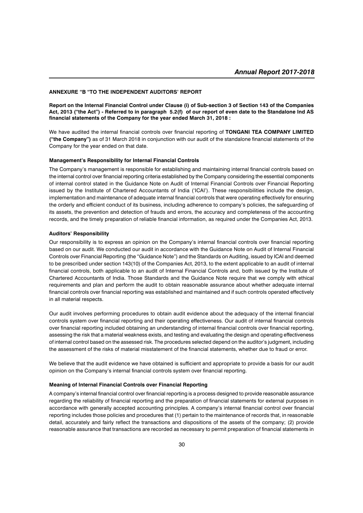#### **ANNEXURE "B "TO THE INDEPENDENT AUDITORS' REPORT**

**Report on the Internal Financial Control under Clause (i) of Sub-section 3 of Section 143 of the Companies Act, 2013 ("the Act") - Referred to in paragraph 5.2(f) of our report of even date to the Standalone Ind AS financial statements of the Company for the year ended March 31, 2018 :**

We have audited the internal financial controls over financial reporting of **TONGANI TEA COMPANY LIMITED ("the Company")** as of 31 March 2018 in conjunction with our audit of the standalone financial statements of the Company for the year ended on that date.

#### **Management's Responsibility for Internal Financial Controls**

The Company's management is responsible for establishing and maintaining internal financial controls based on the internal control over financial reporting criteria established by the Company considering the essential components of internal control stated in the Guidance Note on Audit of Internal Financial Controls over Financial Reporting issued by the Institute of Chartered Accountants of India ('ICAI'). These responsibilities include the design, implementation and maintenance of adequate internal financial controls that were operating effectively for ensuring the orderly and efficient conduct of its business, including adherence to company's policies, the safeguarding of its assets, the prevention and detection of frauds and errors, the accuracy and completeness of the accounting records, and the timely preparation of reliable financial information, as required under the Companies Act, 2013.

#### **Auditors' Responsibility**

Our responsibility is to express an opinion on the Company's internal financial controls over financial reporting based on our audit. We conducted our audit in accordance with the Guidance Note on Audit of Internal Financial Controls over Financial Reporting (the "Guidance Note") and the Standards on Auditing, issued by ICAI and deemed to be prescribed under section 143(10) of the Companies Act, 2013, to the extent applicable to an audit of internal financial controls, both applicable to an audit of Internal Financial Controls and, both issued by the Institute of Chartered Accountants of India. Those Standards and the Guidance Note require that we comply with ethical requirements and plan and perform the audit to obtain reasonable assurance about whether adequate internal financial controls over financial reporting was established and maintained and if such controls operated effectively in all material respects.

Our audit involves performing procedures to obtain audit evidence about the adequacy of the internal financial controls system over financial reporting and their operating effectiveness. Our audit of internal financial controls over financial reporting included obtaining an understanding of internal financial controls over financial reporting, assessing the risk that a material weakness exists, and testing and evaluating the design and operating effectiveness of internal control based on the assessed risk. The procedures selected depend on the auditor's judgment, including the assessment of the risks of material misstatement of the financial statements, whether due to fraud or error.

We believe that the audit evidence we have obtained is sufficient and appropriate to provide a basis for our audit opinion on the Company's internal financial controls system over financial reporting.

#### **Meaning of Internal Financial Controls over Financial Reporting**

A company's internal financial control over financial reporting is a process designed to provide reasonable assurance regarding the reliability of financial reporting and the preparation of financial statements for external purposes in accordance with generally accepted accounting principles. A company's internal financial control over financial reporting includes those policies and procedures that (1) pertain to the maintenance of records that, in reasonable detail, accurately and fairly reflect the transactions and dispositions of the assets of the company; (2) provide reasonable assurance that transactions are recorded as necessary to permit preparation of financial statements in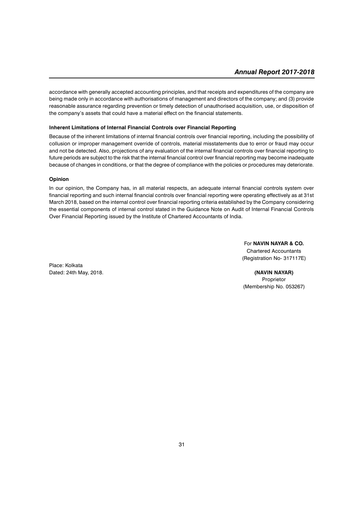accordance with generally accepted accounting principles, and that receipts and expenditures of the company are being made only in accordance with authorisations of management and directors of the company; and (3) provide reasonable assurance regarding prevention or timely detection of unauthorised acquisition, use, or disposition of the company's assets that could have a material effect on the financial statements.

#### **Inherent Limitations of Internal Financial Controls over Financial Reporting**

Because of the inherent limitations of internal financial controls over financial reporting, including the possibility of collusion or improper management override of controls, material misstatements due to error or fraud may occur and not be detected. Also, projections of any evaluation of the internal financial controls over financial reporting to future periods are subject to the risk that the internal financial control over financial reporting may become inadequate because of changes in conditions, or that the degree of compliance with the policies or procedures may deteriorate.

#### **Opinion**

In our opinion, the Company has, in all material respects, an adequate internal financial controls system over financial reporting and such internal financial controls over financial reporting were operating effectively as at 31st March 2018, based on the internal control over financial reporting criteria established by the Company considering the essential components of internal control stated in the Guidance Note on Audit of Internal Financial Controls Over Financial Reporting issued by the Institute of Chartered Accountants of India.

> For **NAVIN NAYAR & CO.** Chartered Accountants (Registration No- 317117E)

Place: Kolkata Dated: 24th May, 2018. **(NAVIN NAYAR)**

Proprietor (Membership No. 053267)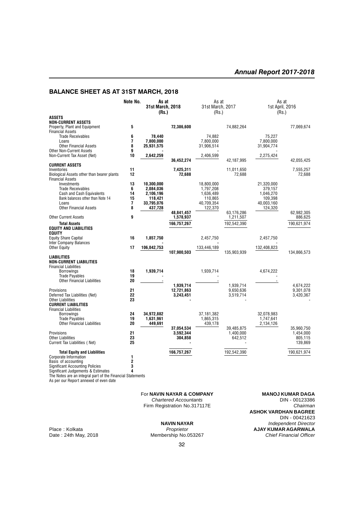### **BALANCE SHEET AS AT 31ST MARCH, 2018**

|                                                                                                                                                                                                                                                                             | Note No.                      | As at<br><b>31st March, 2018</b><br>(Rs.)                                |                                      | As at<br>31st March, 2017<br>(Rs.)                                       |                                     | As at<br>1st April, 2016<br>(Rs.)                                      |                                     |
|-----------------------------------------------------------------------------------------------------------------------------------------------------------------------------------------------------------------------------------------------------------------------------|-------------------------------|--------------------------------------------------------------------------|--------------------------------------|--------------------------------------------------------------------------|-------------------------------------|------------------------------------------------------------------------|-------------------------------------|
| <b>ASSETS</b><br><b>NON-CURRENT ASSETS</b>                                                                                                                                                                                                                                  |                               |                                                                          |                                      |                                                                          |                                     |                                                                        |                                     |
| Property, Plant and Equipment                                                                                                                                                                                                                                               | 5                             |                                                                          | 72,386,600                           |                                                                          | 74,882,264                          |                                                                        | 77,069,674                          |
| <b>Financial Assets</b><br><b>Trade Receivables</b><br>Loans<br><b>Other Financial Assets</b>                                                                                                                                                                               | 6<br>7<br>8                   | 78,440<br>7,800,000<br>25,931,575                                        |                                      | 74,882<br>7,800,000<br>31,906,514                                        |                                     | 75,227<br>7,800,000<br>31,904,774                                      |                                     |
| <b>Other Non-Current Assets</b>                                                                                                                                                                                                                                             | 9<br>10                       | 2,642,259                                                                |                                      | 2,406,599                                                                |                                     | 2,275,424                                                              |                                     |
| Non-Current Tax Asset (Net)                                                                                                                                                                                                                                                 |                               |                                                                          | 36,452,274                           |                                                                          | 42,187,995                          |                                                                        | 42,055,425                          |
| <b>CURRENT ASSETS</b><br>Inventories<br>Biological Assets other than bearer plants<br><b>Financial Assets</b>                                                                                                                                                               | 11<br>12                      |                                                                          | 7,425,311<br>72,688                  |                                                                          | 11,011,650<br>72,688                |                                                                        | 7,555,257<br>72,688                 |
| Investments<br><b>Trade Receivables</b><br><b>Cash and Cash Equivalents</b><br>Bank balances other than Note 14<br>Loans<br><b>Other Financial Assets</b>                                                                                                                   | 13<br>6<br>14<br>15<br>7<br>8 | 10,300,000<br>2,084,036<br>2,106,196<br>118,421<br>33,795,076<br>437,728 |                                      | 18,800,000<br>1,797,208<br>1,636,489<br>110,865<br>40,709,354<br>122,370 |                                     | 21,320,000<br>379,157<br>1,046,270<br>109,398<br>40,003,160<br>124,320 |                                     |
| <b>Other Current Assets</b>                                                                                                                                                                                                                                                 | 9                             |                                                                          | 48,841,457<br>1,578,937              |                                                                          | 63,176,286<br>1,211,507             |                                                                        | 62,982,305<br>886,625               |
| <b>Total Assets</b><br><b>EQUITY AND LIABILITIES</b><br><b>EQUITY</b>                                                                                                                                                                                                       |                               |                                                                          | 166,757,267                          |                                                                          | 192,542,390                         |                                                                        | 190,621,974                         |
| <b>Equity Share Capital</b>                                                                                                                                                                                                                                                 | 16                            | 1,857,750                                                                |                                      | 2,457,750                                                                |                                     | 2,457,750                                                              |                                     |
| <b>Inter Company Balances</b><br><b>Other Equity</b>                                                                                                                                                                                                                        | 17                            | 106,042,753                                                              | 107,900,503                          | 133,446,189                                                              | 135,903,939                         | 132,408,823                                                            | 134,866,573                         |
| <b>LIABILITIES</b><br><b>NON-CURRENT LIABILITIES</b><br><b>Financial Liabilities</b><br><b>Borrowings</b><br><b>Trade Payables</b><br><b>Other Financial Liabilities</b>                                                                                                    | 18<br>19<br>20                | 1,939,714                                                                |                                      | 1,939,714                                                                |                                     | 4,674,222                                                              |                                     |
| Provisions<br>Deferred Tax Liabilities (Net)<br><b>Other Liabilities</b><br><b>CURRENT LIABILITIES</b>                                                                                                                                                                      | 21<br>22<br>23                |                                                                          | 1,939,714<br>12.721.863<br>3,243,451 |                                                                          | 1,939,714<br>9,650,636<br>3,519,714 |                                                                        | 4,674,222<br>9,301,078<br>3,420,367 |
| <b>Financial Liabilities</b><br><b>Borrowings</b><br><b>Trade Payables</b><br><b>Other Financial Liabilities</b>                                                                                                                                                            | 24<br>19<br>20                | 34,972,882<br>1,631,961<br>449,691                                       | 37,054,534                           | 37,181,382<br>1,865,315<br>439,178                                       | 39,485,875                          | 32,078,983<br>1,747,641<br>2,134,126                                   | 35,960,750                          |
| Provisions<br><b>Other Liabilities</b><br>Current Tax Liabilities (Net)                                                                                                                                                                                                     | 21<br>23<br>25                |                                                                          | 3,592,344<br>304,858                 |                                                                          | 1,400,000<br>642,512                |                                                                        | 1,454,000<br>805,115<br>139,869     |
| <b>Total Equity and Liabilities</b><br>Corporate Information<br>Basis of accounting<br><b>Significant Accounting Policies</b><br>Significant Judgements & Estimates<br>The Notes are an integral part of the Financial Statements<br>As per our Report annexed of even date | 1<br>2<br>3<br>4              |                                                                          | 166,757,267                          |                                                                          | 192,542,390                         |                                                                        | 190,621,974                         |

Firm Registration No.317117E

Membership No.053267

For **NAVIN NAYAR & COMPANY** MANOJ KUMAR DAGA<br>Chartered Accountants **MANOJ KUMAR DAGA** *Chartered Accountants* **DIN - 00123386**<br>m Registration No.317117E **ASHOK VARDHAN BAGREE** DIN - 00421623 **NAVIN NAYAR** *Independent Director* Place : Kolkata *Proprietor* **Proprietor AJAY KUMAR AGARWALA**<br>Date : 24th May, 2018 **Membership No.053267 AJAY KUMAR AGARWALA**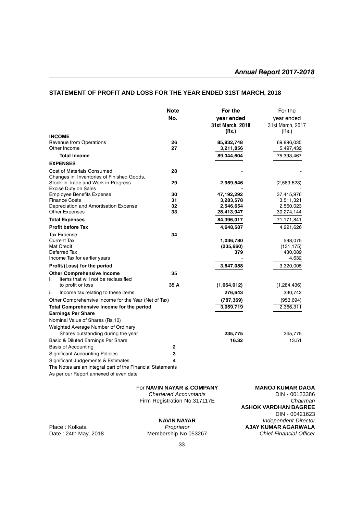### **STATEMENT OF PROFIT AND LOSS FOR THE YEAR ENDED 31ST MARCH, 2018**

|                                                                                | <b>Note</b><br>No. | For the<br>vear ended<br>31st March, 2018<br>(Rs.) | For the<br>year ended<br>31st March, 2017<br>(Rs.) |
|--------------------------------------------------------------------------------|--------------------|----------------------------------------------------|----------------------------------------------------|
| <b>INCOME</b>                                                                  |                    |                                                    |                                                    |
| Revenue from Operations<br>Other Income                                        | 26<br>27           | 85,832,748<br>3,211,856                            | 69,896,035<br>5,497,432                            |
| <b>Total Income</b>                                                            |                    | 89,044,604                                         | 75,393,467                                         |
| <b>EXPENSES</b>                                                                |                    |                                                    |                                                    |
| <b>Cost of Materials Consumed</b><br>Changes in Inventories of Finished Goods, | 28                 |                                                    |                                                    |
| Stock-In-Trade and Work-in-Progress<br>Excise Duty on Sales                    | 29                 | 2,959,546                                          | (2,589,623)                                        |
| <b>Employee Benefits Expense</b>                                               | 30                 | 47,192,292                                         | 37,415,976                                         |
| <b>Finance Costs</b>                                                           | 31                 | 3,283,578                                          | 3,511,321                                          |
| Depreciation and Amortisation Expense<br><b>Other Expenses</b>                 | 32<br>33           | 2,546,654<br>28,413,947                            | 2,560,023<br>30,274,144                            |
|                                                                                |                    | 84,396,017                                         |                                                    |
| <b>Total Expenses</b>                                                          |                    |                                                    | 71,171,841                                         |
| <b>Profit before Tax</b>                                                       |                    | 4,648,587                                          | 4,221,626                                          |
| Tax Expense:                                                                   | 34                 |                                                    |                                                    |
| <b>Current Tax</b><br><b>Mat Credit</b>                                        |                    | 1,036,780<br>(235, 660)                            | 598,075<br>(131, 175)                              |
| Deferred Tax                                                                   |                    | 379                                                | 430,089                                            |
| Income Tax for earlier years                                                   |                    |                                                    | 4,632                                              |
| Profit/(Loss) for the period                                                   |                    | 3,847,088                                          | 3,320,005                                          |
| <b>Other Comprehensive Income</b>                                              | 35                 |                                                    |                                                    |
| i.<br>Items that will not be reclassified                                      |                    |                                                    |                                                    |
| to profit or loss                                                              | 35 A               | (1,064,012)                                        | (1,284,436)                                        |
| Income tax relating to these items<br>ii.                                      |                    | 276,643                                            | 330,742                                            |
| Other Comprehensive Income for the Year (Net of Tax)                           |                    | (787, 369)                                         | (953, 694)                                         |
| Total Comprehensive Income for the period                                      |                    | 3,059,719                                          | 2,366,311                                          |
| <b>Earnings Per Share</b>                                                      |                    |                                                    |                                                    |
| Nominal Value of Shares (Rs.10)                                                |                    |                                                    |                                                    |
| Weighted Average Number of Ordinary                                            |                    |                                                    |                                                    |
| Shares outstanding during the year                                             |                    | 235,775                                            | 245,775                                            |
| Basic & Diluted Earnings Per Share                                             |                    | 16.32                                              | 13.51                                              |
| Basis of Accounting                                                            | $\mathbf{2}$       |                                                    |                                                    |
| <b>Significant Accounting Policies</b>                                         | 3                  |                                                    |                                                    |
| Significant Judgements & Estimates                                             | 4                  |                                                    |                                                    |
| The Notes are an integral part of the Financial Statements                     |                    |                                                    |                                                    |
| As per our Report annexed of even date                                         |                    |                                                    |                                                    |

Firm Registration No.317117E

Membership No.053267 **Chief Financial Officer** 

For **NAVIN NAYAR & COMPANY** MANOJ KUMAR DAGA<br>Chartered Accountants **MANOJ KUMAR DAGA Chartered Accountants** DIN - 00123386<br>m Registration No.317117E Chairman **ASHOK VARDHAN BAGREE** DIN - 00421623 **NAVIN NAYAR** *Independent Director* Place : Kolkata *Proprietor* **AJAY KUMAR AGARWALA**<br>Date : 24th May, 2018 **Membership No.053267** *Chief Financial Officer*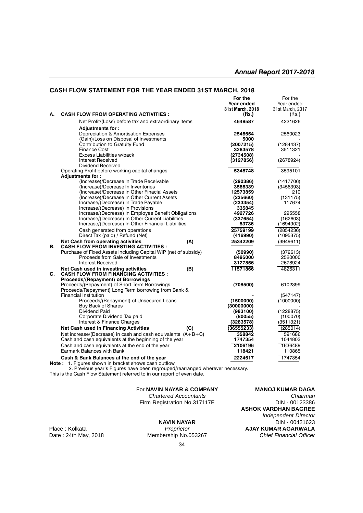#### **CASH FLOW STATEMENT FOR THE YEAR ENDED 31ST MARCH, 2018**

|                |                                                                 | For the          | For the          |
|----------------|-----------------------------------------------------------------|------------------|------------------|
|                |                                                                 | Year ended       | Year ended       |
|                |                                                                 | 31st March, 2018 | 31st March, 2017 |
| А.             | <b>CASH FLOW FROM OPERATING ACTIVITIES :</b>                    | (Rs.)            | (Rs.)            |
|                |                                                                 |                  |                  |
|                | Net Profit/(Loss) before tax and extraordinary items            | 4648587          | 4221626          |
|                | <b>Adjustments for:</b>                                         |                  |                  |
|                | Depreciation & Amortisation Expenses                            | 2546654          | 2560023          |
|                | (Gain)/Loss on Disposal of Investments                          | 5000             |                  |
|                | Contribution to Gratuity Fund                                   | (2007215)        | (1284437)        |
|                | Finance Cost                                                    | 3283578          | 3511321          |
|                | Excess Liabilities w/back                                       | (2734508)        |                  |
|                | <b>Interest Received</b>                                        | (3127856)        | (2678924)        |
|                | Dividend Received                                               |                  |                  |
|                | Operating Profit before working capital changes                 | 5348748          | 3595101          |
|                | <b>Adjustments for:</b>                                         |                  |                  |
|                | (Increase)/Decrease In Trade Receivable                         | (290386)         | (1417706)        |
|                | (Increase)/Decrease In Inventories                              | 3586339          | (3456393)        |
|                | (Increase)/Decrease In Other Finacial Assets                    | 12573859         | 210              |
|                | (Increase)/Decrease In Other Current Assets                     | (235660)         | (131175)         |
|                | Increase/(Decrease) In Trade Payable                            | (233354)         | 117674           |
|                | Increase/(Decrease) In Provisions                               | 335845           |                  |
|                | Increase/(Decrease) In Employee Benefit Obligations             | 4927726          | 295558           |
|                | Increase/(Decrease) In Other Current Liabilities                | (337654)         | (162603)         |
|                | Increase/(Decrease) In Other Financial Liabilities              | 83736            |                  |
|                |                                                                 |                  | (1694902)        |
|                | Cash generated from operations                                  | 25759199         | (2854236)        |
|                | Direct Tax (paid) / Refund (Net)                                | (416990)         | (1095375)        |
|                | <b>Net Cash from operating activities</b><br>(A)                | 25342209         | (3949611)        |
| В.             | <b>CASH FLOW FROM INVESTING ACTIVITIES :</b>                    |                  |                  |
|                | Purchase of Fixed Assets including Capital WIP (net of subsidy) | (50990)          | (372613)         |
|                | Proceeds from Sale of Investments                               | 8495000          | 2520000          |
|                | Interest Received                                               | 3127856          | 2678924          |
|                | Net Cash used in investing activities<br>(B)                    | 11571866         | 4826311          |
| $\mathbf{C}$ . | <b>CASH FLOW FROM FINANCING ACTIVITIES :</b>                    |                  |                  |
|                | Proceeds/(Repayment) of Borrowings                              |                  |                  |
|                | Proceeds/(Repayment) of Short Term Borrowings                   | (708500)         | 6102399          |
|                | Proceeds/Repayment) Long Term borrowing from Bank &             |                  |                  |
|                | <b>Financial Institution</b>                                    |                  | (547147)         |
|                | Proceeds/(Repayment) of Unsecured Loans                         | (1500000)        | (1000000)        |
|                | <b>Buy Back of Shares</b>                                       | (30000000)       |                  |
|                | Dividend Paid                                                   | (983100)         | (1228875)        |
|                | Corporate Dividend Tax paid                                     | (80055)          | (100070)         |
|                | Interest & Finance Charges                                      | (3283578)        | (3511321)        |
|                |                                                                 |                  |                  |
|                | <b>Net Cash used in Financing Activities</b><br>(C)             | (36555233)       | (285014)         |
|                | Net increase/(Decrease) in cash and cash equivalents $(A+B+C)$  | 358842           | 591686           |
|                | Cash and cash equivalents at the beginning of the year          | 1747354          | 1044803          |
|                | Cash and cash equivalents at the end of the year                | 2106196          | 1636489          |
|                | <b>Earmark Balances with Bank</b>                               | 118421           | 110865           |
|                | Cash & Bank Balances at the end of the year                     | 2224617          | 1747354          |
|                | t. Figures obouge in brooket obouge soop outfield               |                  |                  |

**Note :** 1. Figures shown in bracket shows cash outflow. 2. Previous year's Figures have been regrouped/rearranged wherever necessary.

This is the Cash Flow Statement referred to in our report of even date.

#### For **NAVIN NAYAR & COMPANY MANOJ KUMAR DAGA**

*Chartered Accountants Chairman* Firm Registration No.317117E

Membership No.053267

**ASHOK VARDHAN BAGREE** *Independent Director* **NAVIN NAYAR** DIN - 00421623 Place : Kolkata *Proprietor Proprietor* **AJAY KUMAR AGARWALA**<br>Date : 24th May, 2018 **Membership No.053267** *Chief Financial Officer*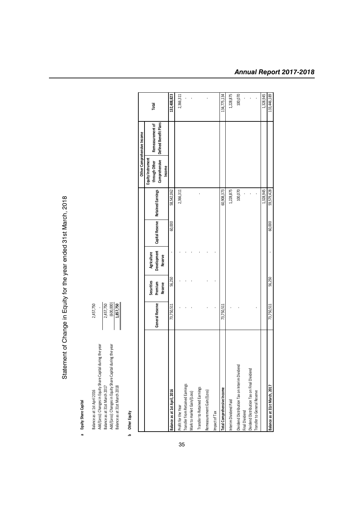Statement of Change in Equity for the year ended 31st March, 2018 Statement of Change in Equity for the year ended 31st March, 2018

# a Equity Share Capital **a Equity Share Capital**

| Balance as at 1st April 2016                                | 2,457,750 |
|-------------------------------------------------------------|-----------|
| Add/(Less): Changes in Equity Share Capital during the year |           |
| Balance as at 31st March 2017                               | 2,457,750 |
| Add/(Less): Changes in Equity Share Capital during the year | 600,000)  |
| Balance as at 31st March 2018                               | 1,857,750 |

**b** Other Equity **b Other Equity**

|                                                               |                 |                                  |                                       |                 |                          |                                                               | Other Comprehensive Income                |             |
|---------------------------------------------------------------|-----------------|----------------------------------|---------------------------------------|-----------------|--------------------------|---------------------------------------------------------------|-------------------------------------------|-------------|
|                                                               | General Reserve | Securities<br>Premium<br>Reserve | Development<br>Agriculture<br>Reserve | Capital Reserve | <b>Retained Earnings</b> | Comprehensive<br>Equity Instrument<br>through Other<br>Income | Defined Benefit Plans<br>Remeasurement of | Total       |
| Balance as at 1st April, 2016                                 | 73,750,511      | 56,250                           |                                       | 60,000          | 58,542,062               |                                                               |                                           | 132,408,823 |
| Profit for the Year                                           |                 |                                  |                                       |                 | 2,366,311                |                                                               |                                           | 2,366,311   |
| Transfer from Retained Earnings                               |                 |                                  |                                       |                 |                          |                                                               |                                           |             |
| Mark to market Gain/(Loss)                                    |                 |                                  |                                       |                 |                          |                                                               |                                           |             |
| Transfer to Retained Earnings                                 |                 |                                  |                                       |                 |                          |                                                               |                                           |             |
| Remeasurement Gain/(Loss)                                     |                 |                                  |                                       |                 |                          |                                                               |                                           |             |
| Impact of Tax                                                 |                 |                                  |                                       |                 |                          |                                                               |                                           |             |
| Total Comprehensive Income                                    | 73,750,511      |                                  |                                       |                 | 60,908,373               |                                                               |                                           | 134,775,134 |
| Interim Dividend Paid                                         |                 |                                  |                                       |                 | 1,228,875                |                                                               |                                           | 1,228,875   |
| Dividend Distribution Tax on Interim Dividend                 |                 |                                  |                                       |                 | 100,070                  |                                                               |                                           | 100,070     |
| Dividend Distribution Tax on Final Dividend<br>Final Dividend |                 |                                  |                                       |                 |                          |                                                               |                                           |             |
| Transfer to General Reserve                                   |                 |                                  |                                       |                 |                          |                                                               |                                           |             |
|                                                               |                 |                                  |                                       |                 | 1,328,945                |                                                               |                                           | 1,328,945   |
| Balance as at 31st March, 2017                                | 73,750,511      | 56,250                           |                                       | 60,000          | 59,579,428               |                                                               |                                           | 133,446,189 |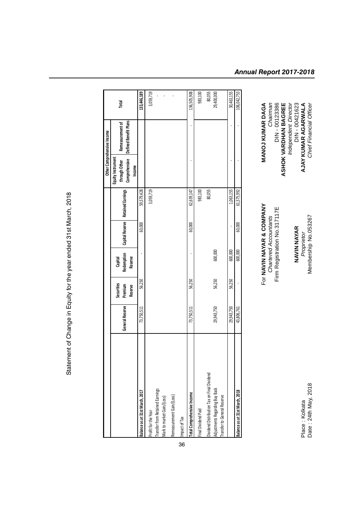| Chief Financial Officer     | Aembership No.053267         | Jate: 24th May, 2018 |
|-----------------------------|------------------------------|----------------------|
| AJAY KUMAR AGARWALA         | Proprietor                   | Place: Kolkata       |
| DIN-00421623                | NAVIN NAYAR                  |                      |
| <b>Independent Director</b> |                              |                      |
| <b>ASHOK VARDHAN BAGREE</b> |                              |                      |
| DIN - 00123386              | Firm Registration No.317117E |                      |
| Chairman                    | Chartered Accountants        |                      |
| MANOJ KUMAR DAGA            | For NAVIN NAYAR & COMPANY    |                      |

Place : Kolkata<br>Date : 24th May, 2018

For **NAVIN NAYAR & COMPANY MANOJ KUMAR DAGA** For **NAVIN NAYAR & COMPANY**<br>Chartered Accountants<br>Firm Registration No.317117E

|                                                                                                              |                 |                                         |                                  |                 |                          |                                                               | Other Comprehensive Income                |                      |
|--------------------------------------------------------------------------------------------------------------|-----------------|-----------------------------------------|----------------------------------|-----------------|--------------------------|---------------------------------------------------------------|-------------------------------------------|----------------------|
|                                                                                                              | General Reserve | Securities<br>Premium<br><b>Reserve</b> | Redemption<br>Reserve<br>Capital | Capital Reserve | <b>Retained Earnings</b> | Equity Instrument<br>Comprehensive<br>through Other<br>Income | Defined Benefit Plans<br>Remeasurement of | Total                |
| Balance as at 31st March, 2017                                                                               | 73,750,511      | 56,250                                  |                                  | 60,000          | 59,579,428               |                                                               |                                           | 133,446,189          |
| <b>Transfer from Retained Earnings</b><br>Mark to market Gain/(Loss)<br>Profit for the Year                  |                 |                                         |                                  |                 | 3,059,719                |                                                               |                                           | 3,059,719            |
| Remeasurement Gain/(Loss)<br>Impact of Tax                                                                   |                 |                                         |                                  |                 |                          |                                                               |                                           |                      |
| Total Comprehensive Income                                                                                   | 73,750,511      | 56,250                                  |                                  | 60,000          | 62,639,147               |                                                               |                                           | 136,505,908          |
| Final Dividend Paid                                                                                          |                 |                                         |                                  |                 | 983,100                  |                                                               |                                           | 983,100              |
| Dividend Distribution Tax on Final Dividend<br>Adjustments Regarding Buy Back<br>Transfer to General Reserve | 29,943,750      | 56,250                                  | 600,000                          |                 | 80,055                   |                                                               |                                           | 80,055<br>29,400,000 |
|                                                                                                              | 29,943,750      | 56,250                                  | 600,000                          |                 | 1,063,155                |                                                               |                                           | 30,463,155           |
| Balance as at 31st March, 2018                                                                               | 43,806,761      |                                         | 600,000                          | 60,000          | 61,575,992               |                                                               |                                           | 106,042,753          |

Statement of Change in Equity for the year ended 31st March, 2018 Statement of Change in Equity for the year ended 31st March, 2018

# *Annual Report 2017-2018*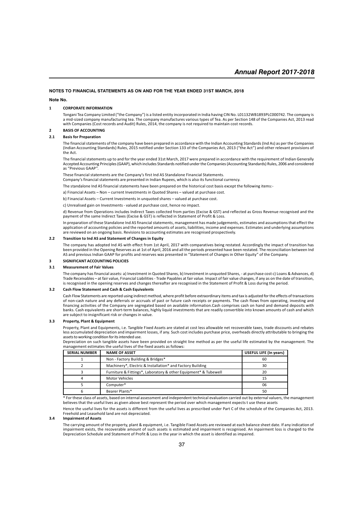#### **NOTES TO FINANCIAL STATEMENTS AS ON AND FOR THE YEAR ENDED 31ST MARCH, 2018**

#### **Note No.**

#### **1 CORPORATE INFORMATION**

Tongani Tea Company Limited ("the Company") is a listed entity incorporated in India having CIN No. L01132WB1893PLC000742. The company is a mid-sized company manufacturing tea. The company manufactures various types of Tea. As per Section 148 of the Companies Act, 2013 read with Companies (Cost records and Audit) Rules, 2014, the company is not required to maintain cost records.

#### **2 BASIS OF ACCOUNTING**

#### **2.1 Basis for Preparation**

The financial statements of the company have been prepared in accordance with the Indian Accounting Standards (Ind As) as per the Companies (Indian Accounting Standards) Rules, 2015 notified under Section 133 of the Companies Act, 2013 ("the Act") and other relevant provisions of the Act.

The financial statements up to and for the year ended 31st March, 2017 were prepared in accordance with the requirement of Indian Generally Accepted Accounting Principles (GAAP), which includes Standards notified under the Companies (Accounting Standards) Rules, 2006 and considered as "Previous GAAP".

These financial statements are the Company's first Ind AS Standalone Financial Statements.

Company's financial statements are presented in Indian Rupees, which is also its functional currency.

The standalone Ind AS financial statements have been prepared on the historical cost basis except the following items:-

a) Financial Assets – Non – current Investments in Quoted Shares – valued at purchase cost.

b) Financial Assets – Current Investments in unquoted shares – valued at purchase cost.

c) Unrealised gain on Investments - valued at purchase cost, hence no impact.

d) Revenue from Operations includes Indirect Taxes collected from parties (Excise & GST) and reflected as Gross Revenue recognised and the payment of the same Indirect Taxes (Excise & GST) is reflected in Statement of Profit & Loss.

In preparation of these Standalone Ind AS financial statements, management has made judgements, estimates and assumptions that effect the application of accounting policies and the reported amounts of assets, liabilities, income and expenses. Estimates and underlying assumptions are reviewed on an ongoing basis. Revisions to accounting estimates are recognised prospectively.

#### **2.2 Transition to Ind AS and Statement of Changes in Equity**

The company has adopted Ind AS with effect from 1st April, 2017 with comparatives being restated. Accordingly the impact of transition has been provided in the Opening Reserves as at 1st of April, 2016 and all the periods presented have been restated. The reconciliation between Ind AS and previous Indian GAAP for profits and reserves was presented in "Statement of Changes in Other Equity" of the Company.

#### **3 SIGNIFICANT ACCOUNTING POLICIES**

#### **3.1 Measurement of Fair Values**

The company has financial assets: a) Investment in Quoted Shares, b) Investment in unquoted Shares, - at purchase cost c) Loans & Advances, d) Trade Receivables – at fair value, Financial Liabilities - Trade Payables at fair value. Impact of fair value changes, if any as on the date of transition, is recognised in the opening reserves and changes thereafter are recognised in the Statement of Profit & Loss during the period.

#### **3.2 Cash Flow Statement and Cash & Cash Equivalents**

Cash Flow Statements are reported using indirect method, where profit before extraordinary items and tax is adjusted for the effects of transactions of non-cash nature and any deferrals or accruals of past or future cash receipts or payments. The cash flows from operating, investing and financing activities of the Company are segregated based on available information.Cash comprises cash on hand and demand deposits with banks. Cash equivalents are short-term balances, highly liquid investments that are readily convertible into known amounts of cash and which are subject to insignificant risk or changes in value.

#### **3.3 Property, Plant & Equipment**

Property, Plant and Equipments, i.e. Tangible Fixed Assets are stated at cost less allowable net recoverable taxes, trade discounts and rebates less accumulated depreciation and impairment losses, if any. Such cost includes purchase price, overheads directly attributable to bringing the assets to working condition for its intended use.

Depreciation on such tangible assets have been provided on straight line method as per the useful life estimated by the management. The management estimates the useful lives of the fixed assets as follows:

| <b>SERIAL NUMBER</b> | <b>NAME OF ASSET</b>                                            | <b>USEFUL LIFE (In years)</b> |
|----------------------|-----------------------------------------------------------------|-------------------------------|
|                      | Non - Factory Building & Bridges*                               | 60                            |
|                      | Machinery*, Electric & Installation* and Factory Building       | 30                            |
|                      | Furniture & Fittings*, Laboratory & other Equipment* & Tubewell | 20                            |
|                      | <b>Motor Vehicles</b>                                           | 15                            |
|                      | Computer*                                                       | 06                            |
|                      | Bearer Plants*                                                  | 50                            |

\* For these class of assets, based on internal assessment and independent technical evaluation carried out by external valuers, the management believes that the useful lives as given above best represent the period over which management expects t use these assets

Hence the useful lives for the assets is different from the useful lives as prescribed under Part C of the schedule of the Companies Act, 2013. Freehold and Leasehold land are not depreciated.

#### **3.4 Impairment of Assets**

The carrying amount of the property, plant & equipment, i.e. Tangible Fixed Assets are reviewed at each balance sheet date. If any indication of impairment exists, the recoverable amount of such assets is estimated and impairment is recognised. An inpairment loss is charged to the Depreciation Schedule and Statement of Profit & Loss in the year in which the asset is identified as impaired.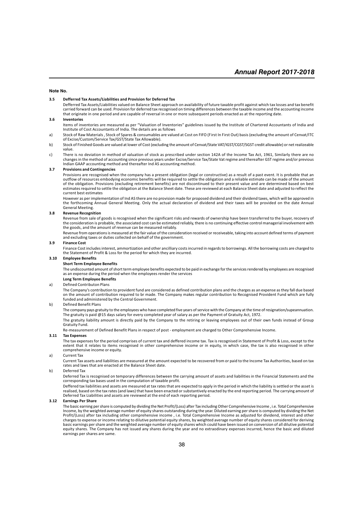#### **Note No.**

#### **3.5 Defferred Tax Assets/Liabilities and Provision for Deferred Tax**

Defferred Tax Assets/Liabilities valued on Balance Sheet approach on availability of future taxable profit against which tax losses and tax benefit carried forward can be used. Provision for deferred tax recognised on timing differences between the taxable income and the accounting income that originate in one period and are capable of reversal in one or more subsequent periods enacted as at the reporting date.

#### **3.6 Inventories**

- Items of inventories are measured as per "Valuation of Inventories" guidelines issued by the Institute of Chartered Accountants of India and Institute of Cost Accountants of India. The details are as follows
- a) Stock of Raw Materials , Stock of Spares & consumables are valued at Cost on FIFO (First In First Out) basis (excluding the amount of Cenvat/ITC of Excise/Custom/Service Tax/GST/State Tax Allowable).
- b) Stock of Finished Goods are valued at lower of Cost (excluding the amount of Cenvat/State VAT/IGST/CGST/SGST credit allowable) or net realizeable value.
- c) There is no deviation in method of valuation of stock as prescribed under section 142A of the Income Tax Act, 1961, Similarly there are no<br>changes in the method of accounting since previous years under Excise/Service Ta Indian GAAP accounting method and thereafter Ind AS accounting method.

#### **3.7 Provisions and Contingencies**

Provisions are recognised when the company has a present obligation (legal or constructive) as a result of a past event. It is probable that an outflow of resources embodying economic benefits will be required to settle the obligation and a reliable estimate can be made of the amount of the obligation. Provisions (excluding retirement benefits) are not discontinued to their present value and are determined based on best estimates required to settle the obligation at the Balance Sheet date. These are reviewed at each Balance Sheet date and adjusted to reflect the current best estimates

However as per implementation of Ind AS there are no provision made for proposed dividend and their dividend taxes, which will be approved in the forthcoming Annual General Meeting. Only the actual declaration of dividend and their taxes will be provided on the date Annual General Meeting.

#### **3.8 Revenue Recognition**

Revenue from sale of goods is recognised when the significant risks and rewards of ownership have been transferred to the buyer, recovery of the consideration is probable, the associated cost can be estimated reliably, there is no continuing effective control managerial involvement with the goods, and the amount of revenue can be measured reliably.

Revenue from operations is measured at the fair value of the consideration received or receiveable, taking into account defined terms of payment and excluding taxes or duties collected on behalf of the government.

#### **3.9 Finance Cost**

Finance Cost includes interest, ammortization and other ancilliary costs incurred in regards to borrowings. All the borrowing costs are charged to the Statement of Profit & Loss for the period for which they are incurred.

#### **3.10 Employee Benefits**

**Short Term Employee Benefits**

The undiscounted amount of short term employee benefits expected to be paid in exchange for the services rendered by employees are recognised as an expense during the period when the employees render the services

#### **Long Term Employee Benefits**

#### a) Defined Contributon Plans

The Company's contribution to provident fund are considered as defined contribution plans and the charges as an expense as they fall due based on the amount of contribution required to br made. The Company makes regular contribution to Recognised Provident Fund which are fully funded and administered by the Central Government.

#### b) Defined Benefit Plans

The company pays gratuity to the employees who have completed five years of service with the Company at the time of resignation/supeannuation. The gratuity is paid @15 days salary for every completed year of salary as per the Payment of Gratuity Act, 1972.

The gratuity liability amount is directly paid by the Company to the retiring or leaving employees out of their own funds instead of Group Gratuity Fund.

Re-measurement of Defined Benefit Plans in respect of post - employment are charged to Other Comprehensive Income.

#### **3.11 Tax Expenses**

The tax expenses for the period comprises of current tax and deffered income tax. Tax is recognised in Statement of Profit & Loss, except to the extent that it relates to items recognised in other comprehensive income or in equity, in which case, the tax is also recognised in other comprehensive income or equity.

#### a) Current Tax

Current Tax assets and liabilities are measured at the amount expected to be recovered from or paid to the Income Tax Authorities, based on tax rates and laws that are enacted at the Balance Sheet date.

#### b) Deferred Tax

Deferred Tax is recognised on temporary differences between the carrying amount of assets and liabilities in the Financial Statements and the corresponding tax bases used in the computation of taxable profit.

Deffered tax liabilities and assets are measured at tax rates that are expected to apply in the period in which the liability is settled or the asset is realised, based on the tax rates (and laws) that have been enacted or substantively enacted by the end reporting period. The carrying amount of Deferred Tax Liabilities and assets are reviewed at the end of each reporting period.

#### **3.12 Earnings Per Share**

The basic earning per share is computed by dividing the Net Profit/(Loss) after Tax including Other Comprehensive Income , i.e. Total Comprehensive<br>Income, by the weighted average number of equity shares outstanding during Profit/(Loss) after tax including other comprehensive income , i.e. Total Comprehensive Income as adjusted for dividend, interest and other charges to expense or income relating to dilutive potential equity shares, by weighted average number of equity shares considered for deriving<br>basic earnings per share and the weighted average number of equity shares which earnings per shares are same.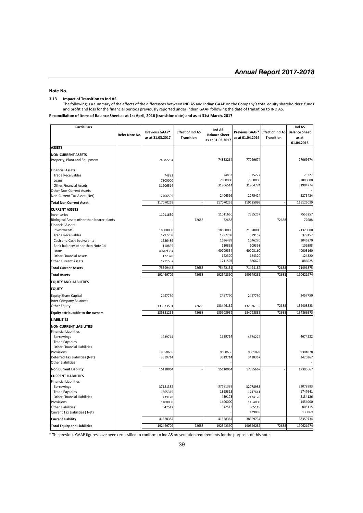#### **Note No.**

#### **3.13 Impact of Transition to Ind AS**

The following is a summary of the effects of the differences between IND AS and Indian GAAP on the Company's total equity shareholders' funds and profit and loss for the financial periods previously reported under Indian GAAP following the date of transition to IND AS.

**Reconciliaiton of Items of Balance Sheet as at 1st April, 2016 (transition date) and as at 31st March, 2017**

| <b>Particulars</b>                                         |                |                  |                         | Ind AS               |                  |                         | Ind AS               |
|------------------------------------------------------------|----------------|------------------|-------------------------|----------------------|------------------|-------------------------|----------------------|
|                                                            | Refer Note No. | Previous GAAP*   | <b>Effect of Ind AS</b> | <b>Balance Sheet</b> | Previous GAAP*   | <b>Effect of Ind AS</b> | <b>Balance Sheet</b> |
|                                                            |                | as at 31.03.2017 | <b>Transition</b>       | as at 31.03.2017     | as at 01.04.2016 | <b>Transition</b>       | as at                |
|                                                            |                |                  |                         |                      |                  |                         | 01.04.2016           |
| <b>ASSETS</b>                                              |                |                  |                         |                      |                  |                         |                      |
| <b>NON-CURRENT ASSETS</b>                                  |                |                  |                         |                      |                  |                         |                      |
| Property, Plant and Equipment                              |                | 74882264         |                         | 74882264             | 77069674         |                         | 77069674             |
| <b>Financial Assets</b>                                    |                |                  |                         |                      |                  |                         |                      |
| <b>Trade Receivables</b>                                   |                | 74882            |                         | 74882                | 75227            |                         | 75227                |
| Loans                                                      |                | 7800000          |                         | 7800000              | 7800000          |                         | 7800000              |
| <b>Other Financial Assets</b>                              |                | 31906514         |                         | 31906514             | 31904774         |                         | 31904774             |
| <b>Other Non-Current Assets</b>                            |                |                  |                         |                      |                  |                         |                      |
| Non-Current Tax Asset (Net)                                |                | 2406599          |                         | 2406599              | 2275424          |                         | 2275424              |
| <b>Total Non Current Asset</b>                             |                | 117070259        |                         | 117070259            | 119125099        |                         | 119125099            |
| <b>CURRENT ASSETS</b>                                      |                |                  |                         |                      |                  |                         |                      |
| Inventories                                                |                | 11011650         |                         | 11011650             | 7555257          |                         | 7555257              |
| Biological Assets other than bearer plants                 |                |                  | 72688                   | 72688                |                  | 72688                   | 72688                |
| <b>Financial Assets</b>                                    |                |                  |                         |                      |                  |                         |                      |
| Investments                                                |                | 18800000         |                         | 18800000             | 21320000         |                         | 21320000             |
| <b>Trade Receivables</b>                                   |                | 1797208          |                         | 1797208              | 379157           |                         | 379157               |
| Cash and Cash Equivalents                                  |                | 1636489          |                         | 1636489              | 1046270          |                         | 1046270              |
| Bank balances other than Note 14                           |                | 110865           |                         | 110865               | 109398           |                         | 109398               |
| Loans                                                      |                | 40709354         |                         | 40709354             | 40003160         |                         | 40003160             |
| <b>Other Financial Assets</b>                              |                | 122370           |                         | 122370               | 124320<br>886625 |                         | 124320<br>886625     |
| <b>Other Current Assets</b>                                |                | 1211507          |                         | 1211507              |                  |                         |                      |
| <b>Total Current Assets</b>                                |                | 75399443         | 72688                   | 75472131             | 71424187         | 72688                   | 71496875             |
| <b>Total Assets</b>                                        |                | 192469702        | 72688                   | 192542390            | 190549286        | 72688                   | 190621974            |
| <b>EQUITY AND LIABILITIES</b>                              |                |                  |                         |                      |                  |                         |                      |
| <b>EQUITY</b>                                              |                |                  |                         |                      |                  |                         |                      |
| <b>Equity Share Capital</b>                                |                | 2457750          |                         | 2457750              | 2457750          |                         | 2457750              |
| Inter Company Balances                                     |                |                  |                         |                      |                  |                         |                      |
| <b>Other Equity</b>                                        |                | 133373501        | 72688                   | 133446189            | 132336135        | 72688                   | 132408823            |
| Equity attributable to the owners                          |                | 135831251        | 72688                   | 135903939            | 134793885        | 72688                   | 134866573            |
| <b>LIABILITIES</b>                                         |                |                  |                         |                      |                  |                         |                      |
| <b>NON-CURRENT LIABILITIES</b>                             |                |                  |                         |                      |                  |                         |                      |
| <b>Financial Liabilities</b>                               |                |                  |                         |                      |                  |                         |                      |
| <b>Borrowings</b>                                          |                | 1939714          |                         | 1939714              | 4674222          |                         | 4674222              |
| <b>Trade Payables</b>                                      |                |                  |                         |                      |                  |                         |                      |
| <b>Other Financial Liabilities</b>                         |                |                  |                         |                      |                  |                         |                      |
| Provisions                                                 |                | 9650636          |                         | 9650636<br>3519714   | 9301078          |                         | 9301078<br>3420367   |
| Deferred Tax Liabilities (Net)<br><b>Other Liabilities</b> |                | 3519714          |                         |                      | 3420367          |                         |                      |
| <b>Non Current Liability</b>                               |                | 15110064         |                         | 15110064             | 17395667         |                         | 17395667             |
|                                                            |                |                  |                         |                      |                  |                         |                      |
| <b>CURRENT LIABILITIES</b><br><b>Financial Liabilities</b> |                |                  |                         |                      |                  |                         |                      |
| Borrowings                                                 |                | 37181382         |                         | 37181382             | 32078983         |                         | 32078983             |
| <b>Trade Payables</b>                                      |                | 1865315          |                         | 1865315              | 1747641          |                         | 1747641              |
| <b>Other Financial Liabilities</b>                         |                | 439178           |                         | 439178               | 2134126          |                         | 2134126              |
| Provisions                                                 |                | 1400000          |                         | 1400000              | 1454000          |                         | 1454000              |
| <b>Other Liabilities</b>                                   |                | 642512           |                         | 642512               | 805115           |                         | 805115               |
| Current Tax Liabilities (Net)                              |                |                  |                         |                      | 139869           |                         | 139869               |
| <b>Current Liability</b>                                   |                | 41528387         |                         | 41528387             | 38359734         |                         | 38359734             |
| <b>Total Equity and Liabilities</b>                        |                | 192469702        | 72688                   | 192542390            | 190549286        | 72688                   | 190621974            |

\* The previous GAAP figures have been reclassified to conform to Ind AS presentation requirements for the purposes of this note.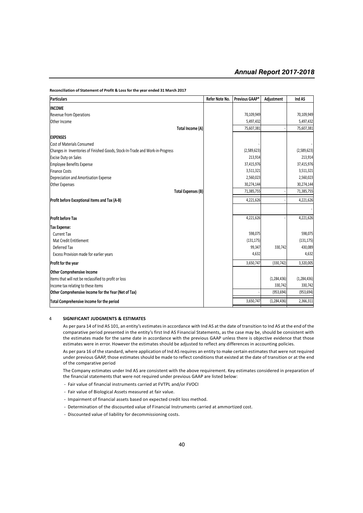| <b>Particulars</b>                                                            | Refer Note No. | Previous GAAP* | Adjustment    | Ind AS        |
|-------------------------------------------------------------------------------|----------------|----------------|---------------|---------------|
| <b>INCOME</b>                                                                 |                |                |               |               |
| <b>Revenue from Operations</b>                                                |                | 70,109,949     |               | 70,109,949    |
| Other Income                                                                  |                | 5,497,432      |               | 5,497,432     |
| Total Income (A)                                                              |                | 75,607,381     |               | 75,607,381    |
| <b>EXPENSES</b>                                                               |                |                |               |               |
| Cost of Materials Consumed                                                    |                |                |               |               |
| Changes in Inventories of Finished Goods, Stock-In-Trade and Work-in-Progress |                | (2,589,623)    |               | (2,589,623)   |
| <b>Excise Duty on Sales</b>                                                   |                | 213,914        |               | 213,914       |
| <b>Employee Benefits Expense</b>                                              |                | 37,415,976     |               | 37,415,976    |
| <b>Finance Costs</b>                                                          |                | 3,511,321      |               | 3,511,321     |
| Depreciation and Amortisation Expense                                         |                | 2,560,023      |               | 2,560,023     |
| <b>Other Expenses</b>                                                         |                | 30,274,144     |               | 30,274,144    |
| <b>Total Expenses (B)</b>                                                     |                | 71,385,755     |               | 71,385,755    |
| Profit before Exceptional Items and Tax (A-B)                                 |                | 4,221,626      |               | 4,221,626     |
|                                                                               |                |                |               |               |
| <b>Profit before Tax</b>                                                      |                | 4,221,626      |               | 4,221,626     |
| <b>Tax Expense:</b>                                                           |                |                |               |               |
| <b>Current Tax</b>                                                            |                | 598,075        |               | 598,075       |
| Mat Credit Entitlement                                                        |                | (131, 175)     |               | (131, 175)    |
| Deferred Tax                                                                  |                | 99,347         | 330,742       | 430,089       |
| Excess Provision made for earlier years                                       |                | 4,632          |               | 4,632         |
| Profit for the year                                                           |                | 3,650,747      | (330, 742)    | 3,320,005     |
| <b>Other Comprehensive Income</b>                                             |                |                |               |               |
| Items that will not be reclassified to profit or loss                         |                |                | (1, 284, 436) | (1, 284, 436) |
| Income tax relating to these items                                            |                |                | 330,742       | 330,742       |
| Other Comprehensive Income for the Year (Net of Tax)                          |                |                | (953, 694)    | (953, 694)    |
| Total Comprehensive Income for the period                                     |                | 3,650,747      | (1, 284, 436) | 2,366,311     |

**Reconciliation of Statement of Profit & Loss for the year ended 31 March 2017**

#### 4 **SIGNIFICANT JUDGMENTS & ESTIMATES**

As per para 14 of Ind AS 101, an entity's estimates in accordance with Ind AS at the date of transition to Ind AS at the end of the comparative period presented in the entity's first Ind AS Financial Statements, as the case may be, should be consistent with the estimates made for the same date in accordance with the previous GAAP unless there is objective evidence that those estimates were in error. However the estimates should be adjusted to reflect any differences in accounting policies.

As per para 16 of the standard, where application of Ind AS requires an entity to make certain estimates that were not required under previous GAAP, those estimates should be made to reflect conditions that existed at the date of transition or at the end of the comparative period

The Company estimates under Ind AS are consistent with the above requirement. Key estimates considered in preparation of the financial statements that were not required under previous GAAP are listed below:

- Fair value of financial instruments carried at FVTPL and/or FVOCI
- Fair value of Biological Assets measured at fair value.
- Impairment of financial assets based on expected credit loss method.
- Determination of the discounted value of Financial Instruments carried at ammortized cost.
- Discounted value of liability for decommissioning costs.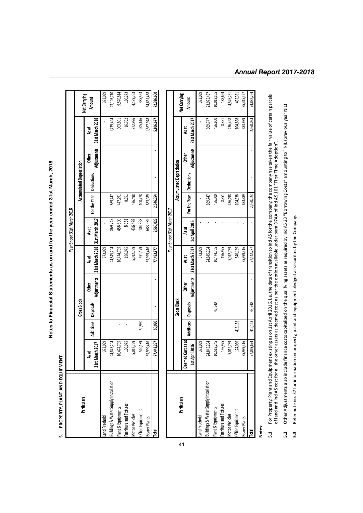PROPERTY, PLANT AND EQUIPMENT **5. PROPERTY, PLANT AND EQUIPMENT**ا نہ

**Notes to Financial Statements as on and for the year ended 31st March, 2018**

Notes to Financial Statements as on and for the year ended 31st March, 2018

|                                      |                             |                  |                    |              |                                                          | Year Ended 31st March 2018 |                           |                                 |       |                                      |                               |
|--------------------------------------|-----------------------------|------------------|--------------------|--------------|----------------------------------------------------------|----------------------------|---------------------------|---------------------------------|-------|--------------------------------------|-------------------------------|
| Particulars                          |                             |                  | <b>Gross Block</b> |              |                                                          |                            |                           | <b>Accumulated Depreciation</b> |       |                                      |                               |
|                                      | March 2017<br>As at<br>31st | <b>Additions</b> | Disposals          | <b>Other</b> | Adjustments   31st March 2018   31st March 2017<br>As at | As at                      | For the Year   Deductions |                                 | Other | Adjustments 31st March 2018<br>As at | Net Carrying<br><b>Amount</b> |
| and Freehold                         | 373,039                     |                  |                    |              | 373,039                                                  |                            |                           |                                 |       |                                      | 373,039                       |
| uildings & Water Supply Installation | 24,845,204                  |                  |                    |              | 24,845,204                                               | 869,747                    | 869,747                   |                                 |       | 1,739,494                            | 23,105,710                    |
| lant & Equipments                    | 10,474,705                  |                  |                    |              | 10,474,705                                               | 456,600                    | 447,291                   |                                 |       | 903,891                              | 9,570,814                     |
| urniture and Fixtures                | 196,975                     |                  |                    |              | 196,975                                                  | 8,351                      | 8,351                     |                                 |       | 16,702                               | 180,273                       |
| <b>Notor Vehicles</b>                | 5,012,759                   |                  |                    |              | 5,012,759                                                | 436,498                    | 136,498                   |                                 |       | 872,996                              | 4,139,763                     |
| ffice Equipments                     | 540,189                     | 50,990           |                    |              | 591,179                                                  | 104,838                    | 100,778                   |                                 |       | 205,616                              | 385,563                       |
| earer Plants                         | 35,999,416                  |                  |                    |              | 35,999,416                                               | 683,989                    | 683,989                   |                                 |       | 1,367,978                            | 34,631,438                    |
|                                      | 77,442,287                  | 50,990           |                    |              | 77,493,277                                               | 2,560,023                  | 2,546,654                 |                                 |       | 5,106,677                            | 72,386,600                    |
|                                      |                             |                  |                    |              |                                                          |                            |                           |                                 |       |                                      |                               |

|                                      |                      |                       |                    |       |                             | Year Ended 31st March 2017 |                           |                                 |              |                             |                        |
|--------------------------------------|----------------------|-----------------------|--------------------|-------|-----------------------------|----------------------------|---------------------------|---------------------------------|--------------|-----------------------------|------------------------|
| Particulars                          |                      |                       | <b>Gross Block</b> |       |                             |                            |                           | <b>Accumulated Depreciation</b> |              |                             |                        |
|                                      | ned Cost as at<br>និ | Additions   Disposals |                    | Other | ds at                       | as<br>Lis                  | For the Year   Deductions |                                 | <b>Other</b> | ង<br>៥                      | Net Carrying<br>Amount |
|                                      | April 2016<br>Ħ      |                       |                    |       | Adjustments 31st March 2017 | 1st April 2016             |                           |                                 |              | Adjustments 31st March 2017 |                        |
| and Freehold                         | 373,039              |                       |                    |       | 373,039                     |                            |                           |                                 |              |                             | 373,039                |
| uildings & Water Supply Installation | 24,845,204           |                       |                    |       | 24,845,204                  |                            | 869,747                   |                                 |              | 869,747                     | 23,975,457             |
| Plant & Equipments                   | 10,518,245           |                       | 43,540             |       | 10,474,705                  |                            | 456,600                   |                                 |              | 456,600                     | 10,018,105             |
| <b>Eurniture and Fixtures</b>        | 196,975              |                       |                    |       | 196,975                     |                            | 8,351                     |                                 |              | 8,351                       | 188,624                |
| <b>Motor Vehicles</b>                | 5,012,759            |                       |                    |       | 5,012,759                   |                            | 436,498                   |                                 |              | 436,498                     | 4,576,261              |
| Office Equipments                    | 124,036              | 416,153               |                    |       | 540,189                     |                            | 104,838                   |                                 |              | 104,838                     | 435,351                |
| Bearer Plants                        | 35,999,416           |                       |                    |       | 35,999,416                  |                            | 683,989                   |                                 |              | 683,989                     | 35,315,427             |
|                                      | 77,069,674           | 416,153               | 43,540             |       | 77,442,287                  |                            | 2,560,023                 |                                 |              | 2,560,023                   | 74,882,264             |

**Notes:**

For Property, Plant and Equipment existing as on 1st April 2016, i.e. the date of transition to Ind AS for the company, the company has taken the fair value of certain parcels<br>of land and Ind AS cost for all the other asse **5.1** For Property, Plant and Equipment existing as on 1st April 2016, i.e. the date of transition to Ind AS for the company, the company has taken the fair value of certain parcels of land and Ind AS cost for all the other assets as deemed cost as per the option available under para D7AA of Ind AS 101 "First Time Adoption".  $5.1$ 

Other Adjustments also include finance costs capitalized on the qualifying assets as required by Ind AS 23 "Borrowing Costs" amounting to ` NIL (previous year NIL) **5.2** Other Adjustments also include finance costs capitalized on the qualifying assets as required by Ind AS 23 "Borrowing Costs" amounting to ` NIL (previous year NIL) 5.2  $5.3$ 

Refer note no. 37 for information on property, plant and equipment pledged as securities by the Company. **5.3** Refer note no. 37 for information on property, plant and equipment pledged as securities by the Company.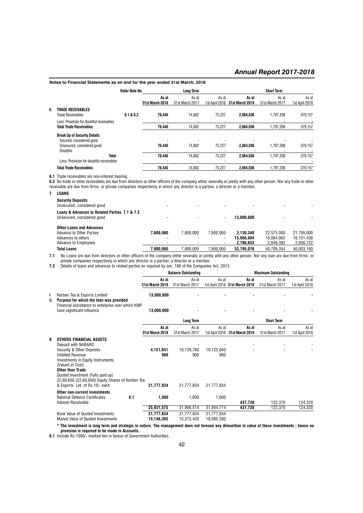|   | Notes to Financial Statements as on and for the year ended 31st March, 2018                               |                |                                 |                          |                         |                          |                          |                         |
|---|-----------------------------------------------------------------------------------------------------------|----------------|---------------------------------|--------------------------|-------------------------|--------------------------|--------------------------|-------------------------|
|   |                                                                                                           | Refer Note No. |                                 | <b>Long Term</b>         |                         |                          | <b>Short Term</b>        |                         |
|   |                                                                                                           |                | As at<br><b>31st March 2018</b> | As at<br>31st March 2017 | As at<br>1st April 2016 | As at<br>31st March 2018 | As at<br>31st March 2017 | As at<br>1st April 2016 |
| 6 | TRADE RECEIVABLES<br>Trade Receivables                                                                    | 6.1 & 6.2      | 78.440                          | 74.882                   | 75.227                  | 2.084.036                | 1.797.208                | 379.157                 |
|   | Less: Provision for doubtful receivables<br><b>Total Trade Receivables</b>                                |                | 78.440                          | 74.882                   | 75,227                  | 2.084.036                | 1.797.208                | 379,157                 |
|   | <b>Break Up of Security Details</b><br>Secured, considered good<br>Unsecured, considered good<br>Doubtful |                | 78.440                          | 74.882                   | 75.227                  | 2.084.036                | 1.797.208                | 379.157                 |
|   | Total<br>Less: Provision for doubtful receivables                                                         |                | 78.440                          | 74.882                   | 75.227                  | 2.084.036                | 1.797.208                | 379.157                 |
|   | <b>Total Trade Receivables</b>                                                                            |                | 78.440                          | 74.882                   | 75.227                  | 2.084.036                | 1.797.208                | 379.157                 |

**6.1** Trade receivables are non-interest bearing.

**6.2** No trade or other receivables are due from directors or other officers of the company either severally or jointly with any other person. Nor any trade or other receivable are due from firms or private companies respectively in which any director is a partner, a director or a member.

| LOANS                                                                                                                                                   |           |           |                          |            |            |            |
|---------------------------------------------------------------------------------------------------------------------------------------------------------|-----------|-----------|--------------------------|------------|------------|------------|
| <b>Security Deposits</b><br>Unsecured, considered good                                                                                                  |           |           |                          |            |            |            |
| Loans & Advances to Related Parties 7.1 & 7.2<br>Unsecured, considered good                                                                             |           |           | $\overline{\phantom{a}}$ | 13.000.000 |            |            |
| <b>Other Loans and Advances</b>                                                                                                                         |           |           |                          |            |            |            |
| Advance to Other Parties                                                                                                                                | 7.800.000 | 7.800.000 | 7.800.000                | 2.130.340  | 22.575.000 | 21.795.000 |
| Advances to others                                                                                                                                      |           |           |                          | 15.866.084 | 16.084.962 | 16.151.438 |
| <b>Advance to Employees</b>                                                                                                                             |           |           |                          | 2.798.652  | 2.049.392  | 2.056.722  |
| <b>Total Loans</b>                                                                                                                                      | 7.800.000 | 7.800.000 | 7.800.000                | 33.795.076 | 40.709.354 | 40.003.160 |
| All house and discussions in the effective of the concern stilling conselling to the consentation of the constant and discussed and floor and floor and |           |           |                          |            |            |            |

**7.1** No Loans are due from directors or other officers of the company either severally or jointly with any other person. Nor any loan are due from firms or private companies respectively in which any director is a partner, a director or a member.

**7.2** Details of loans and advances to related parties as required by sec. 186 of the Companies Act, 2013

|           |                                                                                                                                                                                                                                                                                                                               | <b>Balance Outstanding</b>      |                                 |                                 | <b>Maximum Outstanding</b>              |                          |                         |  |
|-----------|-------------------------------------------------------------------------------------------------------------------------------------------------------------------------------------------------------------------------------------------------------------------------------------------------------------------------------|---------------------------------|---------------------------------|---------------------------------|-----------------------------------------|--------------------------|-------------------------|--|
|           |                                                                                                                                                                                                                                                                                                                               | As at<br><b>31st March 2018</b> | As at<br>31st March 2017        | As at                           | As at<br>1st April 2016 31st March 2018 | As at<br>31st March 2017 | As at<br>1st April 2016 |  |
| j.<br>ii. | Norben Tea & Exports Limited<br>Purpose for which the loan was provided                                                                                                                                                                                                                                                       | 13,000,000                      |                                 |                                 |                                         |                          |                         |  |
|           | Financial assisitance to enterprise over which KMP<br>have significant influence                                                                                                                                                                                                                                              | 13,000,000                      |                                 |                                 |                                         |                          |                         |  |
|           |                                                                                                                                                                                                                                                                                                                               |                                 | <b>Long Term</b>                |                                 |                                         | <b>Short Term</b>        |                         |  |
|           |                                                                                                                                                                                                                                                                                                                               | As at<br>31st March 2018        | As at<br>31st March 2017        | As at                           | As at<br>1st April 2016 31st March 2018 | As at<br>31st March 2017 | As at<br>1st April 2016 |  |
| 8         | OTHERS FINANCIAL ASSETS<br>Deposit with NABARD<br>Security & Other Deposits<br><b>Unbilled Revenue</b><br><b>Investments in Equity Instruments</b><br>(Valued at Cost)<br><b>Other than Trade</b><br>Quoted Investment (Fully paid up)<br>22,60,650 (22,60,650) Equity Shares of Norben Tea<br>& Exports Ltd. of Rs.10/- each | 4,151,841<br>900<br>21.777.834  | 10,126,780<br>900<br>21.777.834 | 10,125,040<br>900<br>21.777.834 |                                         |                          |                         |  |
|           | <b>Other non-current investments</b><br>8.1<br><b>National Defence Certificates</b><br>Interest Receivable                                                                                                                                                                                                                    | 1,000                           | 1,000                           | 1,000                           | 437.728                                 | 122.370                  | 124,320                 |  |
|           |                                                                                                                                                                                                                                                                                                                               | 25,931,575                      | 31,906,514                      | 31,904,774                      | 437,728                                 | 122,370                  | 124,320                 |  |
|           | <b>Book Value of Quoted Investments</b><br>Market Value of Quoted Investments                                                                                                                                                                                                                                                 | 21,777,834<br>15.146.355        | 21,777,834<br>15,372,420        | 21,777,834<br>18.085.200        |                                         |                          |                         |  |

**\* The investment is long term and strategic in nature. The management does not foresee any dimunition in value of these investments ; hence no provision is required to be made in Accounts.**

**8.1** Include Rs.1000/- marked lien in favour of Government Authorities.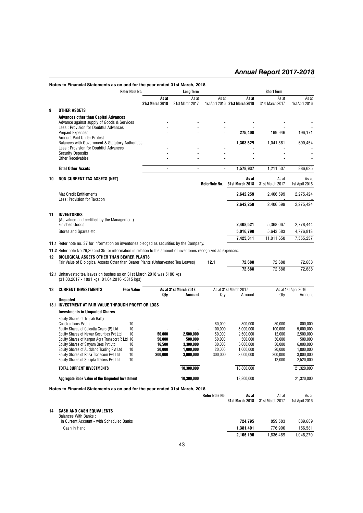|    | Notes to Financial Statements as on and for the year ended 31st March, 2018                                                                                           |                          |                          |                   |                                         |                          |                         |
|----|-----------------------------------------------------------------------------------------------------------------------------------------------------------------------|--------------------------|--------------------------|-------------------|-----------------------------------------|--------------------------|-------------------------|
|    | Refer Note No.                                                                                                                                                        |                          | <b>Long Term</b>         |                   |                                         | <b>Short Term</b>        |                         |
|    |                                                                                                                                                                       | As at<br>31st March 2018 | As at<br>31st March 2017 | As at             | As at<br>1st April 2016 31st March 2018 | As at<br>31st March 2017 | As at<br>1st April 2016 |
| 9  | <b>OTHER ASSETS</b>                                                                                                                                                   |                          |                          |                   |                                         |                          |                         |
|    | <b>Advances other than Capital Advances</b><br>Advance against supply of Goods & Services<br>Less: Provision for Doubtful Advances                                    |                          |                          |                   |                                         |                          |                         |
|    | <b>Prepaid Expenses</b>                                                                                                                                               |                          |                          |                   | 275,408                                 | 169,946                  | 196,171                 |
|    | Amount Paid Under Protest<br>Balances with Government & Statutory Authorities<br>Less: Provision for Doubtful Advances                                                |                          |                          |                   | 1,303,529                               | 1,041,561                | 690,454                 |
|    | <b>Security Deposits</b><br><b>Other Receivables</b>                                                                                                                  |                          |                          |                   |                                         |                          |                         |
|    | <b>Total Other Assets</b>                                                                                                                                             | $\blacksquare$           | $\blacksquare$           | $\blacksquare$    | 1,578,937                               | 1,211,507                | 886,625                 |
| 10 | <b>NON CURRENT TAX ASSETS (NET)</b>                                                                                                                                   |                          |                          | ReferNote No.     | As at<br>31st March 2018                | As at<br>31st March 2017 | As at<br>1st April 2016 |
|    | <b>Mat Credit Entitlements</b><br>Less: Provision for Taxation                                                                                                        |                          |                          |                   | 2,642,259                               | 2,406,599                | 2,275,424               |
|    |                                                                                                                                                                       |                          |                          |                   | 2,642,259                               | 2,406,599                | 2,275,424               |
| 11 | <b>INVENTORIES</b><br>(As valued and certified by the Management)                                                                                                     |                          |                          |                   |                                         |                          |                         |
|    | <b>Finished Goods</b>                                                                                                                                                 |                          |                          |                   | 2,408,521                               | 5,368,067                | 2,778,444               |
|    | Stores and Spares etc.                                                                                                                                                |                          |                          |                   | 5,016,790                               | 5,643,583                | 4,776,813               |
|    | <b>11.1</b> Refer note no. 37 for information on inventories pledged as securities by the Company.                                                                    |                          |                          |                   | 7,425,311                               | 11,011,650               | 7,555,257               |
| 12 | 11.2 Refer note No.29,30 and 35 for information in relation to the amount of inventories recognized as expenses.<br><b>BIOLOGICAL ASSETS OTHER THAN BEARER PLANTS</b> |                          |                          |                   |                                         |                          |                         |
|    | Fair Value of Biological Assets Other than Bearer Plants (Unharvested Tea Leaves)                                                                                     |                          |                          | 12.1              | 72,688                                  | 72,688                   | 72,688                  |
|    | 12.1 Unharvested tea leaves on bushes as on 31st March 2018 was 5180 kgs<br>(31.03.2017 - 1891 kgs, 01.04.2016 - 5815 kgs)                                            |                          |                          |                   | 72.688                                  | 72,688                   | 72,688                  |
| 13 | <b>CURRENT INVESTMENTS</b><br><b>Face Value</b>                                                                                                                       |                          | As at 31st March 2018    |                   | As at 31st March 2017                   |                          | As at 1st April 2016    |
|    | <b>Unquoted</b>                                                                                                                                                       | Qty                      | Amount                   | Qty               | Amount                                  | Qty                      | Amount                  |
|    | 13.1 INVESTMENT AT FAIR VALUE THROUGH PROFIT OR LOSS                                                                                                                  |                          |                          |                   |                                         |                          |                         |
|    | <b>Investments in Unquoted Shares</b>                                                                                                                                 |                          |                          |                   |                                         |                          |                         |
|    | Equity Shares of Trupati Balaji                                                                                                                                       |                          |                          |                   |                                         |                          |                         |
|    | <b>Constructions Pvt Ltd</b><br>10                                                                                                                                    |                          |                          | 80.000            | 800,000                                 | 80,000                   | 800,000                 |
|    | Equity Shares of Calcutta Gears (P) Ltd<br>10<br>Equity Shares of Newar Securities Pvt Ltd<br>10                                                                      | 50,000                   | 2.500.000                | 100,000<br>50,000 | 5,000,000<br>2,500,000                  | 100,000<br>12,000        | 5,000,000<br>2,500,000  |
|    | Equity Shares of Kanpur Agra Transport P. Ltd 10                                                                                                                      | 50,000                   | 500,000                  | 50,000            | 500,000                                 | 50,000                   | 500.000                 |
|    | Equity Shares of Satyam Ores Pvt Ltd<br>10                                                                                                                            | 16,500                   | 3.300.000                | 30,000            | 6,000,000                               | 30,000                   | 6,000,000               |
|    | Equity Shares of Auckland Trading Pvt Ltd<br>10                                                                                                                       | 20,000                   | 1.000.000                | 20,000            | 1,000,000                               | 20.000                   | 1,000,000               |
|    | Equity Shares of Rhea Tradecom Pvt Ltd<br>10<br>Equity Shares of Sudipta Traders Pvt Ltd<br>10                                                                        | 300,000                  | 3,000,000                | 300,000           | 3,000,000                               | 300,000<br>12,000        | 3,000,000<br>2,520,000  |
|    | <b>TOTAL CURRENT INVESTMENTS</b>                                                                                                                                      |                          | 10,300,000               |                   | 18.800.000                              |                          | 21,320,000              |
|    | Aggregate Book Value of the Unguoted Investment                                                                                                                       |                          | 10,300,000               |                   | 18,800,000                              |                          | 21,320,000              |
|    | Notes to Financial Statements as on and for the year ended 31st March, 2018                                                                                           |                          |                          |                   |                                         |                          |                         |
|    |                                                                                                                                                                       |                          |                          | Refer Note No.    | As at<br><b>31st March 2018</b>         | As at<br>31st March 2017 | As at<br>1st April 2016 |
| 14 | <b>CASH AND CASH EQUVALENTS</b>                                                                                                                                       |                          |                          |                   |                                         |                          |                         |
|    | <b>Balances With Banks:</b>                                                                                                                                           |                          |                          |                   |                                         |                          |                         |
|    | In Current Account - with Scheduled Banks                                                                                                                             |                          |                          |                   | 724,795                                 | 859,583                  | 889,689                 |
|    | Cash in Hand                                                                                                                                                          |                          |                          |                   | 1,381,401<br>2,106,196                  | 776,906<br>1,636,489     | 156,581<br>1,046,270    |
|    |                                                                                                                                                                       |                          |                          |                   |                                         |                          |                         |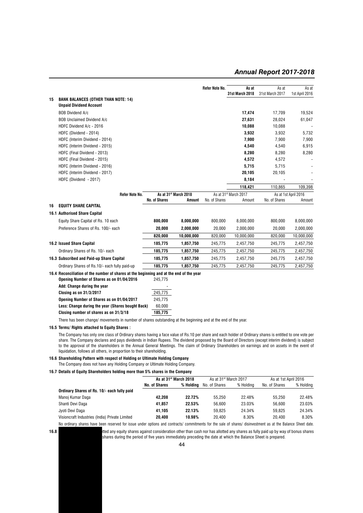|    |                                                                                                              |                      |                                   | Refer Note No. | As at<br>31st March 2018          | As at<br>31st March 2017 | As at<br>1st April 2016 |
|----|--------------------------------------------------------------------------------------------------------------|----------------------|-----------------------------------|----------------|-----------------------------------|--------------------------|-------------------------|
| 15 | <b>BANK BALANCES (OTHER THAN NOTE: 14)</b><br><b>Unpaid Dividend Account</b>                                 |                      |                                   |                |                                   |                          |                         |
|    | BOB Dividend A/c                                                                                             |                      |                                   |                | 17,474                            | 17,709                   | 19,524                  |
|    | <b>BOB Unclaimed Dividend A/c</b>                                                                            |                      |                                   |                | 27,631                            | 28,024                   | 61,047                  |
|    | HDFC Dividend A/c - 2016                                                                                     |                      |                                   |                | 10.088                            | 10,088                   |                         |
|    | HDFC (Dividend - 2014)                                                                                       |                      |                                   |                | 3,932                             | 3,932                    | 5,732                   |
|    | HDFC (Interim Dividend - 2014)                                                                               |                      |                                   |                | 7,900                             | 7,900                    | 7,900                   |
|    | HDFC (Interim Dividend - 2015)                                                                               |                      |                                   |                | 4,540                             | 4,540                    | 6,915                   |
|    | HDFC (Final Dividend - 2013)                                                                                 |                      |                                   |                | 8,280                             | 8,280                    | 8,280                   |
|    | HDFC (Final Dividend - 2015)                                                                                 |                      |                                   |                | 4,572                             | 4,572                    |                         |
|    | HDFC (Interim Dividend - 2016)                                                                               |                      |                                   |                | 5,715                             | 5,715                    |                         |
|    | HDFC (Interim Dividend - 2017)                                                                               |                      |                                   |                | 20,105                            | 20,105                   |                         |
|    | HDFC (Dividend - 2017)                                                                                       |                      |                                   |                | 8,184                             |                          |                         |
|    |                                                                                                              |                      |                                   |                | 118,421                           | 110,865                  | 109,398                 |
|    | Refer Note No.                                                                                               |                      | As at 31 <sup>st</sup> March 2018 |                | As at 31 <sup>st</sup> March 2017 |                          | As at 1st April 2016    |
|    |                                                                                                              | <b>No. of Shares</b> | Amount                            | No. of Shares  | Amount                            | No. of Shares            | Amount                  |
| 16 | <b>EQUITY SHARE CAPITAL</b>                                                                                  |                      |                                   |                |                                   |                          |                         |
|    | 16.1 Authorised Share Capital                                                                                |                      |                                   |                |                                   |                          |                         |
|    | Equity Share Capital of Rs. 10 each                                                                          | 800,000              | 8,000,000                         | 800.000        | 8,000,000                         | 800.000                  | 8,000,000               |
|    | Preference Shares of Rs. 100/- each                                                                          | 20,000               | 2,000,000                         | 20,000         | 2,000,000                         | 20,000                   | 2,000,000               |
|    |                                                                                                              | 820,000              | 10,000,000                        | 820,000        | 10,000,000                        | 820,000                  | 10,000,000              |
|    | <b>16.2 Issued Share Capital</b>                                                                             | 185,775              | 1,857,750                         | 245,775        | 2,457,750                         | 245,775                  | 2,457,750               |
|    | Ordinary Shares of Rs. 10/- each                                                                             | 185,775              | 1,857,750                         | 245,775        | 2,457,750                         | 245,775                  | 2,457,750               |
|    | 16.3 Subscribed and Paid-up Share Capital                                                                    | 185,775              | 1,857,750                         | 245,775        | 2,457,750                         | 245,775                  | 2,457,750               |
|    | Ordinary Shares of Rs.10/- each fully paid-up                                                                | 185,775              | 1,857,750                         | 245,775        | 2,457,750                         | 245,775                  | 2,457,750               |
|    | 16.4 Reconciliation of the number of shares at the beginning and at the end of the year                      |                      |                                   |                |                                   |                          |                         |
|    | Opening Number of Shares as on 01/04/2016                                                                    | 245.775              |                                   |                |                                   |                          |                         |
|    | Add: Change during the year                                                                                  |                      |                                   |                |                                   |                          |                         |
|    | Closing as on 31/3/2017                                                                                      | 245,775              |                                   |                |                                   |                          |                         |
|    | Opening Number of Shares as on 01/04/2017                                                                    | 245,775              |                                   |                |                                   |                          |                         |
|    | Less: Change during the year (Shares bought Back)                                                            | 60,000               |                                   |                |                                   |                          |                         |
|    | Closing number of shares as on 31/3/18                                                                       | 185.775              |                                   |                |                                   |                          |                         |
|    | There has been change/movements in number of shares outstanding at the beginning and at the end of the year. |                      |                                   |                |                                   |                          |                         |
|    |                                                                                                              |                      |                                   |                |                                   |                          |                         |

**16.5 Terms/ Rights attached to Equity Shares :**

The Company has only one class of Ordinary shares having a face value of Rs.10 per share and each holder of Ordinary shares is entitled to one vote per share. The Company declares and pays dividends in Indian Rupees. The dividend proposed by the Board of Directors (except interim dividend) is subject to the approval of the shareholders in the Annual General Meetings. The claim of Ordinary Shareholders on earnings and on assets in the event of liquidation, follows all others, in proportion to their shareholding.

#### **16.6 Shareholding Pattern with respect of Holding or Ultimate Holding Company**

The Company does not have any Holding Company or Ultimate Holding Company.

#### **16.7 Details of Equity Shareholders holding more than 5% shares in the Company**

|                                                                                                                                                              | As at 31 <sup>st</sup> March 2018 | As at 31 <sup>st</sup> March 2017 |               |           | As at 1st April 2016 |           |
|--------------------------------------------------------------------------------------------------------------------------------------------------------------|-----------------------------------|-----------------------------------|---------------|-----------|----------------------|-----------|
|                                                                                                                                                              | No. of Shares                     | % Holdina                         | No. of Shares | % Holdina | No. of Shares        | % Holdina |
| Ordinary Shares of Rs. 10/- each fully paid                                                                                                                  |                                   |                                   |               |           |                      |           |
| Manoj Kumar Daga                                                                                                                                             | 42.208                            | 22.72%                            | 55.250        | 22.48%    | 55.250               | 22.48%    |
| Shanti Devi Daga                                                                                                                                             | 41.857                            | 22.53%                            | 56.600        | 23.03%    | 56.600               | 23.03%    |
| Jyoti Devi Daga                                                                                                                                              | 41.105                            | 22.13%                            | 59.825        | 24.34%    | 59.825               | 24.34%    |
| Visioncraft Industries (India) Private Limited                                                                                                               | 20.400                            | 10.98%                            | 20.400        | 8.30%     | 20.400               | 8.30%     |
| No ordinary shares have been reserved for issue under options and contracts/ commitments for the sale of shares/ disinvestment as at the Balance Sheet date. |                                   |                                   |               |           |                      |           |

**16.8** The Company equity shares against consideration other than cash nor has allotted any shares as fully paid up by way of bonus shares shares during the period of five years immediately preceding the date at which the Balance Sheet is prepared.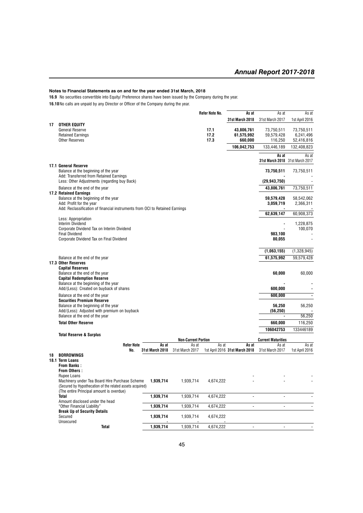**16.9** No securities convertible into Equity/ Preference shares have been issued by the Company during the year.

**16.10**No calls are unpaid by any Director or Officer of the Company during the year.

|    |                                                                                                             |                        |                            | <b>Refer Note No.</b> | As at                          | As at                                    | As at                   |
|----|-------------------------------------------------------------------------------------------------------------|------------------------|----------------------------|-----------------------|--------------------------------|------------------------------------------|-------------------------|
|    |                                                                                                             |                        |                            |                       | 31st March 2018                | 31st March 2017                          | 1st April 2016          |
| 17 | <b>OTHER EQUITY</b>                                                                                         |                        |                            |                       |                                |                                          |                         |
|    | <b>General Reserve</b><br><b>Retained Earnings</b>                                                          |                        |                            | 17.1<br>17.2          | 43,806,761<br>61,575,992       | 73,750,511<br>59,579,428                 | 73,750,511<br>6,241,496 |
|    | <b>Other Reserves</b>                                                                                       |                        |                            | 17.3                  | 660,000                        | 116,250                                  | 52,416,816              |
|    |                                                                                                             |                        |                            |                       | 106,042,753                    | 133,446,189                              | 132,408,823             |
|    |                                                                                                             |                        |                            |                       |                                |                                          |                         |
|    |                                                                                                             |                        |                            |                       |                                | As at<br>31st March 2018 31st March 2017 | As at                   |
|    | 17.1 General Reserve                                                                                        |                        |                            |                       |                                |                                          |                         |
|    | Balance at the beginning of the year                                                                        |                        |                            |                       |                                | 73,750,511                               | 73,750,511              |
|    | Add: Transferred from Retained Earnings                                                                     |                        |                            |                       |                                |                                          |                         |
|    | Less: Other Adjustments (regarding buy Back)                                                                |                        |                            |                       |                                | (29, 943, 750)                           |                         |
|    | Balance at the end of the year                                                                              |                        |                            |                       |                                | 43,806,761                               | 73,750,511              |
|    | <b>17.2 Retained Earnings</b><br>Balance at the beginning of the year                                       |                        |                            |                       |                                | 59,579,428                               | 58,542,062              |
|    | Add: Profit for the year                                                                                    |                        |                            |                       |                                | 3,059,719                                | 2,366,311               |
|    | Add: Reclassification of financial instruments from OCI to Retained Earnings                                |                        |                            |                       |                                |                                          |                         |
|    |                                                                                                             |                        |                            |                       |                                | 62,639,147                               | 60,908,373              |
|    | Less: Appropriation<br><b>Interim Dividend</b>                                                              |                        |                            |                       |                                |                                          | 1,228,875               |
|    | Corporate Dividend Tax on Interim Dividend                                                                  |                        |                            |                       |                                | $\overline{a}$                           | 100,070                 |
|    | <b>Final Dividend</b>                                                                                       |                        |                            |                       |                                | 983,100                                  |                         |
|    | Corporate Dividend Tax on Final Dividend                                                                    |                        |                            |                       |                                | 80,055                                   |                         |
|    |                                                                                                             |                        |                            |                       |                                |                                          |                         |
|    |                                                                                                             |                        |                            |                       |                                | (1,063,155)                              | (1,328,945)             |
|    | Balance at the end of the year                                                                              |                        |                            |                       |                                | 61,575,992                               | 59,579,428              |
|    | 17.3 Other Reserves                                                                                         |                        |                            |                       |                                |                                          |                         |
|    | <b>Capital Reserves</b><br>Balance at the end of the year                                                   |                        |                            |                       |                                | 60,000                                   | 60,000                  |
|    | <b>Capital Redemption Reserve</b>                                                                           |                        |                            |                       |                                |                                          |                         |
|    | Balance at the beginning of the year                                                                        |                        |                            |                       |                                |                                          |                         |
|    | Add/(Less): Created on buyback of shares                                                                    |                        |                            |                       |                                | 600,000                                  |                         |
|    | Balance at the end of the year                                                                              |                        |                            |                       |                                | 600,000                                  | $\blacksquare$          |
|    | <b>Securities Premium Reserve</b>                                                                           |                        |                            |                       |                                |                                          |                         |
|    | Balance at the beginning of the year                                                                        |                        |                            |                       |                                | 56,250                                   | 56,250                  |
|    | Add/(Less): Adjusted with premium on buyback<br>Balance at the end of the year                              |                        |                            |                       |                                | (56, 250)                                | 56,250                  |
|    | <b>Total Other Reserve</b>                                                                                  |                        |                            |                       |                                | 660,000                                  | 116,250                 |
|    |                                                                                                             |                        |                            |                       |                                | 106042753                                | 133446189               |
|    | <b>Total Reserve &amp; Surplus</b>                                                                          |                        |                            |                       |                                |                                          |                         |
|    |                                                                                                             |                        | <b>Non-Current Portion</b> |                       |                                | <b>Current Maturities</b>                |                         |
|    | <b>Refer Note</b>                                                                                           | As at                  | As at                      | As at                 | As at                          | As at                                    | As at                   |
| 18 | No.<br><b>BORROWINGS</b>                                                                                    | <b>31st March 2018</b> | 31st March 2017            |                       | 1st April 2016 31st March 2018 | 31st March 2017                          | 1st April 2016          |
|    | 18.1 Term Loans                                                                                             |                        |                            |                       |                                |                                          |                         |
|    | <b>From Banks:</b>                                                                                          |                        |                            |                       |                                |                                          |                         |
|    | <b>From Others:</b>                                                                                         |                        |                            |                       |                                |                                          |                         |
|    | Rupee Loans                                                                                                 |                        |                            |                       |                                |                                          |                         |
|    | Machinery under Tea Board Hire Purchase Scheme<br>(Secured by Hypothecation of the related assets acquired) | 1,939,714              | 1,939,714                  | 4,674,222             |                                |                                          |                         |
|    | (The entire Principal amount is overdue)                                                                    |                        |                            |                       |                                |                                          |                         |
|    | <b>Total</b>                                                                                                | 1,939,714              | 1,939,714                  | 4,674,222             |                                |                                          |                         |
|    | Amount disclosed under the head                                                                             |                        |                            |                       |                                |                                          |                         |
|    | "Other Financial Liability"                                                                                 | 1,939,714              | 1,939,714                  | 4,674,222             |                                |                                          |                         |
|    | <b>Break Up of Security Details</b><br>Secured                                                              | 1,939,714              | 1,939,714                  | 4,674,222             |                                |                                          |                         |
|    | Unsecured                                                                                                   |                        |                            |                       |                                |                                          |                         |
|    | <b>Total</b>                                                                                                | 1,939,714              | 1,939,714                  | 4,674,222             |                                |                                          |                         |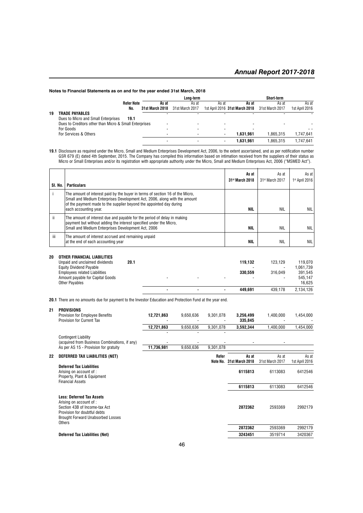|    |                                                        |                 | Long-term       |       |                                | Short-term      |                |
|----|--------------------------------------------------------|-----------------|-----------------|-------|--------------------------------|-----------------|----------------|
|    | <b>Refer Note</b>                                      | As at           | As at           | As at | As at                          | As at           | As at          |
|    | No.                                                    | 31st March 2018 | 31st March 2017 |       | 1st April 2016 31st March 2018 | 31st March 2017 | 1st April 2016 |
| 19 | <b>TRADE PAYABLES</b>                                  |                 |                 |       |                                |                 |                |
|    | Dues to Micro and Small Enterprises<br>19.1            |                 |                 |       |                                |                 |                |
|    | Dues to Creditors other than Micro & Small Enterprises |                 |                 | ۰     |                                |                 |                |
|    | For Goods                                              |                 |                 | -     |                                |                 | - -            |
|    | For Services & Others                                  |                 |                 | -     | 1.631.961                      | 1.865.315       | 1.747.641      |
|    |                                                        |                 |                 |       | 1.631.961                      | 1.865.315       | .747.641       |
|    |                                                        |                 |                 |       |                                |                 |                |

**19.1** Disclosure as required under the Micro, Small and Medium Enterprises Development Act, 2006, to the extent ascertained, and as per notification number GSR 679 (E) dated 4th September, 2015. The Company has compiled this information based on intimation received from the suppliers of their status as Micro or Small Enterprises and/or its registration with appropriate authority under the Micro, Small and Medium Enterprises Act, 2006 ("MSMED Act").

| SI. No. | <b>Particulars</b>                                                                                                                                                                                                                                         | As at<br>31st March 2018 | As at<br>31 <sup>st</sup> March 2017 | As at<br>1 <sup>st</sup> April 2016 |
|---------|------------------------------------------------------------------------------------------------------------------------------------------------------------------------------------------------------------------------------------------------------------|--------------------------|--------------------------------------|-------------------------------------|
|         | The amount of interest paid by the buyer in terms of section 16 of the Micro,<br>Small and Medium Enterprises Development Act, 2006, along with the amount<br>of the payment made to the supplier beyond the appointed day during<br>each accounting year. | NIL                      | <b>NIL</b>                           | NIL                                 |
| ïi      | The amount of interest due and payable for the period of delay in making<br>payment but without adding the interest specified under the Micro,<br>Small and Medium Enterprises Development Act, 2006                                                       | NIL                      | <b>NIL</b>                           | NIL                                 |
| iii     | The amount of interest accrued and remaining unpaid<br>at the end of each accounting year                                                                                                                                                                  | NIL                      | <b>NIL</b>                           | <b>NIL</b>                          |

| 20 | OTHER FINANCIAL LIABILITIES<br>Unpaid and unclaimed dividends<br><b>Equity Dividend Payable</b><br><b>Employees related Liabilities</b><br>Amount payable for Capital Goods<br><b>Other Pavables</b> | 20.1 | - |                |        | 119.132<br>330.559 | 123.129<br>$\overline{\phantom{a}}$<br>316.049<br>$\overline{\phantom{a}}$ | 119.070<br>1.061.739<br>391.545<br>545.147<br>16.625 |
|----|------------------------------------------------------------------------------------------------------------------------------------------------------------------------------------------------------|------|---|----------------|--------|--------------------|----------------------------------------------------------------------------|------------------------------------------------------|
|    |                                                                                                                                                                                                      |      |   | $\blacksquare$ | $\sim$ | 449.691            | 439.178                                                                    | 2.134.126                                            |

**20.1** There are no amounts due for payment to the Investor Education and Protection Fund at the year end.

| 21 | <b>PROVISIONS</b>                                                                                                            |            |           |           |                        |                 |                |
|----|------------------------------------------------------------------------------------------------------------------------------|------------|-----------|-----------|------------------------|-----------------|----------------|
|    | <b>Provision for Employee Benefits</b><br>Provision for Current Tax                                                          | 12,721,863 | 9,650,636 | 9,301,078 | 3,256,499<br>335,845   | 1,400,000       | 1,454,000      |
|    |                                                                                                                              | 12,721,863 | 9,650,636 | 9,301,078 | 3,592,344              | 1,400,000       | 1,454,000      |
|    | <b>Contingent Liability</b>                                                                                                  |            |           |           |                        |                 |                |
|    | (acquired from Business Combinations, if any)                                                                                |            |           |           |                        |                 |                |
|    | As per AS 15 - Provision for gratuity                                                                                        | 11,736,981 | 9.650.636 | 9,301,078 |                        |                 |                |
| 22 | DEFERRED TAX LIABILITIES (NET)                                                                                               |            |           | Refer     | As at                  | As at           | As at          |
|    |                                                                                                                              |            |           | Note No.  | <b>31st March 2018</b> | 31st March 2017 | 1st April 2016 |
|    | <b>Deferred Tax Liabilities</b><br>Arising on account of :<br>Property, Plant & Equipment<br><b>Financial Assets</b>         |            |           |           | 6115813                | 6113083         | 6412546        |
|    |                                                                                                                              |            |           |           | 6115813                | 6113083         | 6412546        |
|    | <b>Less: Deferred Tax Assets</b><br>Arising on account of :<br>Section 43B of Income-tax Act<br>Provision for doubtful debts |            |           |           | 2872362                | 2593369         | 2992179        |
|    | <b>Brought Forward Unabsorbed Losses</b><br>Others                                                                           |            |           |           |                        |                 |                |
|    |                                                                                                                              |            |           |           | 2872362                | 2593369         | 2992179        |
|    | <b>Deferred Tax Liabilities (Net)</b>                                                                                        |            |           |           | 3243451                | 3519714         | 3420367        |
|    |                                                                                                                              |            |           |           |                        |                 |                |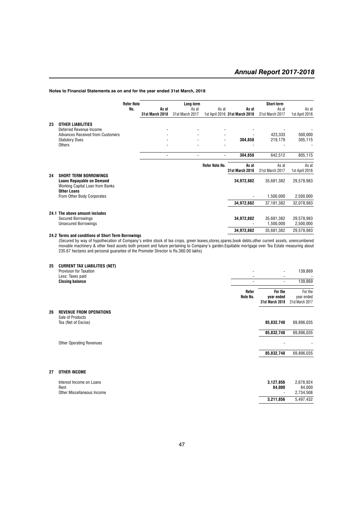|    |                                                    | <b>Refer Note</b> |                 | Long-term       |                          |                                | <b>Short-term</b> |                |
|----|----------------------------------------------------|-------------------|-----------------|-----------------|--------------------------|--------------------------------|-------------------|----------------|
|    |                                                    | No.               | As at           | As at           | As at                    | As at                          | As at             | As at          |
|    |                                                    |                   | 31st March 2018 | 31st March 2017 |                          | 1st April 2016 31st March 2018 | 31st March 2017   | 1st April 2016 |
| 23 | <b>OTHER LIABILITIES</b>                           |                   |                 |                 |                          |                                |                   |                |
|    | Deferred Revenue Income                            |                   |                 |                 |                          |                                |                   |                |
|    | <b>Advances Received from Customers</b>            |                   |                 |                 |                          |                                | 423.333           | 500,000        |
|    | <b>Statutory Dues</b>                              |                   |                 |                 | $\overline{\phantom{a}}$ | 304,858                        | 219,179           | 305,115        |
|    | Others                                             |                   |                 |                 |                          |                                |                   |                |
|    |                                                    |                   |                 |                 |                          |                                |                   |                |
|    |                                                    |                   | ٠               | ٠               | $\blacksquare$           | 304,858                        | 642,512           | 805,115        |
|    |                                                    |                   |                 |                 | Refer Note No.           | As at                          | As at             | As at          |
|    |                                                    |                   |                 |                 |                          | <b>31st March 2018</b>         | 31st March 2017   | 1st April 2016 |
| 24 | <b>SHORT TERM BORROWINGS</b>                       |                   |                 |                 |                          |                                |                   |                |
|    | <b>Loans Repayable on Demand</b>                   |                   |                 |                 |                          | 34,972,882                     | 35,681,382        | 29,578,983     |
|    | Working Capital Loan from Banks                    |                   |                 |                 |                          |                                |                   |                |
|    | <b>Other Loans</b>                                 |                   |                 |                 |                          |                                |                   |                |
|    | From Other Body Corporates                         |                   |                 |                 |                          |                                | 1,500,000         | 2,500,000      |
|    |                                                    |                   |                 |                 |                          | 34,972,882                     | 37,181,382        | 32,078,983     |
|    | 24.1 The above amount includes                     |                   |                 |                 |                          |                                |                   |                |
|    | <b>Secured Borrowings</b>                          |                   |                 |                 |                          | 34,972,882                     | 35,681,382        | 29,578,983     |
|    | <b>Unsecured Borrowings</b>                        |                   |                 |                 |                          |                                | 1,500,000         | 2,500,000      |
|    |                                                    |                   |                 |                 |                          |                                |                   |                |
|    |                                                    |                   |                 |                 |                          | 34,972,882                     | 35,681,382        | 29,578,983     |
|    | 24.2 Terms and conditions of Short Term Borrowings |                   |                 |                 |                          |                                |                   |                |

(Secured by way of hypothecation of Company's entire stock of tea crops, green leaves,stores,spares,book debts,other current assets, unencumbered movable machinery & other fixed assets both present and future pertaining to Company's garden.Equitable mortgage over Tea Estate measuring about 235.67 hectares and personal guarantee of the Promoter Director is Rs.360.00 lakhs)

**25 CURRENT TAX LIABILITIES (NET)**

| LU | <b>POINTERT TAX EIADIEITIED (NET)</b><br><b>Provision for Taxation</b><br>Less: Taxes paid |                   | $\blacksquare$<br>$\overline{\phantom{a}}$ | 139,869                                  |
|----|--------------------------------------------------------------------------------------------|-------------------|--------------------------------------------|------------------------------------------|
|    | <b>Closing balance</b>                                                                     |                   | $\overline{\phantom{a}}$                   | 139,869                                  |
|    |                                                                                            | Refer<br>Note No. | For the<br>year ended<br>31st March 2018   | For the<br>year ended<br>31st March 2017 |
| 26 | <b>REVENUE FROM OPERATIONS</b><br>Sale of Products                                         |                   |                                            |                                          |
|    | Tea (Net of Excise)                                                                        |                   | 85,832,748                                 | 69,896,035                               |
|    |                                                                                            |                   | 85,832,748                                 | 69,896,035                               |
|    | <b>Other Operating Revenues</b>                                                            |                   |                                            |                                          |
|    |                                                                                            |                   | 85,832,748                                 | 69,896,035                               |
| 27 | <b>OTHER INCOME</b>                                                                        |                   |                                            |                                          |
|    | Interest Income on Loans<br>Rent                                                           |                   | 3,127,856<br>84,000                        | 2,678,924<br>84,000                      |
|    | Other Miscellaneous Income                                                                 |                   | 3,211,856                                  | 2,734,508<br>5,497,432                   |
|    |                                                                                            |                   |                                            |                                          |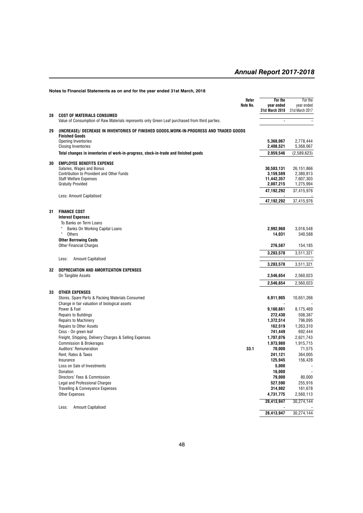|    | Notes to Financial Statements as on and for the year ended 31st March, 2018                                                                                                    |                   |                                                    |                                                   |
|----|--------------------------------------------------------------------------------------------------------------------------------------------------------------------------------|-------------------|----------------------------------------------------|---------------------------------------------------|
|    |                                                                                                                                                                                | Refer<br>Note No. | For the<br>year ended<br>31st March 2018           | For the<br>year ended<br>31st March 2017          |
| 28 | <b>COST OF MATERIALS CONSUMED</b><br>Value of Consumption of Raw Materials represents only Green Leaf purchased from third parties.                                            |                   | $\overline{\phantom{a}}$                           |                                                   |
| 29 | (INCREASE)/ DECREASE IN INVENTORIES OF FINISHED GOODS, WORK-IN-PROGRESS AND TRADED GOODS<br><b>Finished Goods</b>                                                              |                   |                                                    |                                                   |
|    | <b>Opening Inventories</b><br><b>Closing Inventories</b>                                                                                                                       |                   | 5,368,067<br>2,408,521                             | 2,778,444<br>5,368,067                            |
|    | Total changes in inventories of work-in-progress, stock-in-trade and finished goods                                                                                            |                   | 2,959,546                                          | (2,589,623)                                       |
| 30 | <b>EMPLOYEE BENEFITS EXPENSE</b><br>Salaries, Wages and Bonus<br><b>Contribution to Provident and Other Funds</b><br><b>Staff Welfare Expenses</b><br><b>Gratuity Provided</b> |                   | 30,583,131<br>3,159,589<br>11,442,357<br>2,007,215 | 26,151,866<br>2,380,813<br>7,607,303<br>1,275,994 |
|    | Less: Amount Capitalised                                                                                                                                                       |                   | 47,192,292                                         | 37,415,976                                        |
|    |                                                                                                                                                                                |                   | 47,192,292                                         | 37,415,976                                        |
| 31 | <b>FINANCE COST</b><br><b>Interest Expenses</b><br>To Banks on Term Loans<br>Banks On Working Capital Loans<br>$\mathfrak{c}\mathfrak{c}$<br>Others                            |                   | 2,992,960<br>14,031                                | 3,016,548<br>340.588                              |
|    | <b>Other Borrowing Costs</b>                                                                                                                                                   |                   |                                                    |                                                   |
|    | <b>Other Financial Charges</b>                                                                                                                                                 |                   | 276,587                                            | 154,185                                           |
|    | <b>Amount Capitalised</b><br>Less:                                                                                                                                             |                   | 3,283,578                                          | 3,511,321                                         |
|    |                                                                                                                                                                                |                   | 3,283,578                                          | 3,511,321                                         |
| 32 | DEPRECIATION AND AMORTIZATION EXPENSES<br>On Tangible Assets                                                                                                                   |                   | 2,546,654                                          | 2,560,023                                         |
|    |                                                                                                                                                                                |                   | 2,546,654                                          | 2,560,023                                         |
| 33 | <b>OTHER EXPENSES</b><br>Stores, Spare Parts & Packing Materials Consumed<br>Change in fair valuation of biological assets                                                     |                   | 6,911,905                                          | 10,651,266                                        |
|    | Power & Fuel<br><b>Repairs to Buildings</b><br>Repairs to Machinery<br>Repairs to Other Assets                                                                                 |                   | 9,160,661<br>272,430<br>1,372,514<br>162,519       | 8,175,469<br>508,387<br>796,095<br>1,263,310      |
|    | Cess - On green leaf<br>Freight, Shipping, Delivery Charges & Selling Expenses<br><b>Commission &amp; Brokerages</b>                                                           |                   | 741,449<br>1,707,076<br>1,973,980                  | 692,444<br>2,621,743<br>1,915,715                 |
|    | Auditors' Remuneration<br>Rent, Rates & Taxes<br>Insurance                                                                                                                     | 33.1              | 70,000<br>241,121<br>125,945                       | 71,575<br>364,005<br>156,428                      |
|    | Loss on Sale of Investments<br>Donation<br>Directors' Fees & Commission<br><b>Legal and Professional Charges</b>                                                               |                   | 5,000<br>16,000<br>79,000<br>527,590               | 80,000<br>255,916                                 |
|    | Travelling & Conveyance Expenses<br><b>Other Expenses</b>                                                                                                                      |                   | 314,982<br>4,731,775<br>28,413,947                 | 161,678<br>2,560,113<br>30,274,144                |
|    | Less:<br><b>Amount Capitalised</b>                                                                                                                                             |                   | 28,413,947                                         | 30,274,144                                        |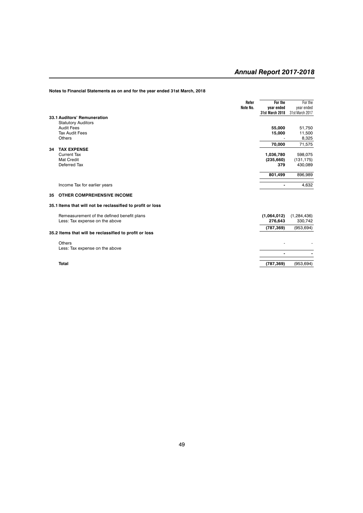**Notes to Financial Statements as on and for the year ended 31st March, 2018**

|    |                                                            | Refer    | For the                | For the         |
|----|------------------------------------------------------------|----------|------------------------|-----------------|
|    |                                                            | Note No. | year ended             | year ended      |
|    |                                                            |          | <b>31st March 2018</b> | 31st March 2017 |
|    | 33.1 Auditors' Remuneration                                |          |                        |                 |
|    | <b>Statutory Auditors</b>                                  |          |                        |                 |
|    | <b>Audit Fees</b>                                          |          | 55,000                 | 51,750          |
|    | <b>Tax Audit Fees</b>                                      |          | 15,000                 | 11,500          |
|    | <b>Others</b>                                              |          |                        | 8,325           |
|    |                                                            |          | 70,000                 | 71,575          |
| 34 | <b>TAX EXPENSE</b>                                         |          |                        |                 |
|    | <b>Current Tax</b>                                         |          | 1,036,780              | 598,075         |
|    | Mat Credit                                                 |          | (235, 660)             | (131, 175)      |
|    | Deferred Tax                                               |          | 379                    | 430,089         |
|    |                                                            |          |                        |                 |
|    |                                                            |          | 801,499                | 896,989         |
|    | Income Tax for earlier years                               |          |                        | 4,632           |
| 35 | <b>OTHER COMPREHENSIVE INCOME</b>                          |          |                        |                 |
|    | 35.1 Items that will not be reclassified to profit or loss |          |                        |                 |
|    | Remeasurement of the defined benefit plans                 |          | (1,064,012)            | (1, 284, 436)   |
|    | Less: Tax expense on the above                             |          | 276,643                | 330,742         |
|    |                                                            |          | (787, 369)             | (953, 694)      |
|    | 35.2 Items that will be reclassified to profit or loss     |          |                        |                 |
|    |                                                            |          |                        |                 |
|    | Others                                                     |          |                        |                 |
|    | Less: Tax expense on the above                             |          | ۰                      |                 |
|    |                                                            |          |                        |                 |
|    | <b>Total</b>                                               |          | (787, 369)             | (953, 694)      |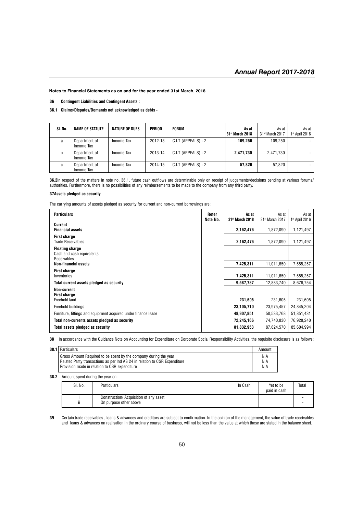**36 Contingent Liabilities and Contingent Assets :**

**36.1 Claims/Disputes/Demands not acknowledged as debts -**

| SI. No. | <b>NAME OF STATUTE</b>      | NATURE OF DUES | <b>PERIOD</b> | <b>FORUM</b>          | As at<br>31 <sup>st</sup> March 2018 | As at<br>31 <sup>st</sup> March 2017 | As at<br>$1st$ April 2016 |
|---------|-----------------------------|----------------|---------------|-----------------------|--------------------------------------|--------------------------------------|---------------------------|
| a       | Department of<br>Income Tax | Income Tax     | 2012-13       | C.I.T (APPEALS) - 2   | 109.250                              | 109.250                              |                           |
| b       | Department of<br>Income Tax | Income Tax     | 2013-14       | $C.I.T$ (APPEALS) - 2 | 2.471.730                            | 2.471.730                            |                           |
| C       | Department of<br>Income Tax | Income Tax     | 2014-15       | $C.I.T$ (APPEALS) - 2 | 57.820                               | 57.820                               |                           |

**36.2**In respect of the matters in note no. 36.1, future cash outflows are determinable only on receipt of judgements/decisions pending at various forums/ authorities. Furthermore, there is no possibilities of any reimbursements to be made to the company from any third party.

#### **37Assets pledged as security**

The carrying amounts of assets pledged as security for current and non-current borrowings are:

| <b>Particulars</b>                                                 | Refer<br>Note No. | As at<br>31 <sup>st</sup> March 2018 | As at<br>31st March 2017 | As at<br>$1st$ April 2016 |
|--------------------------------------------------------------------|-------------------|--------------------------------------|--------------------------|---------------------------|
| Current<br><b>Financial assets</b>                                 |                   | 2,162,476                            | 1,872,090                | 1,121,497                 |
| <b>First charge</b><br><b>Trade Receivables</b>                    |                   | 2,162,476                            | 1,872,090                | 1,121,497                 |
| <b>Floating charge</b><br>Cash and cash equivalents<br>Receivables |                   |                                      |                          |                           |
| <b>Non-financial assets</b>                                        |                   | 7,425,311                            | 11,011,650               | 7,555,257                 |
| <b>First charge</b><br>Inventories                                 |                   | 7,425,311                            | 11,011,650               | 7,555,257                 |
| Total current assets pledged as security                           |                   | 9,587,787                            | 12.883.740               | 8,676,754                 |
| Non-current<br><b>First charge</b>                                 |                   |                                      |                          |                           |
| Freehold land                                                      |                   | 231,605                              | 231,605                  | 231,605                   |
| Freehold buildings                                                 |                   | 23,105,710                           | 23,975,457               | 24,845,204                |
| Furniture, fittings and equipment acquired under finance lease     |                   | 48,907,851                           | 50,533,768               | 51,851,431                |
| Total non-currents assets pledged as security                      |                   | 72,245,166                           | 74,740,830               | 76,928,240                |
| Total assets pledged as security                                   |                   | 81,832,953                           | 87,624,570               | 85.604.994                |

**38** In accordance with the Guidance Note on Accounting for Expenditure on Corporate Social Responsibility Activities, the requisite disclosure is as follows:

| 38.1   Particulars                                                         | Amount |
|----------------------------------------------------------------------------|--------|
| Gross Amount Required to be spent by the company during the year           | N.A    |
| Related Party transactions as per Ind AS 24 in relation to CSR Expenditure | N.A    |
| Provision made in relation to CSR expenditure                              | N.A    |
|                                                                            |        |

**38.2** Amount spent during the year on:

| SI. No. | <b>Particulars</b>                                               | In Cash | Yet to be<br>paid in cash | Total                    |
|---------|------------------------------------------------------------------|---------|---------------------------|--------------------------|
| ii      | Construction/ Acquisition of any asset<br>On purpose other above |         |                           | $\overline{\phantom{0}}$ |

**39** Certain trade receivables , loans & advances and creditors are subject to confirmation. In the opinion of the management, the value of trade receivables and loans & advances on realisation in the ordinary course of business, will not be less than the value at which these are stated in the balance sheet.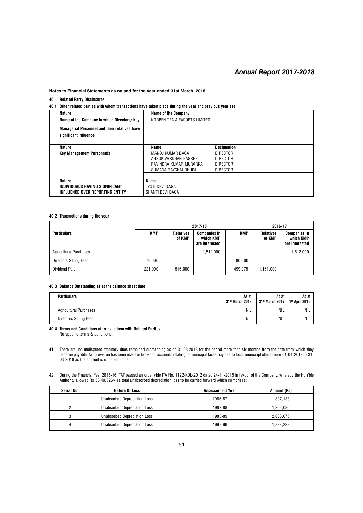#### **40 Related Party Disclosures**

**40.1 Other related parties with whom transactions have taken place during the year and previous year are:**

| Nature                                               | <b>Name of the Company</b>   |                    |
|------------------------------------------------------|------------------------------|--------------------|
| Name of the Company in which Directors/Key           | NORBEN TEA & EXPORTS LIMITED |                    |
| <b>Managerial Personnel and their relatives have</b> |                              |                    |
|                                                      |                              |                    |
| significant influence                                |                              |                    |
|                                                      |                              |                    |
| Nature                                               | Name                         | <b>Designation</b> |
| <b>Key Management Personnels</b>                     | MANOJ KUMAR DAGA             | <b>DIRECTOR</b>    |
|                                                      | AHSOK VARDHAN BAGREE         | <b>DIRECTOR</b>    |
|                                                      | RAVINDRA KUMAR MURARKA       | <b>DIRECTOR</b>    |
|                                                      | SUMANA RAYCHAUDHURI          | <b>DIRECTOR</b>    |
|                                                      |                              |                    |
| <b>Nature</b>                                        | Name                         |                    |
| INDIVIDUALS HAVING SIGNIFICANT                       | JYOTI DEVI DAGA              |                    |
| INFLUENCE OVER REPORTING ENTITY                      | SHANTI DEVI DAGA             |                    |

#### **40.2 Transactions during the year**

|                               |                          |                            | 2017-18<br>2016-17                                 |            |                            |                                                    |
|-------------------------------|--------------------------|----------------------------|----------------------------------------------------|------------|----------------------------|----------------------------------------------------|
| <b>Particulars</b>            | <b>KMP</b>               | <b>Relatives</b><br>of KMP | <b>Companies in</b><br>which KMP<br>are interested | <b>KMP</b> | <b>Relatives</b><br>of KMP | <b>Companies in</b><br>which KMP<br>are interested |
| <b>Agricultural Purchases</b> | $\overline{\phantom{a}}$ |                            | 1.512.000                                          |            | $\overline{\phantom{a}}$   | 1,512,000                                          |
| <b>Directors Sitting Fees</b> | 79.000                   |                            |                                                    | 80.000     |                            |                                                    |
| Dividend Paid                 | 221.900                  | 516.000                    | ۰                                                  | 499.275    | 1,161,000                  |                                                    |

#### **40.3 Balance Outstanding as at the balance sheet date**

| <b>Particulars</b>            | As at<br>31st March 2018 | As at<br>  31st March 2017 | As at<br>1 <sup>st</sup> April 2016 |
|-------------------------------|--------------------------|----------------------------|-------------------------------------|
| <b>Agricultural Purchases</b> | NIL                      | NIL                        | NIL                                 |
| <b>Directors Sitting Fees</b> | NIL                      | <b>NIL</b>                 | NIL                                 |

#### **40.4 Terms and Conditions of transactiosn with Related Parties**

No specific terms & conditions.

**41** There are no undisputed statutory dues remained outstanding as on 31.03.2018 for the period more than six months from the date from which they became payable. No provision has been made in books of accounts relating to municipal taxes payable to local municiapl office since 01-04-2013 to 31- 03-2018 as the amount is undidentifiable.

42 During the Financial Year 2015-16 ITAT passed an order vide ITA No. 1122/KOL/2012 dated 24-11-2015 in favour of the Company, whereby the Hon'ble Authority allowed Rs 58,40,526/- as total unabsorbed depreciation loss to be carried forward which comprises:

| Serial No. | <b>Nature Of Loss</b>        | <b>Assessement Year</b> | Amount (Rs) |
|------------|------------------------------|-------------------------|-------------|
|            | Unabsorbed Depreciation Loss | 1986-87                 | 807.133     |
|            | Unabsorbed Depreciation Loss | 1987-88                 | 1.202.080   |
|            | Unabsorbed Depreciation Loss | 1988-89                 | 2.008.075   |
|            | Unabsorbed Depreciation Loss | 1998-99                 | 1.823.238   |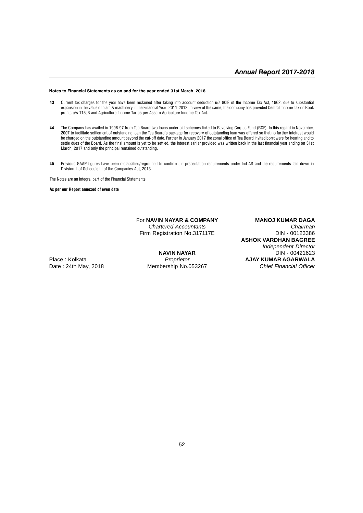- **43** Current tax charges for the year have been reckoned after taking into account deduction u/s 80IE of the Income Tax Act, 1962, due to substantial expansion in the value of plant & machinery in the Financial Year -2011-2012. In view of the same, the company has provided Central Income Tax on Book profits u/s 115JB and Agriculture Income Tax as per Assam Agriculture Income Tax Act.
- **44** The Company has availed in 1996-97 from Tea Board two loans under old schemes linked to Revolving Corpus Fund (RCF). In this regard in November, 2007 to facilitate settlement of outstanding loan the Tea Board's package for recovery of outstanding loan was offered so that no further intetrest would be charged on the outstanding amount beyond the cut-off date. Further in January 2017 the zonal office of Tea Board invited borrowers for hearing and to settle dues of the Board. As the final amount is yet to be settled, the interest earlier provided was written back in the last financial year ending on 31st March, 2017 and only the principal remained outstanding.
- **45** Previous GAAP figures have been reclassified/regrouped to confirm the presentation requirements under Ind AS and the requirements laid down in Division II of Schedule III of the Companies Act, 2013.

The Notes are an integral part of the Financial Statements

#### **As per our Report annexed of even date**

# For **NAVIN NAYAR & COMPANY MANOJ KUMAR DAGA** Firm Registration No.317117E

*Chartered Accountants Chairman* **ASHOK VARDHAN BAGREE** *Independent Director* **NAVIN NAYAR** DIN - 00421623 Place : Kolkata *Proprietor* **AJAY KUMAR AGARWALA** Date : 24th May, 2018 Membership No.053267 *Chief Financial Officer*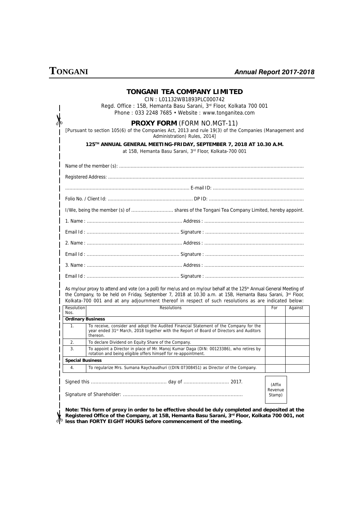# **TONGANI**

### *Annual Report 2017-2018*

|                          | TONGANI TEA COMPANY LIMITED<br>CIN: L01132WB1893PLC000742<br>Regd. Office: 15B, Hemanta Basu Sarani, 3rd Floor, Kolkata 700 001<br>Phone: 033 2248 7685 · Website: www.tonganitea.com                                                                                                                                                                   |                   |         |  |  |
|--------------------------|---------------------------------------------------------------------------------------------------------------------------------------------------------------------------------------------------------------------------------------------------------------------------------------------------------------------------------------------------------|-------------------|---------|--|--|
|                          | <b>PROXY FORM (FORM NO.MGT-11)</b><br>[Pursuant to section 105(6) of the Companies Act, 2013 and rule 19(3) of the Companies (Management and<br>Administration) Rules, 2014]                                                                                                                                                                            |                   |         |  |  |
|                          | 125TH ANNUAL GENERAL MEETING-FRIDAY, SEPTEMBER 7, 2018 AT 10.30 A.M.<br>at 15B, Hemanta Basu Sarani, 3rd Floor, Kolkata-700 001                                                                                                                                                                                                                         |                   |         |  |  |
|                          |                                                                                                                                                                                                                                                                                                                                                         |                   |         |  |  |
|                          |                                                                                                                                                                                                                                                                                                                                                         |                   |         |  |  |
|                          |                                                                                                                                                                                                                                                                                                                                                         |                   |         |  |  |
|                          |                                                                                                                                                                                                                                                                                                                                                         |                   |         |  |  |
|                          | I/We, being the member (s) of  shares of the Tongani Tea Company Limited, hereby appoint.                                                                                                                                                                                                                                                               |                   |         |  |  |
|                          |                                                                                                                                                                                                                                                                                                                                                         |                   |         |  |  |
|                          |                                                                                                                                                                                                                                                                                                                                                         |                   |         |  |  |
|                          |                                                                                                                                                                                                                                                                                                                                                         |                   |         |  |  |
|                          |                                                                                                                                                                                                                                                                                                                                                         |                   |         |  |  |
|                          |                                                                                                                                                                                                                                                                                                                                                         |                   |         |  |  |
|                          |                                                                                                                                                                                                                                                                                                                                                         |                   |         |  |  |
|                          | As my/our proxy to attend and vote (on a poll) for me/us and on my/our behalf at the 125 <sup>th</sup> Annual General Meeting of<br>the Company, to be held on Friday, September 7, 2018 at 10.30 a.m. at 15B, Hemanta Basu Sarani, 3rd Floor,<br>Kolkata-700 001 and at any adjournment thereof in respect of such resolutions as are indicated below: |                   |         |  |  |
| Resolution<br>Nos.       | <b>Resolutions</b>                                                                                                                                                                                                                                                                                                                                      | For               | Against |  |  |
| <b>Ordinary Business</b> |                                                                                                                                                                                                                                                                                                                                                         |                   |         |  |  |
| 1.                       | To receive, consider and adopt the Audited Financial Statement of the Company for the<br>year ended 31 <sup>st</sup> March, 2018 together with the Report of Board of Directors and Auditors<br>thereon.                                                                                                                                                |                   |         |  |  |
| 2.                       | To declare Dividend on Equity Share of the Company.                                                                                                                                                                                                                                                                                                     |                   |         |  |  |
| 3.                       | To appoint a Director in place of Mr. Manoj Kumar Daga (DIN: 00123386), who retires by<br>rotation and being eligible offers himself for re-appointment.                                                                                                                                                                                                |                   |         |  |  |
| <b>Special Business</b>  |                                                                                                                                                                                                                                                                                                                                                         |                   |         |  |  |
| 4.                       | To regularize Mrs. Sumana Raychaudhuri ((DIN:07308451) as Director of the Company.                                                                                                                                                                                                                                                                      |                   |         |  |  |
|                          |                                                                                                                                                                                                                                                                                                                                                         | (Affix            |         |  |  |
|                          |                                                                                                                                                                                                                                                                                                                                                         | Revenue<br>Stamp) |         |  |  |

 $\frac{1}{2}$ **Registered Office of the Company, at 15B, Hemanta Basu Sarani, 3rd Floor, Kolkata 700 001, not less than FORTY EIGHT HOURS before commencement of the meeting.**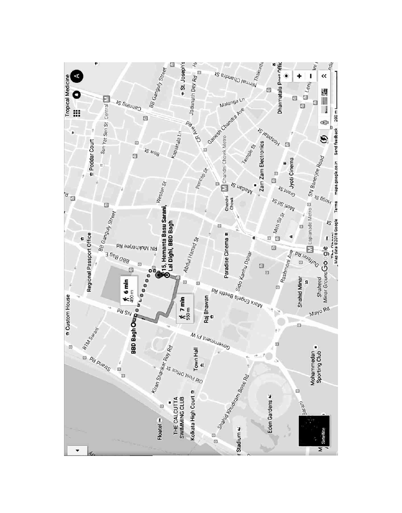